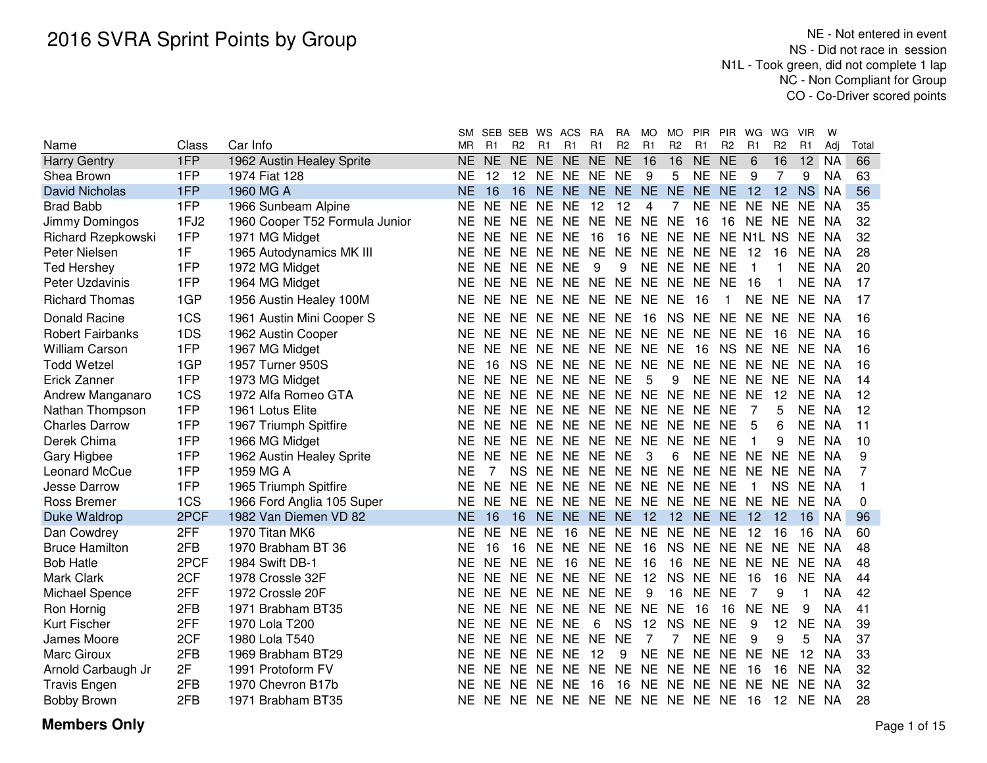|                         |       |                                | <b>SM</b> | <b>SEB</b> | SEB WS          |                | ACS                              | <b>RA</b> | RA             | <b>MO</b>      | <b>MO</b>      | <b>PIR</b>     | <b>PIR</b>     | WG        | WG              | <b>VIR</b>     | W         |       |
|-------------------------|-------|--------------------------------|-----------|------------|-----------------|----------------|----------------------------------|-----------|----------------|----------------|----------------|----------------|----------------|-----------|-----------------|----------------|-----------|-------|
| Name                    | Class | Car Info                       | <b>MR</b> | R1         | R <sub>2</sub>  | R <sub>1</sub> | R1                               | R1        | R <sub>2</sub> | R <sub>1</sub> | R <sub>2</sub> | R <sub>1</sub> | R <sub>2</sub> | R1        | R <sub>2</sub>  | R <sub>1</sub> | Adj       | Total |
| <b>Harry Gentry</b>     | 1FP   | 1962 Austin Healey Sprite      | <b>NE</b> | <b>NE</b>  | <b>NE</b>       | <b>NE</b>      | <b>NE</b>                        | <b>NE</b> | <b>NE</b>      | 16             | 16             | NE NE          |                | 6         | 16              | 12             | <b>NA</b> | 66    |
| Shea Brown              | 1FP   | 1974 Fiat 128                  | ΝE        | 12         | 12 <sup>2</sup> |                | NE NE NE NE                      |           |                | 9              | 5              | NE NE          |                | 9         | 7               | 9              | <b>NA</b> | 63    |
| <b>David Nicholas</b>   | 1FP   | 1960 MG A                      | NE        | 16         | 16              |                | NE NE                            | NE NE NE  |                |                |                | NE NE NE       |                | 12        | 12 <sup>2</sup> | <b>NS</b>      | NA        | 56    |
| <b>Brad Babb</b>        | 1FP   | 1966 Sunbeam Alpine            | NE        | <b>NE</b>  | <b>NE</b>       | <b>NE</b>      | <b>NE</b>                        | 12        | 12             | 4              | 7              | NE.            | <b>NE</b>      | <b>NE</b> | <b>NE</b>       | NE.            | <b>NA</b> | 35    |
| Jimmy Domingos          | 1FJ2  | 1960 Cooper T52 Formula Junior | ΝE        | NE.        | NE NE           |                | NE NE NE                         |           |                | NE .           | <b>NE</b>      | -16            | 16             | NE NE     |                 | NE.            | NA        | 32    |
| Richard Rzepkowski      | 1FP   | 1971 MG Midget                 | ΝF        | NE.        | NE NE           |                | <b>NE</b>                        | 16        | 16             |                | NE NE NE       |                |                | NE N1L NS |                 | NE.            | NA        | 32    |
| Peter Nielsen           | 1F    | 1965 Autodynamics MK III       | ΝE        | NE.        | <b>NE</b>       | NE             | <b>NE</b>                        | <b>NE</b> | <b>NE</b>      | NE.            | NE NE          |                | <b>NE</b>      | 12        | 16              | <b>NE</b>      | <b>NA</b> | 28    |
| <b>Ted Hershey</b>      | 1FP   | 1972 MG Midget                 | NE        | <b>NE</b>  | <b>NE</b>       | <b>NE</b>      | <b>NE</b>                        | 9         | 9              |                | NE NE NE       |                | <b>NE</b>      | 1         |                 | <b>NE</b>      | <b>NA</b> | 20    |
| Peter Uzdavinis         | 1FP   | 1964 MG Midget                 | ΝE        | <b>NE</b>  | NE.             | <b>NE</b>      | NE NE                            |           | <b>NE</b>      |                | NE NE NE       |                | <b>NE</b>      | 16        |                 | <b>NE</b>      | <b>NA</b> | 17    |
| <b>Richard Thomas</b>   | 1GP   | 1956 Austin Healey 100M        | ΝE        | <b>NE</b>  | NE NE           |                | NE NE NE                         |           |                | NE NE          |                | -16            | 1              | <b>NE</b> | <b>NE</b>       | NE NA          |           | 17    |
| <b>Donald Racine</b>    | 1CS   | 1961 Austin Mini Cooper S      | NΕ        | <b>NE</b>  | NE.             | <b>NE</b>      | NE NE NE                         |           |                | 16             | <b>NS</b>      | <b>NE</b>      | <b>NE</b>      | NE.       | <b>NE</b>       | NE.            | -NA       | 16    |
| <b>Robert Fairbanks</b> | 1DS   | 1962 Austin Cooper             | NE        | <b>NE</b>  | <b>NE</b>       | <b>NE</b>      | NE NE                            |           | <b>NE</b>      | NE.            | <b>NE</b>      | <b>NE</b>      | <b>NE</b>      | <b>NE</b> | 16              | NE.            | NA.       | 16    |
| <b>William Carson</b>   | 1FP   | 1967 MG Midget                 | ΝE        | NE.        | NE.             | <b>NE</b>      | NE NE NE                         |           |                | NE NE          |                | 16             | <b>NS</b>      | NE NE     |                 | NE NA          |           | 16    |
| <b>Todd Wetzel</b>      | 1GP   | 1957 Turner 950S               | NE        | 16         | NS.             |                | NE NE NE NE NE NE NE NE NE NE NE |           |                |                |                |                |                |           |                 |                | NA        | 16    |
| Erick Zanner            | 1FP   | 1973 MG Midget                 | ΝE        | NE.        | NE.             |                | NE NE NE NE                      |           |                | 5              | 9              | NE NE NE       |                |           | <b>NE</b>       | NE.            | NA        | 14    |
| Andrew Manganaro        | 1CS   | 1972 Alfa Romeo GTA            | NE        | NE.        |                 |                | NE NE NE NE NE NE NE NE NE       |           |                |                |                |                |                | NE        | 12              | NE             | <b>NA</b> | 12    |
| Nathan Thompson         | 1FP   | 1961 Lotus Elite               | NE        | NE.        | NE NE           |                | NE NE NE                         |           |                |                | NE NE NE       |                | <b>NE</b>      | 7         | 5               | <b>NE</b>      | <b>NA</b> | 12    |
| <b>Charles Darrow</b>   | 1FP   | 1967 Triumph Spitfire          | NΕ        | NE.        | NE NE           |                | NE NE NE                         |           |                |                | NE NE NE       |                | <b>NE</b>      | 5         | 6               | <b>NE</b>      | NA        | 11    |
| Derek Chima             | 1FP   | 1966 MG Midget                 | ΝE        | <b>NE</b>  | NE NE           |                | NE NE NE                         |           |                | <b>NE</b>      | NE NE          |                | <b>NE</b>      |           | 9               | <b>NE</b>      | <b>NA</b> | 10    |
| Gary Higbee             | 1FP   | 1962 Austin Healey Sprite      | ΝE        | <b>NE</b>  | NE              | <b>NE</b>      | <b>NE</b>                        | NE.       | <b>NE</b>      | 3              | 6              | <b>NE</b>      | <b>NE</b>      | <b>NE</b> | <b>NE</b>       | <b>NE</b>      | <b>NA</b> | 9     |
| Leonard McCue           | 1FP   | 1959 MG A                      | <b>NE</b> | 7          | <b>NS</b>       | <b>NE</b>      | <b>NE</b>                        | <b>NE</b> | <b>NE</b>      | NE.            | <b>NE</b>      | <b>NE</b>      | <b>NE</b>      | <b>NE</b> | <b>NE</b>       | <b>NE</b>      | <b>NA</b> | 7     |
| Jesse Darrow            | 1FP   | 1965 Triumph Spitfire          | <b>NE</b> | <b>NE</b>  | NE.             | <b>NE</b>      | NE.                              | NE.       | <b>NE</b>      | NE NE          |                | <b>NE</b>      | <b>NE</b>      |           | <b>NS</b>       | NE.            | NA        | 1     |
| Ross Bremer             | 1CS   | 1966 Ford Anglia 105 Super     | <b>NE</b> | <b>NE</b>  | NF.             | <b>NE</b>      | NE NE NE NE NE NE                |           |                |                |                |                | NE.            | NF.       | NE.             | NE.            | NA        | 0     |
| Duke Waldrop            | 2PCF  | 1982 Van Diemen VD 82          | <b>NE</b> | 16         | 16              |                | NE NE                            | NE NE     |                | 12             |                | 12 NE NE       |                | 12        | 12              | 16             | NA        | 96    |
| Dan Cowdrey             | 2FF   | 1970 Titan MK6                 | ΝE        | <b>NE</b>  | NE.             | <b>NE</b>      | 16                               | NE.       | <b>NE</b>      | NE.            | NE.            | <b>NE</b>      | <b>NE</b>      | 12        | 16              | 16             | <b>NA</b> | 60    |
| <b>Bruce Hamilton</b>   | 2FB   | 1970 Brabham BT 36             | ΝE        | 16         | 16              | <b>NE</b>      | NE.                              | NE.       | <b>NE</b>      | 16             | <b>NS</b>      | <b>NE</b>      | NE.            | NF.       | <b>NE</b>       | NE.            | NA.       | 48    |
| <b>Bob Hatle</b>        | 2PCF  | 1984 Swift DB-1                | ΝE        | NE.        | NE NE           |                | 16                               | NE NE     |                | 16             | 16             | <b>NE</b>      | <b>NE</b>      | <b>NE</b> | <b>NE</b>       | <b>NE</b>      | <b>NA</b> | 48    |
| Mark Clark              | 2CF   | 1978 Crossle 32F               | <b>NE</b> | <b>NE</b>  | NE NE           |                | NE NE                            |           | <b>NE</b>      | 12             | <b>NS</b>      | <b>NE</b>      | <b>NE</b>      | 16        | 16              | <b>NE</b>      | <b>NA</b> | 44    |
| Michael Spence          | 2FF   | 1972 Crossle 20F               | ΝE        | <b>NE</b>  | NE.             | <b>NE</b>      | <b>NE</b>                        | <b>NE</b> | <b>NE</b>      | 9              | 16             | <b>NE</b>      | <b>NE</b>      | 7         | 9               | 1              | <b>NA</b> | 42    |
| Ron Hornig              | 2FB   | 1971 Brabham BT35              | ΝE        | NE.        | NE.             | <b>NE</b>      | NE.                              | <b>NE</b> | <b>NE</b>      | <b>NE</b>      | <b>NE</b>      | -16            | 16             | <b>NE</b> | <b>NE</b>       | 9              | <b>NA</b> | 41    |
| Kurt Fischer            | 2FF   | 1970 Lola T200                 | ΝE        |            | NE NE NE NE     |                |                                  | 6         | <b>NS</b>      | 12             | <b>NS</b>      | <b>NE</b>      | <b>NE</b>      | 9         | 12              | <b>NE</b>      | <b>NA</b> | 39    |
| James Moore             | 2CF   | 1980 Lola T540                 | NF        | NE.        | NE NE NE        |                |                                  | NE.       | <b>NE</b>      | 7              | 7              | NE NE          |                | 9         | 9               | 5              | <b>NA</b> | 37    |
| Marc Giroux             | 2FB   | 1969 Brabham BT29              | NE        | NE.        | NE.             | <b>NE</b>      | <b>NE</b>                        | 12        | 9              |                |                | NE NE NE NE    |                | NE.       | <b>NE</b>       | 12             | <b>NA</b> | 33    |
| Arnold Carbaugh Jr      | 2F    | 1991 Protoform FV              | NΕ        | NE.        | NE.             | - NE           | NE.                              | NE NE     |                | NE.            | NE NE          |                | <b>NE</b>      | 16        | 16              | <b>NE</b>      | <b>NA</b> | 32    |
| <b>Travis Engen</b>     | 2FB   | 1970 Chevron B17b              | NE        | <b>NE</b>  | NF.             | NE.            | <b>NE</b>                        | 16        | 16             | NE.            | NE NE          |                | <b>NE</b>      | NE.       | <b>NE</b>       | <b>NE</b>      | NA        | 32    |
| Bobby Brown             | 2FB   | 1971 Brabham BT35              | NE.       |            |                 |                | NE NE NE NE NE NE NE NE NE NE    |           |                |                |                |                |                | - 16      | 12              | NE NA          |           | 28    |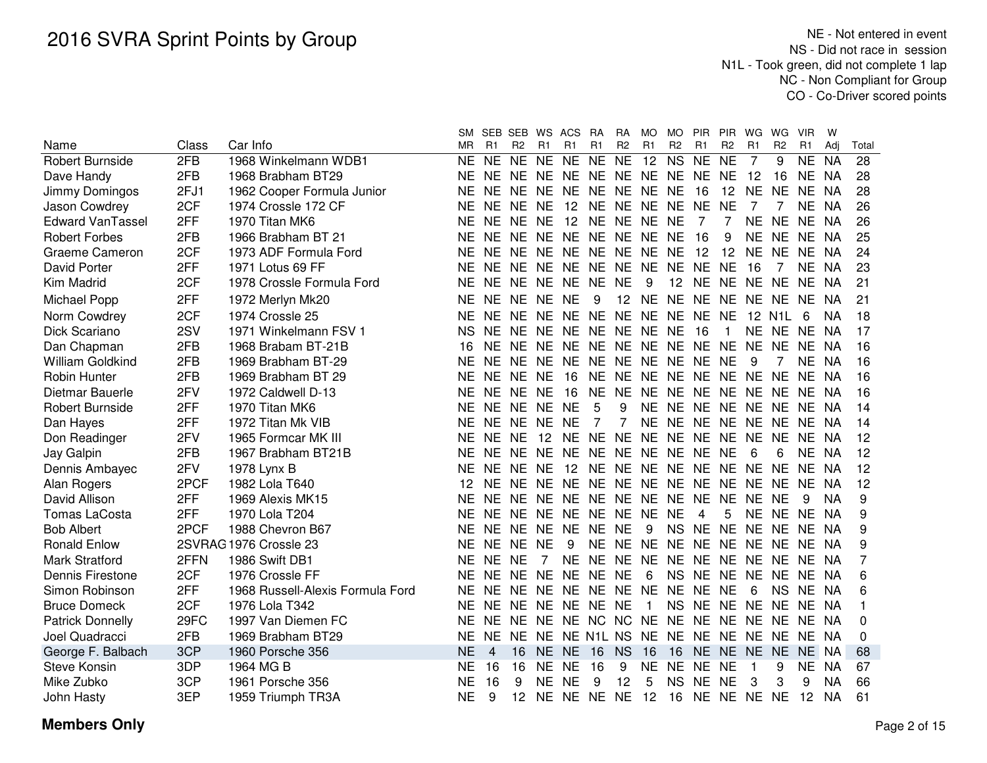|                         |       |                                  | SM.       |                | SEB SEB        |           | WS ACS            | <b>RA</b>      | <b>RA</b>       | MO.          | MO.            | PIR PIR           |                | WG             | WG.            | <b>VIR</b> | w         |       |
|-------------------------|-------|----------------------------------|-----------|----------------|----------------|-----------|-------------------|----------------|-----------------|--------------|----------------|-------------------|----------------|----------------|----------------|------------|-----------|-------|
| Name                    | Class | Car Info                         | <b>MR</b> | R <sub>1</sub> | R <sub>2</sub> | R1        | R1                | R <sub>1</sub> | R <sub>2</sub>  | R1           | R <sub>2</sub> | R1                | R <sub>2</sub> | R <sub>1</sub> | R <sub>2</sub> | R1         | Adi       | Total |
| <b>Robert Burnside</b>  | 2FB   | 1968 Winkelmann WDB1             | <b>NE</b> | <b>NE</b>      | <b>NE</b>      | <b>NE</b> | <b>NE</b>         | <b>NE</b>      | <b>NE</b>       | 12           | <b>NS</b>      | <b>NE</b>         | <b>NE</b>      | 7              | 9              | <b>NE</b>  | <b>NA</b> | 28    |
| Dave Handy              | 2FB   | 1968 Brabham BT29                | NΕ        | NE NE          |                | <b>NE</b> | NE NE NE NE NE NE |                |                 |              |                |                   | <b>NE</b>      | 12             | 16             | NE.        | <b>NA</b> | 28    |
| Jimmy Domingos          | 2FJ1  | 1962 Cooper Formula Junior       | NΕ        | NE NE          |                | NE.       | NE NE NE          |                |                 | NE NE        |                | 16                | 12             | <b>NE</b>      | <b>NE</b>      | <b>NE</b>  | NA.       | 28    |
| Jason Cowdrey           | 2CF   | 1974 Crossle 172 CF              | ΝE        | NE NE          |                | NE.       | 12                | NE.            |                 |              | NE NE NE NE    |                   | <b>NE</b>      | 7              |                | NE NA      |           | 26    |
| <b>Edward VanTassel</b> | 2FF   | 1970 Titan MK6                   | <b>NE</b> | NE NE          |                | <b>NE</b> | 12                | <b>NE</b>      |                 | NE NE NE     |                | 7                 | 7              | <b>NE</b>      | <b>NE</b>      | NE NA      |           | 26    |
| <b>Robert Forbes</b>    | 2FB   | 1966 Brabham BT 21               | ΝE        | <b>NE</b>      | <b>NE</b>      | <b>NE</b> | NE NE             |                | <b>NE</b>       | NE NE        |                | 16                | 9              | <b>NE</b>      | <b>NE</b>      | NE.        | NA        | 25    |
| Graeme Cameron          | 2CF   | 1973 ADF Formula Ford            | ΝE        | NE.            | <b>NE</b>      | <b>NE</b> | NE NE             |                | <b>NE</b>       | NE NE        |                | 12                | 12             | <b>NE</b>      | <b>NE</b>      | <b>NE</b>  | NA        | 24    |
| David Porter            | 2FF   | 1971 Lotus 69 FF                 | <b>NE</b> | NE NE          |                | <b>NE</b> | NE NE             |                | <b>NE</b>       | <b>NE</b>    | <b>NE</b>      | <b>NE</b>         | <b>NE</b>      | 16             | 7              | <b>NE</b>  | <b>NA</b> | 23    |
| Kim Madrid              | 2CF   | 1978 Crossle Formula Ford        | NE        | <b>NE</b>      | <b>NE</b>      | <b>NE</b> | NE NE             |                | <b>NE</b>       | 9            | 12             | <b>NE</b>         | <b>NE</b>      | NE.            | <b>NE</b>      | <b>NE</b>  | NA        | 21    |
| Michael Popp            | 2FF   | 1972 Merlyn Mk20                 | <b>NE</b> | NE NE          |                | <b>NE</b> | <b>NE</b>         | 9              | 12 <sup>°</sup> | <b>NE</b>    |                | NE NE NE NE       |                |                | <b>NE</b>      | NE NA      |           | 21    |
| Norm Cowdrey            | 2CF   | 1974 Crossle 25                  | NE        | NE NE          |                | NE.       | NE NE NE          |                |                 | <b>NE</b>    |                | NE NE             | <b>NE</b>      |                | 12 N1L         | 6          | ΝA        | 18    |
| Dick Scariano           | 2SV   | 1971 Winkelmann FSV 1            | ΝS        | NE NE          |                | NE.       | NE NE NE NE NE    |                |                 |              |                | 16                | $\mathbf{1}$   | NE NE          |                | NE NA      |           | 17    |
| Dan Chapman             | 2FB   | 1968 Brabam BT-21B               | 16        | NE NE          |                | <b>NE</b> | NE NE             |                |                 |              |                | NE NE NE NE NE    |                | <b>NE</b>      | <b>NE</b>      | NE.        | <b>NA</b> | 16    |
| William Goldkind        | 2FB   | 1969 Brabham BT-29               | <b>NE</b> | NE.            | <b>NE</b>      | <b>NE</b> | NE NE             |                | NE.             | NE NE        |                | <b>NE</b>         | <b>NE</b>      | 9              |                | NE.        | NA        | 16    |
| <b>Robin Hunter</b>     | 2FB   | 1969 Brabham BT 29               | ΝE        | <b>NE</b>      | <b>NE</b>      | <b>NE</b> | 16                | <b>NE</b>      | <b>NE</b>       | NE NE        |                | <b>NE</b>         | <b>NE</b>      | <b>NE</b>      | <b>NE</b>      | <b>NE</b>  | <b>NA</b> | 16    |
| Dietmar Bauerle         | 2FV   | 1972 Caldwell D-13               | ΝE        | NE.            | <b>NE</b>      | <b>NE</b> | 16                | <b>NE</b>      | <b>NE</b>       | <b>NE</b>    | <b>NE</b>      | <b>NE</b>         | <b>NE</b>      | <b>NE</b>      | <b>NE</b>      | <b>NE</b>  | NA        | 16    |
| <b>Robert Burnside</b>  | 2FF   | 1970 Titan MK6                   | <b>NE</b> | NE NE          |                | <b>NE</b> | <b>NE</b>         | 5              | 9               | <b>NE</b>    | <b>NE</b>      | <b>NE</b>         | <b>NE</b>      | NE.            | NE.            | <b>NE</b>  | NA        | 14    |
| Dan Hayes               | 2FF   | 1972 Titan Mk VIB                | NE        | <b>NE</b>      | <b>NE</b>      | <b>NE</b> | <b>NE</b>         | 7              | 7               | <b>NE</b>    | NE NE          |                   | <b>NE</b>      | <b>NE</b>      | <b>NE</b>      | <b>NE</b>  | - NA      | 14    |
| Don Readinger           | 2FV   | 1965 Formcar MK III              | ΝE        | NE NE          |                | 12        | <b>NE</b>         | <b>NE</b>      | <b>NE</b>       | NE NE        |                | <b>NE</b>         | <b>NE</b>      | NE.            | <b>NE</b>      | <b>NE</b>  | - NA      | 12    |
| Jay Galpin              | 2FB   | 1967 Brabham BT21B               | <b>NE</b> | NE.            | <b>NE</b>      | <b>NE</b> | NE NE             |                | NE.             |              | NE NE NE       |                   | NE             | 6              | 6              | <b>NE</b>  | NA        | 12    |
| Dennis Ambayec          | 2FV   | 1978 Lynx B                      | ΝE        | NE NE          |                | <b>NE</b> | 12                | <b>NE</b>      | <b>NE</b>       |              | NE NE NE       |                   | <b>NE</b>      | <b>NE</b>      | <b>NE</b>      | NE.        | NA        | 12    |
| Alan Rogers             | 2PCF  | 1982 Lola T640                   | 12        | NE NE          |                | <b>NE</b> | NE NE NE          |                |                 |              | NE NE NE       |                   | <b>NE</b>      | <b>NE</b>      | <b>NE</b>      | <b>NE</b>  | NA        | 12    |
| David Allison           | 2FF   | 1969 Alexis MK15                 | ΝE        | NE NE          |                | <b>NE</b> | NE NE NE          |                |                 |              | NE NE NE       |                   | <b>NE</b>      | NE NE          |                | 9          | <b>NA</b> | 9     |
| <b>Tomas LaCosta</b>    | 2FF   | 1970 Lola T204                   | <b>NE</b> | NE NE          |                |           | NE NE NE          |                |                 | NE NE NE     |                | 4                 | 5              | <b>NE</b>      | NE NE NA       |            |           | 9     |
| <b>Bob Albert</b>       | 2PCF  | 1988 Chevron B67                 | <b>NE</b> | NE NE          |                | <b>NE</b> | NE NE             |                | <b>NE</b>       | 9            | <b>NS</b>      | NE NE NE          |                |                | <b>NE</b>      | NE NA      |           | 9     |
| <b>Ronald Enlow</b>     |       | 2SVRAG 1976 Crossle 23           | <b>NE</b> | NE NE          |                | <b>NE</b> | 9                 | <b>NE</b>      | NE.             | NE.          | <b>NE</b>      | <b>NE</b>         | NE NE          |                | <b>NE</b>      | NE.        | <b>NA</b> | 9     |
| <b>Mark Stratford</b>   | 2FFN  | 1986 Swift DB1                   | <b>NE</b> | NE NE          |                | 7         | NE NE             |                | <b>NE</b>       | <b>NE</b>    | NE NE          |                   | NE NE NE       |                |                | <b>NE</b>  | NA        | 7     |
| Dennis Firestone        | 2CF   | 1976 Crossle FF                  | <b>NE</b> | NE NE          |                | <b>NE</b> | NE NE             |                | <b>NE</b>       | 6            | <b>NS</b>      | NE NE             |                | NE.            | <b>NE</b>      | NE.        | - NA      | 6     |
| Simon Robinson          | 2FF   | 1968 Russell-Alexis Formula Ford | NE.       | NE NE          |                | <b>NE</b> | NE NE             |                | <b>NE</b>       | <b>NE</b>    | NE NE          |                   | <b>NE</b>      | 6              | <b>NS</b>      | <b>NE</b>  | NA        | 6     |
| <b>Bruce Domeck</b>     | 2CF   | 1976 Lola T342                   | <b>NE</b> | NE NE          |                | <b>NE</b> | NE NE             |                | <b>NE</b>       | $\mathbf{1}$ |                | NS NE NE NE NE NE |                |                |                |            | NA        |       |
| <b>Patrick Donnelly</b> | 29FC  | 1997 Van Diemen FC               | <b>NE</b> | NE NE          |                | <b>NE</b> | NE NC NC          |                |                 | <b>NE</b>    |                | NE NE NE NE NE NE |                |                |                |            | - NA      | 0     |
| Joel Quadracci          | 2FB   | 1969 Brabham BT29                | NF.       | NE.            | NE.            | NE.       | NE N1L NS         |                |                 | NE.          |                | NE NE NE NE NE    |                |                |                | NE.        | - NA      | 0     |
| George F. Balbach       | 3CP   | 1960 Porsche 356                 | <b>NE</b> | 4              | 16             | <b>NE</b> | <b>NE</b>         | 16             | <b>NS</b>       | 16           | 16             | <b>NE</b>         | NE NE          |                | <b>NE</b>      | NE NA      |           | 68    |
| <b>Steve Konsin</b>     | 3DP   | 1964 MG B                        | ΝE        | 16             | 16             | NE        | <b>NE</b>         | 16             | 9               | ΝE           | NE.            | <b>NE</b>         | NE.            | 1              | 9              | NE.        | NA        | 67    |
| Mike Zubko              | 3CP   | 1961 Porsche 356                 | <b>NE</b> | 16             | 9              | NE.       | <b>NE</b>         | 9              | 12              | 5            |                | NS NE             | <b>NE</b>      | 3              | 3              | 9          | <b>NA</b> | 66    |
| John Hasty              | 3EP   | 1959 Triumph TR3A                | <b>NE</b> | 9              |                |           | 12 NE NE NE NE 12 |                |                 |              |                | 16 NE NE NE NE    |                |                |                | 12 NA      |           | 61    |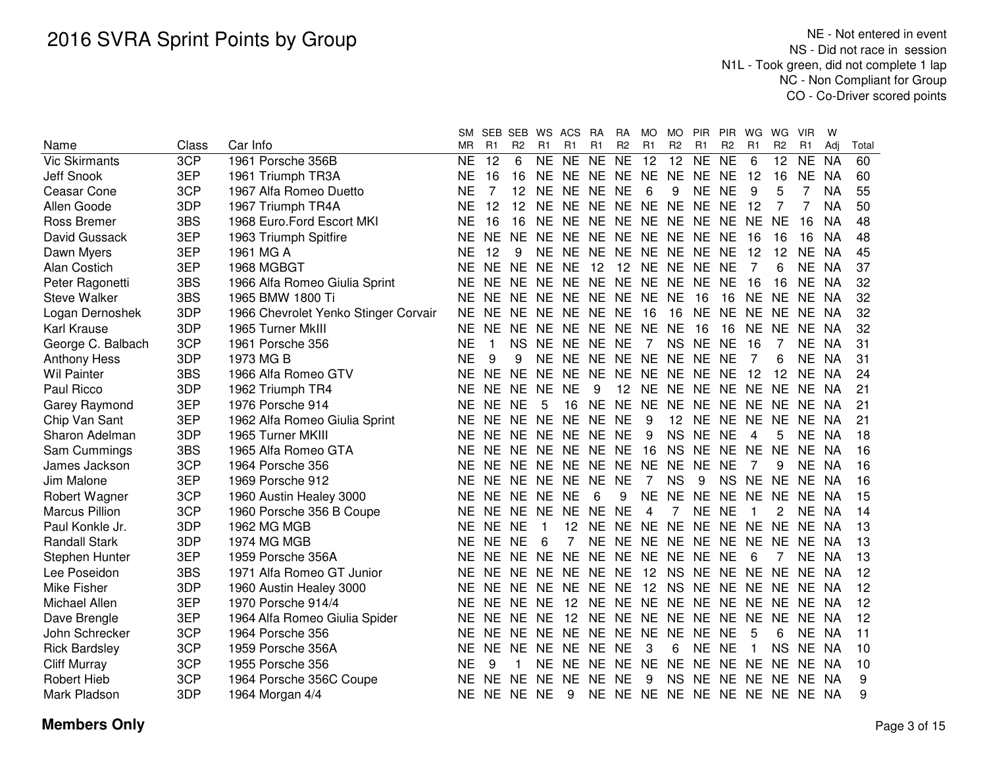|                       |       |                                      | <b>SM</b> | SEB SEB        |                | WS           | ACS            | <b>RA</b> | <b>RA</b>      | MO.            | <b>MO</b>      | <b>PIR</b>                    | <b>PIR</b>     | WG        | WG.             | <b>VIR</b>     | W         |       |
|-----------------------|-------|--------------------------------------|-----------|----------------|----------------|--------------|----------------|-----------|----------------|----------------|----------------|-------------------------------|----------------|-----------|-----------------|----------------|-----------|-------|
| Name                  | Class | Car Info                             | ΜR        | R <sub>1</sub> | R <sub>2</sub> | R1           | R <sub>1</sub> | R1        | R <sub>2</sub> | R1             | R <sub>2</sub> | R1                            | R <sub>2</sub> | R1        | R <sub>2</sub>  | R <sub>1</sub> | Adi       | Total |
| <b>Vic Skirmants</b>  | 3CP   | 1961 Porsche 356B                    | <b>NE</b> | 12             | 6              |              | NE NE          | <b>NE</b> | <b>NE</b>      | 12             | 12             | <b>NE</b>                     | <b>NE</b>      | 6         | 12 <sub>2</sub> | <b>NE</b>      | <b>NA</b> | 60    |
| <b>Jeff Snook</b>     | 3EP   | 1961 Triumph TR3A                    | ΝE        | 16             | 16             |              | NE NE NE NE NE |           |                |                | <b>NE</b>      | NE NE                         |                | 12        | 16              | <b>NE</b>      | <b>NA</b> | 60    |
| Ceasar Cone           | 3CP   | 1967 Alfa Romeo Duetto               | ΝE        | 7              | 12             | <b>NE</b>    | <b>NE</b>      | <b>NE</b> | <b>NE</b>      | 6              | 9              | NE NE                         |                | 9         | 5               | 7              | <b>NA</b> | 55    |
| Allen Goode           | 3DP   | 1967 Triumph TR4A                    | ΝE        | 12             | 12             | NE.          | NE.            | NE.       | NE.            | NE.            | NE.            | <b>NE</b>                     | NE             | 12        | $\overline{7}$  | 7              | <b>NA</b> | 50    |
| <b>Ross Bremer</b>    | 3BS   | 1968 Euro.Ford Escort MKI            | NΕ        | 16             | 16             | NE.          | NE NE NE       |           |                | NE NE NE       |                |                               | NE.            | <b>NE</b> | <b>NE</b>       | 16             | ΝA        | 48    |
| David Gussack         | 3EP   | 1963 Triumph Spitfire                | ΝE        | NE.            | <b>NE</b>      | <b>NE</b>    | NE NE          |           |                |                |                | NE NE NE NE NE                |                | 16        | 16              | 16             | ΝA        | 48    |
| Dawn Myers            | 3EP   | 1961 MG A                            | <b>NE</b> | 12             | 9              |              | NE NE NE       |           |                | NE NE NE NE    |                |                               | <b>NE</b>      | 12        | 12              | <b>NE</b>      | <b>NA</b> | 45    |
| <b>Alan Costich</b>   | 3EP   | 1968 MGBGT                           | <b>NE</b> | <b>NE</b>      | <b>NE</b>      | <b>NE</b>    | <b>NE</b>      | 12        | 12             | NE NE          |                | <b>NE</b>                     | <b>NE</b>      | 7         | 6               | <b>NE</b>      | <b>NA</b> | 37    |
| Peter Ragonetti       | 3BS   | 1966 Alfa Romeo Giulia Sprint        | <b>NE</b> | <b>NE</b>      | <b>NE</b>      | <b>NE</b>    | NE .           | NE.       | <b>NE</b>      | <b>NE</b>      | NE.            | <b>NE</b>                     | <b>NE</b>      | 16        | 16              | NE.            | <b>NA</b> | 32    |
| <b>Steve Walker</b>   | 3BS   | 1965 BMW 1800 Ti                     | <b>NE</b> | <b>NE</b>      | <b>NE</b>      | NE.          | NE NE          |           | <b>NE</b>      | <b>NE</b>      | <b>NE</b>      | 16                            | 16             | NE.       | NE.             | NE.            | <b>NA</b> | 32    |
| Logan Dernoshek       | 3DP   | 1966 Chevrolet Yenko Stinger Corvair | <b>NE</b> | <b>NE</b>      | <b>NE</b>      | <b>NE</b>    | NE NE          |           | <b>NE</b>      | 16             | 16             | <b>NE</b>                     | <b>NE</b>      | <b>NE</b> | NE              | NE.            | NA        | 32    |
| Karl Krause           | 3DP   | 1965 Turner MkIII                    | <b>NE</b> | <b>NE</b>      | <b>NE</b>      | <b>NE</b>    | <b>NE</b>      | <b>NE</b> | <b>NE</b>      | <b>NE</b>      | <b>NE</b>      | 16                            | 16             | <b>NE</b> | <b>NE</b>       | NE.            | NA        | 32    |
| George C. Balbach     | 3CP   | 1961 Porsche 356                     | <b>NE</b> | $\mathbf{1}$   | <b>NS</b>      | <b>NE</b>    | NE.            | <b>NE</b> | <b>NE</b>      | $\overline{7}$ | <b>NS</b>      | <b>NE</b>                     | <b>NE</b>      | 16        | 7               | NE.            | NA        | 31    |
| <b>Anthony Hess</b>   | 3DP   | 1973 MG B                            | <b>NE</b> | 9              | 9              | <b>NE</b>    | NE NE          |           | <b>NE</b>      | NE NE          |                | <b>NE</b>                     | <b>NE</b>      | 7         | 6               | NE.            | -NA       | 31    |
| <b>Wil Painter</b>    | 3BS   | 1966 Alfa Romeo GTV                  | NE        | <b>NE</b>      | <b>NE</b>      | <b>NE</b>    | NE.            | <b>NE</b> | <b>NE</b>      | NE NE          |                | <b>NE</b>                     | <b>NE</b>      | 12        | 12              | NE.            | NA        | 24    |
| Paul Ricco            | 3DP   | 1962 Triumph TR4                     | NE        | <b>NE</b>      | <b>NE</b>      | <b>NE</b>    | <b>NE</b>      | 9         | 12             | NE.            | <b>NE</b>      | <b>NE</b>                     | <b>NE</b>      | <b>NE</b> | <b>NE</b>       | NE.            | - NA      | 21    |
| Garey Raymond         | 3EP   | 1976 Porsche 914                     | <b>NE</b> | <b>NE</b>      | <b>NE</b>      | 5            | 16             | <b>NE</b> | <b>NE</b>      | <b>NE</b>      | <b>NE</b>      | <b>NE</b>                     | <b>NE</b>      | <b>NE</b> | <b>NE</b>       | <b>NE</b>      | NA.       | 21    |
| Chip Van Sant         | 3EP   | 1962 Alfa Romeo Giulia Sprint        | ΝE        | <b>NE</b>      | <b>NE</b>      | <b>NE</b>    | NE NE          |           | <b>NE</b>      | 9              | 12             | <b>NE</b>                     | <b>NE</b>      | <b>NE</b> | <b>NE</b>       | NE.            | - NA      | 21    |
| Sharon Adelman        | 3DP   | 1965 Turner MKIII                    | <b>NE</b> | NE             | NE.            | NE.          | NE NE          |           | <b>NE</b>      | 9              | <b>NS</b>      | <b>NE</b>                     | <b>NE</b>      | 4         | 5               | NE NA          |           | 18    |
| Sam Cummings          | 3BS   | 1965 Alfa Romeo GTA                  | ΝE        | NE             | NE.            | <b>NE</b>    | NE NE          |           | <b>NE</b>      | 16             | <b>NS</b>      | <b>NE</b>                     | NE             | NE.       | <b>NE</b>       | NE NA          |           | 16    |
| James Jackson         | 3CP   | 1964 Porsche 356                     | <b>NE</b> | NE NE          |                |              | NE NE NE       |           |                | NE NE NE       |                | <b>NE</b>                     | <b>NE</b>      | 7         | 9               | NE NA          |           | 16    |
| Jim Malone            | 3EP   | 1969 Porsche 912                     | <b>NE</b> | NE NE          |                |              | NE NE NE       |           | <b>NE</b>      | 7              | <b>NS</b>      | 9                             | <b>NS</b>      | <b>NE</b> | <b>NE</b>       | NE NA          |           | 16    |
| Robert Wagner         | 3CP   | 1960 Austin Healey 3000              | <b>NE</b> | NE NE          |                | <b>NE</b>    | <b>NE</b>      | 6         | 9              | <b>NE</b>      | <b>NE</b>      | <b>NE</b>                     | <b>NE</b>      | <b>NE</b> | <b>NE</b>       | NE.            | <b>NA</b> | 15    |
| <b>Marcus Pillion</b> | 3CP   | 1960 Porsche 356 B Coupe             | NE.       | NE.            | NE.            | <b>NE</b>    | NE.            | NE.       | <b>NE</b>      | 4              | 7              | <b>NE</b>                     | <b>NE</b>      | 1         | 2               | NE.            | <b>NA</b> | 14    |
| Paul Konkle Jr.       | 3DP   | 1962 MG MGB                          | NE        | <b>NE</b>      | <b>NE</b>      | $\mathbf{1}$ | 12             | <b>NE</b> | <b>NE</b>      | NE NE          |                | NE NE                         |                | <b>NE</b> | <b>NE</b>       | NE.            | NA        | 13    |
| <b>Randall Stark</b>  | 3DP   | <b>1974 MG MGB</b>                   | ΝE        | NE NE          |                | 6            | 7              | <b>NE</b> | <b>NE</b>      | NE NE          |                | <b>NE</b>                     | <b>NE</b>      | <b>NE</b> | <b>NE</b>       | NE.            | <b>NA</b> | 13    |
| Stephen Hunter        | 3EP   | 1959 Porsche 356A                    | NE.       | NE NE          |                |              | NE NE NE       |           |                |                |                | NE NE NE NE NE                |                | 6         | $\overline{7}$  | NE NA          |           | 13    |
| Lee Poseidon          | 3BS   | 1971 Alfa Romeo GT Junior            | NE.       | NE NE          |                |              | NE NE NE NE    |           |                | 12             | <b>NS</b>      | NE NE NE                      |                |           | <b>NE</b>       | NE NA          |           | 12    |
| Mike Fisher           | 3DP   | 1960 Austin Healey 3000              | NF.       | NE NE          |                |              | NE NE NE       |           | NE.            | 12             | <b>NS</b>      | NE NE NE                      |                |           |                 | NE NE NA       |           | 12    |
| Michael Allen         | 3EP   | 1970 Porsche 914/4                   | ΝE        | NE NE          |                | <b>NE</b>    | 12             | NE.       |                | NE NE NE       |                | NE NE NE                      |                |           | <b>NE</b>       | NE.            | NA        | 12    |
| Dave Brengle          | 3EP   | 1964 Alfa Romeo Giulia Spider        | ΝE        | NE.            | NE.            | NE.          | 12             | NE.       | <b>NE</b>      | NE             | NE.            | NE NE                         |                | NE        | <b>NE</b>       | <b>NE</b>      | NA        | 12    |
| John Schrecker        | 3CP   | 1964 Porsche 356                     | ΝE        | <b>NE</b>      | <b>NE</b>      | <b>NE</b>    | <b>NE</b>      | <b>NE</b> | <b>NE</b>      | NE NE          |                | <b>NE</b>                     | <b>NE</b>      | 5         | 6               | NE.            | - NA      | 11    |
| <b>Rick Bardsley</b>  | 3CP   | 1959 Porsche 356A                    | NE.       | <b>NE</b>      | <b>NE</b>      | <b>NE</b>    | NE NE          |           | <b>NE</b>      | 3              | 6              | NE NE                         |                |           | <b>NS</b>       | NE NA          |           | 10    |
| <b>Cliff Murray</b>   | 3CP   | 1955 Porsche 356                     | ΝE        | 9              |                | NE.          | NE NE          |           | NE.            | <b>NE</b>      | NE.            | NE.                           | NE             | NF.       | NE.             | NE.            | NA.       | 10    |
| <b>Robert Hieb</b>    | 3CP   | 1964 Porsche 356C Coupe              | ΝE        | <b>NE</b>      | NE.            | <b>NE</b>    | NE.            | <b>NE</b> | <b>NE</b>      | 9              | <b>NS</b>      | <b>NE</b>                     | NE NE          |           | <b>NE</b>       | NE NA          |           | 9     |
| Mark Pladson          | 3DP   | 1964 Morgan 4/4                      | NE.       |                | NE NE NE       |              | 9              |           |                |                |                | NE NE NE NE NE NE NE NE NE NA |                |           |                 |                |           | 9     |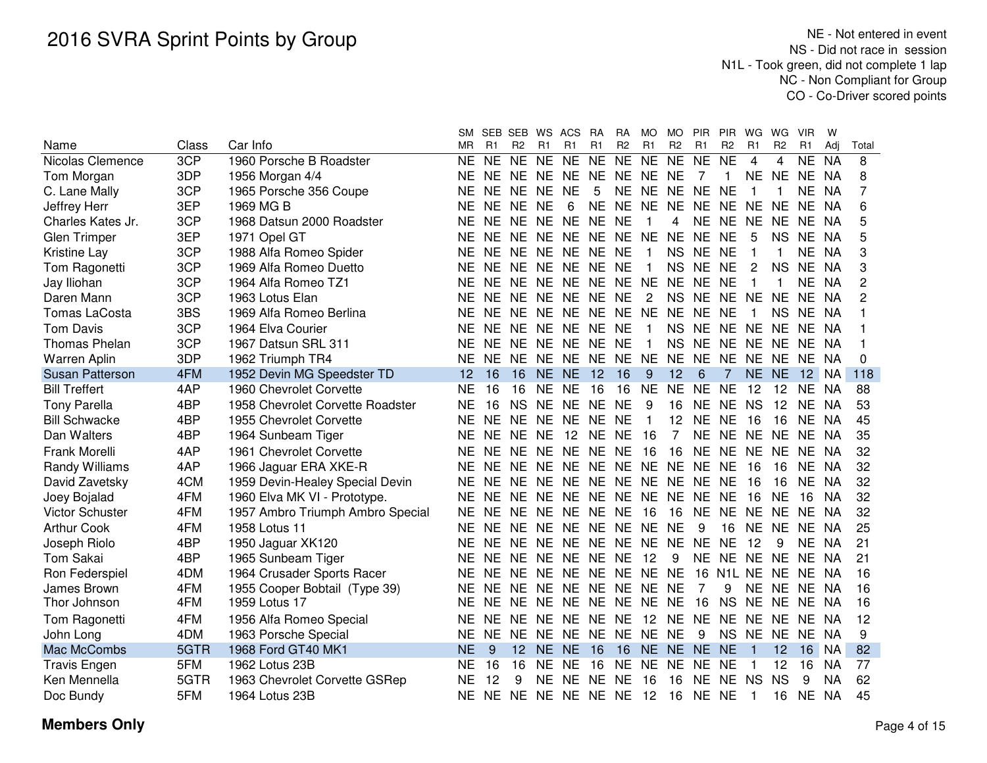| R <sub>2</sub><br>R1<br>Class<br>Car Info<br><b>MR</b><br>R1<br>R <sub>2</sub><br>R1<br>R <sub>1</sub><br>R1<br>R <sub>2</sub><br>R1<br>R <sub>2</sub><br>R1<br>R <sub>2</sub><br>R1<br>Total<br>Name<br>Adi<br>3CP<br><b>NE</b><br><b>NE</b><br>NE NE<br><b>NE</b><br>NE NE<br><b>NE</b><br><b>NE</b><br><b>NE</b><br>4<br><b>NE</b><br>8<br>Nicolas Clemence<br>1960 Porsche B Roadster<br>4<br><b>NA</b><br>NE.<br>3DP<br><b>NE</b><br>8<br>1956 Morgan 4/4<br>NE.<br>NE NE NE<br><b>NE</b><br>NE NE NE<br>7<br>NE.<br>NE.<br>NA<br>Tom Morgan<br>NE.<br>1<br>7<br>3CP<br>NE NE NE<br>5<br>NE NE<br>NE NE NE<br><b>NA</b><br>1965 Porsche 356 Coupe<br>NE.<br>ΝE<br>C. Lane Mally<br>NE<br>-1<br>3EP<br>1969 MG B<br><b>NE</b><br>NE NE<br>6<br><b>NE</b><br>NE NE<br>NE NE<br><b>NE</b><br><b>NE</b><br><b>NE</b><br><b>NA</b><br>6<br>Jeffrey Herr<br>NE.<br>NE.<br>5<br>3CP<br>1968 Datsun 2000 Roadster<br>NE.<br>NE<br>NE NE<br><b>NE</b><br><b>NE</b><br>NE NE<br><b>NE</b><br>NE.<br><b>NA</b><br>Charles Kates Jr.<br>NE<br>NE.<br>4<br>5<br>3EP<br>NE NE NE<br>NE NE NE<br>NE NE<br>5<br><b>Glen Trimper</b><br>1971 Opel GT<br>NF<br>NF.<br><b>NE</b><br>NS.<br>NE.<br>NA.<br>3CP<br>3<br>NE.<br>NE NE NE NE NE<br>NS NE NE<br><b>NE</b><br><b>NA</b><br>1988 Alfa Romeo Spider<br>ΝE<br>1<br>Kristine Lay<br>3CP<br>NE NE NE NE NE<br>NS NE NE<br>2<br>3<br><b>NE</b><br>NE.<br><b>NS</b><br><b>NE</b><br><b>NA</b><br>Tom Ragonetti<br>1969 Alfa Romeo Duetto<br>$\mathbf{1}$<br>3CP<br>$\overline{2}$<br>NE NE NE NE NE NE<br><b>NE</b><br>1964 Alfa Romeo TZ1<br><b>NE</b><br>NE.<br><b>NE</b><br><b>NE</b><br><b>NE</b><br><b>NA</b><br>Jay Iliohan<br>3CP<br><b>NE</b><br><b>NE</b><br>2<br>Daren Mann<br>1963 Lotus Elan<br><b>NE</b><br><b>NE</b><br><b>NE</b><br>NE NE<br><b>NE</b><br>2<br>NS NE NE<br><b>NE</b><br><b>NE</b><br><b>NA</b><br>3BS<br><b>NE</b><br>NE NE<br>NE NE<br><b>NE</b><br>NE NE<br>Tomas LaCosta<br>1969 Alfa Romeo Berlina<br><b>NE</b><br>NE.<br>NE.<br>1<br>NS.<br>NE.<br><b>NA</b><br>3CP<br><b>Tom Davis</b><br><b>NE</b><br><b>NE</b><br>NE NE<br><b>NE</b><br>NS NE NE<br><b>NE</b><br><b>NE</b><br>1964 Elva Courier<br><b>NE</b><br><b>NE</b><br>NE.<br>NA<br>-1<br>3CP<br><b>NE</b><br>NE NE<br><b>NE</b><br><b>NS</b><br>NE NE<br><b>Thomas Phelan</b><br>1967 Datsun SRL 311<br><b>NE</b><br>NE.<br><b>NE</b><br><b>NE</b><br>NE.<br>NE.<br>NA |  | SМ | SEB SEB | WS ACS | <b>RA</b> | RA. | MO. | <b>MO</b> | <b>PIR</b> | <b>PIR</b> | WG | WG. | <b>VIR</b> | W |  |
|----------------------------------------------------------------------------------------------------------------------------------------------------------------------------------------------------------------------------------------------------------------------------------------------------------------------------------------------------------------------------------------------------------------------------------------------------------------------------------------------------------------------------------------------------------------------------------------------------------------------------------------------------------------------------------------------------------------------------------------------------------------------------------------------------------------------------------------------------------------------------------------------------------------------------------------------------------------------------------------------------------------------------------------------------------------------------------------------------------------------------------------------------------------------------------------------------------------------------------------------------------------------------------------------------------------------------------------------------------------------------------------------------------------------------------------------------------------------------------------------------------------------------------------------------------------------------------------------------------------------------------------------------------------------------------------------------------------------------------------------------------------------------------------------------------------------------------------------------------------------------------------------------------------------------------------------------------------------------------------------------------------------------------------------------------------------------------------------------------------------------------------------------------------------------------------------------------------------------------------------------------------------------------------------------------------------------------------------------------------------------------------------------------|--|----|---------|--------|-----------|-----|-----|-----------|------------|------------|----|-----|------------|---|--|
|                                                                                                                                                                                                                                                                                                                                                                                                                                                                                                                                                                                                                                                                                                                                                                                                                                                                                                                                                                                                                                                                                                                                                                                                                                                                                                                                                                                                                                                                                                                                                                                                                                                                                                                                                                                                                                                                                                                                                                                                                                                                                                                                                                                                                                                                                                                                                                                                          |  |    |         |        |           |     |     |           |            |            |    |     |            |   |  |
|                                                                                                                                                                                                                                                                                                                                                                                                                                                                                                                                                                                                                                                                                                                                                                                                                                                                                                                                                                                                                                                                                                                                                                                                                                                                                                                                                                                                                                                                                                                                                                                                                                                                                                                                                                                                                                                                                                                                                                                                                                                                                                                                                                                                                                                                                                                                                                                                          |  |    |         |        |           |     |     |           |            |            |    |     |            |   |  |
|                                                                                                                                                                                                                                                                                                                                                                                                                                                                                                                                                                                                                                                                                                                                                                                                                                                                                                                                                                                                                                                                                                                                                                                                                                                                                                                                                                                                                                                                                                                                                                                                                                                                                                                                                                                                                                                                                                                                                                                                                                                                                                                                                                                                                                                                                                                                                                                                          |  |    |         |        |           |     |     |           |            |            |    |     |            |   |  |
|                                                                                                                                                                                                                                                                                                                                                                                                                                                                                                                                                                                                                                                                                                                                                                                                                                                                                                                                                                                                                                                                                                                                                                                                                                                                                                                                                                                                                                                                                                                                                                                                                                                                                                                                                                                                                                                                                                                                                                                                                                                                                                                                                                                                                                                                                                                                                                                                          |  |    |         |        |           |     |     |           |            |            |    |     |            |   |  |
|                                                                                                                                                                                                                                                                                                                                                                                                                                                                                                                                                                                                                                                                                                                                                                                                                                                                                                                                                                                                                                                                                                                                                                                                                                                                                                                                                                                                                                                                                                                                                                                                                                                                                                                                                                                                                                                                                                                                                                                                                                                                                                                                                                                                                                                                                                                                                                                                          |  |    |         |        |           |     |     |           |            |            |    |     |            |   |  |
|                                                                                                                                                                                                                                                                                                                                                                                                                                                                                                                                                                                                                                                                                                                                                                                                                                                                                                                                                                                                                                                                                                                                                                                                                                                                                                                                                                                                                                                                                                                                                                                                                                                                                                                                                                                                                                                                                                                                                                                                                                                                                                                                                                                                                                                                                                                                                                                                          |  |    |         |        |           |     |     |           |            |            |    |     |            |   |  |
|                                                                                                                                                                                                                                                                                                                                                                                                                                                                                                                                                                                                                                                                                                                                                                                                                                                                                                                                                                                                                                                                                                                                                                                                                                                                                                                                                                                                                                                                                                                                                                                                                                                                                                                                                                                                                                                                                                                                                                                                                                                                                                                                                                                                                                                                                                                                                                                                          |  |    |         |        |           |     |     |           |            |            |    |     |            |   |  |
|                                                                                                                                                                                                                                                                                                                                                                                                                                                                                                                                                                                                                                                                                                                                                                                                                                                                                                                                                                                                                                                                                                                                                                                                                                                                                                                                                                                                                                                                                                                                                                                                                                                                                                                                                                                                                                                                                                                                                                                                                                                                                                                                                                                                                                                                                                                                                                                                          |  |    |         |        |           |     |     |           |            |            |    |     |            |   |  |
|                                                                                                                                                                                                                                                                                                                                                                                                                                                                                                                                                                                                                                                                                                                                                                                                                                                                                                                                                                                                                                                                                                                                                                                                                                                                                                                                                                                                                                                                                                                                                                                                                                                                                                                                                                                                                                                                                                                                                                                                                                                                                                                                                                                                                                                                                                                                                                                                          |  |    |         |        |           |     |     |           |            |            |    |     |            |   |  |
|                                                                                                                                                                                                                                                                                                                                                                                                                                                                                                                                                                                                                                                                                                                                                                                                                                                                                                                                                                                                                                                                                                                                                                                                                                                                                                                                                                                                                                                                                                                                                                                                                                                                                                                                                                                                                                                                                                                                                                                                                                                                                                                                                                                                                                                                                                                                                                                                          |  |    |         |        |           |     |     |           |            |            |    |     |            |   |  |
|                                                                                                                                                                                                                                                                                                                                                                                                                                                                                                                                                                                                                                                                                                                                                                                                                                                                                                                                                                                                                                                                                                                                                                                                                                                                                                                                                                                                                                                                                                                                                                                                                                                                                                                                                                                                                                                                                                                                                                                                                                                                                                                                                                                                                                                                                                                                                                                                          |  |    |         |        |           |     |     |           |            |            |    |     |            |   |  |
|                                                                                                                                                                                                                                                                                                                                                                                                                                                                                                                                                                                                                                                                                                                                                                                                                                                                                                                                                                                                                                                                                                                                                                                                                                                                                                                                                                                                                                                                                                                                                                                                                                                                                                                                                                                                                                                                                                                                                                                                                                                                                                                                                                                                                                                                                                                                                                                                          |  |    |         |        |           |     |     |           |            |            |    |     |            |   |  |
|                                                                                                                                                                                                                                                                                                                                                                                                                                                                                                                                                                                                                                                                                                                                                                                                                                                                                                                                                                                                                                                                                                                                                                                                                                                                                                                                                                                                                                                                                                                                                                                                                                                                                                                                                                                                                                                                                                                                                                                                                                                                                                                                                                                                                                                                                                                                                                                                          |  |    |         |        |           |     |     |           |            |            |    |     |            |   |  |
|                                                                                                                                                                                                                                                                                                                                                                                                                                                                                                                                                                                                                                                                                                                                                                                                                                                                                                                                                                                                                                                                                                                                                                                                                                                                                                                                                                                                                                                                                                                                                                                                                                                                                                                                                                                                                                                                                                                                                                                                                                                                                                                                                                                                                                                                                                                                                                                                          |  |    |         |        |           |     |     |           |            |            |    |     |            |   |  |
| 3DP<br>NE NE NE NE NE<br><b>NE</b><br>NE NE<br><b>NE</b><br><b>NE</b><br><b>NE</b><br><b>NE</b><br>NE.<br><b>Warren Aplin</b><br>1962 Triumph TR4<br>NE.<br>NA<br>$\Omega$                                                                                                                                                                                                                                                                                                                                                                                                                                                                                                                                                                                                                                                                                                                                                                                                                                                                                                                                                                                                                                                                                                                                                                                                                                                                                                                                                                                                                                                                                                                                                                                                                                                                                                                                                                                                                                                                                                                                                                                                                                                                                                                                                                                                                               |  |    |         |        |           |     |     |           |            |            |    |     |            |   |  |
| 4FM<br>16<br><b>Susan Patterson</b><br>1952 Devin MG Speedster TD<br>12<br>16<br>16<br><b>NE NE 12</b><br>9<br>12<br>6<br>$\overline{7}$<br>NE NE<br>12 NA<br>118                                                                                                                                                                                                                                                                                                                                                                                                                                                                                                                                                                                                                                                                                                                                                                                                                                                                                                                                                                                                                                                                                                                                                                                                                                                                                                                                                                                                                                                                                                                                                                                                                                                                                                                                                                                                                                                                                                                                                                                                                                                                                                                                                                                                                                        |  |    |         |        |           |     |     |           |            |            |    |     |            |   |  |
| 4AP<br>16<br><b>Bill Treffert</b><br>1960 Chevrolet Corvette<br><b>NE</b><br>16<br>16<br>NE.<br><b>NE</b><br>16<br><b>NE</b><br><b>NE</b><br>NE.<br><b>NE</b><br>12<br>12<br>NA<br>88<br>NE.                                                                                                                                                                                                                                                                                                                                                                                                                                                                                                                                                                                                                                                                                                                                                                                                                                                                                                                                                                                                                                                                                                                                                                                                                                                                                                                                                                                                                                                                                                                                                                                                                                                                                                                                                                                                                                                                                                                                                                                                                                                                                                                                                                                                             |  |    |         |        |           |     |     |           |            |            |    |     |            |   |  |
| 4BP<br><b>NS</b><br><b>NE</b><br>9<br><b>NS</b><br>53<br><b>Tony Parella</b><br>1958 Chevrolet Corvette Roadster<br><b>NE</b><br>16<br>NE NE<br>- NE<br>16<br>NE.<br>NE.<br>12<br>NE.<br>- NA                                                                                                                                                                                                                                                                                                                                                                                                                                                                                                                                                                                                                                                                                                                                                                                                                                                                                                                                                                                                                                                                                                                                                                                                                                                                                                                                                                                                                                                                                                                                                                                                                                                                                                                                                                                                                                                                                                                                                                                                                                                                                                                                                                                                            |  |    |         |        |           |     |     |           |            |            |    |     |            |   |  |
| 4BP<br><b>NE</b><br><b>NE</b><br>NE NE<br>NE NE<br>12<br><b>NE</b><br><b>NE</b><br>45<br><b>Bill Schwacke</b><br>1955 Chevrolet Corvette<br>NE.<br>$\mathbf{1}$<br>16<br>16<br>NE<br>NA                                                                                                                                                                                                                                                                                                                                                                                                                                                                                                                                                                                                                                                                                                                                                                                                                                                                                                                                                                                                                                                                                                                                                                                                                                                                                                                                                                                                                                                                                                                                                                                                                                                                                                                                                                                                                                                                                                                                                                                                                                                                                                                                                                                                                  |  |    |         |        |           |     |     |           |            |            |    |     |            |   |  |
| Dan Walters<br>4BP<br><b>NE</b><br>NE NE<br>12 NE NE<br>16<br>7<br>NE NE<br><b>NE</b><br><b>NE</b><br>35<br>1964 Sunbeam Tiger<br><b>NE</b><br>NE.<br>- NA                                                                                                                                                                                                                                                                                                                                                                                                                                                                                                                                                                                                                                                                                                                                                                                                                                                                                                                                                                                                                                                                                                                                                                                                                                                                                                                                                                                                                                                                                                                                                                                                                                                                                                                                                                                                                                                                                                                                                                                                                                                                                                                                                                                                                                               |  |    |         |        |           |     |     |           |            |            |    |     |            |   |  |
| 4AP<br>32<br>Frank Morelli<br>1961 Chevrolet Corvette<br><b>NE</b><br>NE NE NE NE NE<br>16<br>NE NE<br><b>NE</b><br>NE.<br><b>NE</b><br>-16<br>NE.<br>- NA                                                                                                                                                                                                                                                                                                                                                                                                                                                                                                                                                                                                                                                                                                                                                                                                                                                                                                                                                                                                                                                                                                                                                                                                                                                                                                                                                                                                                                                                                                                                                                                                                                                                                                                                                                                                                                                                                                                                                                                                                                                                                                                                                                                                                                               |  |    |         |        |           |     |     |           |            |            |    |     |            |   |  |
| 4AP<br>32<br>1966 Jaguar ERA XKE-R<br><b>NE</b><br>NE.<br>NE NE NE<br>NE NE NE<br>NE NE NE<br>16<br>Randy Williams<br>-16<br>NE.<br>- NA                                                                                                                                                                                                                                                                                                                                                                                                                                                                                                                                                                                                                                                                                                                                                                                                                                                                                                                                                                                                                                                                                                                                                                                                                                                                                                                                                                                                                                                                                                                                                                                                                                                                                                                                                                                                                                                                                                                                                                                                                                                                                                                                                                                                                                                                 |  |    |         |        |           |     |     |           |            |            |    |     |            |   |  |
| 4CM<br>NE NE NE<br>32<br>David Zavetsky<br><b>NE</b><br>NE.<br>NE NE NE<br>NE NE NE<br>16<br>NE.<br>1959 Devin-Healey Special Devin<br>16<br>- NA                                                                                                                                                                                                                                                                                                                                                                                                                                                                                                                                                                                                                                                                                                                                                                                                                                                                                                                                                                                                                                                                                                                                                                                                                                                                                                                                                                                                                                                                                                                                                                                                                                                                                                                                                                                                                                                                                                                                                                                                                                                                                                                                                                                                                                                        |  |    |         |        |           |     |     |           |            |            |    |     |            |   |  |
| 4FM<br><b>NE</b><br>NE NE NE<br>NE NE NE<br>NE NE<br>32<br>Joey Bojalad<br>1960 Elva MK VI - Prototype.<br><b>NE</b><br><b>NE</b><br>16<br><b>NE</b><br>16<br>NA.                                                                                                                                                                                                                                                                                                                                                                                                                                                                                                                                                                                                                                                                                                                                                                                                                                                                                                                                                                                                                                                                                                                                                                                                                                                                                                                                                                                                                                                                                                                                                                                                                                                                                                                                                                                                                                                                                                                                                                                                                                                                                                                                                                                                                                        |  |    |         |        |           |     |     |           |            |            |    |     |            |   |  |
| <b>Victor Schuster</b><br>4FM<br><b>NE</b><br><b>NE</b><br><b>NE</b><br>NE NE<br>NE NE<br><b>NE</b><br><b>NE</b><br><b>NE</b><br>32<br>1957 Ambro Triumph Ambro Special<br>- 16<br>16<br><b>NE</b><br>NE.<br>- NA                                                                                                                                                                                                                                                                                                                                                                                                                                                                                                                                                                                                                                                                                                                                                                                                                                                                                                                                                                                                                                                                                                                                                                                                                                                                                                                                                                                                                                                                                                                                                                                                                                                                                                                                                                                                                                                                                                                                                                                                                                                                                                                                                                                        |  |    |         |        |           |     |     |           |            |            |    |     |            |   |  |
| NE NE NE NE NE NE<br>25<br><b>Arthur Cook</b><br>4FM<br>1958 Lotus 11<br><b>NE</b><br>NE NE<br>9<br>NE.<br><b>NE</b><br>16<br>NE.<br>NA                                                                                                                                                                                                                                                                                                                                                                                                                                                                                                                                                                                                                                                                                                                                                                                                                                                                                                                                                                                                                                                                                                                                                                                                                                                                                                                                                                                                                                                                                                                                                                                                                                                                                                                                                                                                                                                                                                                                                                                                                                                                                                                                                                                                                                                                  |  |    |         |        |           |     |     |           |            |            |    |     |            |   |  |
| NE NE<br>4BP<br>NE NE NE NE NE NE<br>21<br>1950 Jaguar XK120<br><b>NE</b><br>NE NE<br>12<br><b>NE</b><br>Joseph Riolo<br>9<br>-NA                                                                                                                                                                                                                                                                                                                                                                                                                                                                                                                                                                                                                                                                                                                                                                                                                                                                                                                                                                                                                                                                                                                                                                                                                                                                                                                                                                                                                                                                                                                                                                                                                                                                                                                                                                                                                                                                                                                                                                                                                                                                                                                                                                                                                                                                        |  |    |         |        |           |     |     |           |            |            |    |     |            |   |  |
| 4BP<br>NE NE NE NE NE<br>NE NE NE NE<br><b>Tom Sakai</b><br>1965 Sunbeam Tiger<br>NE.<br>NE.<br>12<br>9<br>NE.<br><b>NA</b><br>21                                                                                                                                                                                                                                                                                                                                                                                                                                                                                                                                                                                                                                                                                                                                                                                                                                                                                                                                                                                                                                                                                                                                                                                                                                                                                                                                                                                                                                                                                                                                                                                                                                                                                                                                                                                                                                                                                                                                                                                                                                                                                                                                                                                                                                                                        |  |    |         |        |           |     |     |           |            |            |    |     |            |   |  |
| 4DM<br>NE NE NE NE NE NE NE<br>16 N1L NE NE<br>16<br>Ron Federspiel<br>1964 Crusader Sports Racer<br>NE.<br>NE.<br>NE<br>NA                                                                                                                                                                                                                                                                                                                                                                                                                                                                                                                                                                                                                                                                                                                                                                                                                                                                                                                                                                                                                                                                                                                                                                                                                                                                                                                                                                                                                                                                                                                                                                                                                                                                                                                                                                                                                                                                                                                                                                                                                                                                                                                                                                                                                                                                              |  |    |         |        |           |     |     |           |            |            |    |     |            |   |  |
| NE NE NE NE NE NE<br>4FM<br><b>NE</b><br><b>NE</b><br><b>NE</b><br>7<br>9<br><b>NE</b><br><b>NE</b><br>16<br>James Brown<br>1955 Cooper Bobtail (Type 39)<br>NE.<br>NA.                                                                                                                                                                                                                                                                                                                                                                                                                                                                                                                                                                                                                                                                                                                                                                                                                                                                                                                                                                                                                                                                                                                                                                                                                                                                                                                                                                                                                                                                                                                                                                                                                                                                                                                                                                                                                                                                                                                                                                                                                                                                                                                                                                                                                                  |  |    |         |        |           |     |     |           |            |            |    |     |            |   |  |
| Thor Johnson<br>4FM<br>1959 Lotus 17<br>NE NE NE NE NE NE NE NE<br>16<br>NS NE NE NE<br>16<br>NE.<br>- NA                                                                                                                                                                                                                                                                                                                                                                                                                                                                                                                                                                                                                                                                                                                                                                                                                                                                                                                                                                                                                                                                                                                                                                                                                                                                                                                                                                                                                                                                                                                                                                                                                                                                                                                                                                                                                                                                                                                                                                                                                                                                                                                                                                                                                                                                                                |  |    |         |        |           |     |     |           |            |            |    |     |            |   |  |
| NE NE<br>4FM<br>1956 Alfa Romeo Special<br><b>NE</b><br>NE.<br><b>NE</b><br>NE NE NE<br>NE.<br>12 NE<br><b>NE</b><br><b>NE</b><br>12<br>Tom Ragonetti<br>NE .<br>NA.                                                                                                                                                                                                                                                                                                                                                                                                                                                                                                                                                                                                                                                                                                                                                                                                                                                                                                                                                                                                                                                                                                                                                                                                                                                                                                                                                                                                                                                                                                                                                                                                                                                                                                                                                                                                                                                                                                                                                                                                                                                                                                                                                                                                                                     |  |    |         |        |           |     |     |           |            |            |    |     |            |   |  |
| NE NE NE NE<br>NE NE NE<br><b>NS</b><br>9<br>4DM<br>1963 Porsche Special<br>NE.<br>NE.<br>9<br><b>NE</b><br>NE NE<br>John Long<br>- NA                                                                                                                                                                                                                                                                                                                                                                                                                                                                                                                                                                                                                                                                                                                                                                                                                                                                                                                                                                                                                                                                                                                                                                                                                                                                                                                                                                                                                                                                                                                                                                                                                                                                                                                                                                                                                                                                                                                                                                                                                                                                                                                                                                                                                                                                   |  |    |         |        |           |     |     |           |            |            |    |     |            |   |  |
| 5GTR<br>16<br>NE NE NE NE<br>Mac McCombs<br>1968 Ford GT40 MK1<br>NE.<br>9<br>12<br>NE NE<br>16<br>$\vert$ 1<br>12 <sup>2</sup><br>16<br>82<br>- NA                                                                                                                                                                                                                                                                                                                                                                                                                                                                                                                                                                                                                                                                                                                                                                                                                                                                                                                                                                                                                                                                                                                                                                                                                                                                                                                                                                                                                                                                                                                                                                                                                                                                                                                                                                                                                                                                                                                                                                                                                                                                                                                                                                                                                                                      |  |    |         |        |           |     |     |           |            |            |    |     |            |   |  |
| 5FM<br>NE NE<br>77<br>Travis Engen<br>1962 Lotus 23B<br><b>NE</b><br>16<br>16<br>NE NE<br>16<br><b>NE</b><br>NE NE<br>12<br>16<br><b>NA</b><br>1                                                                                                                                                                                                                                                                                                                                                                                                                                                                                                                                                                                                                                                                                                                                                                                                                                                                                                                                                                                                                                                                                                                                                                                                                                                                                                                                                                                                                                                                                                                                                                                                                                                                                                                                                                                                                                                                                                                                                                                                                                                                                                                                                                                                                                                         |  |    |         |        |           |     |     |           |            |            |    |     |            |   |  |
| 5GTR<br>12<br><b>NS</b><br><b>NS</b><br>9<br><b>NA</b><br>62<br>Ken Mennella<br>1963 Chevrolet Corvette GSRep<br><b>NE</b><br>9<br>NE NE<br>NE NE<br>16<br>16<br>NE NE                                                                                                                                                                                                                                                                                                                                                                                                                                                                                                                                                                                                                                                                                                                                                                                                                                                                                                                                                                                                                                                                                                                                                                                                                                                                                                                                                                                                                                                                                                                                                                                                                                                                                                                                                                                                                                                                                                                                                                                                                                                                                                                                                                                                                                   |  |    |         |        |           |     |     |           |            |            |    |     |            |   |  |
| 5FM<br>NE NE NE NE NE NE 12<br>NE NE<br>45<br>Doc Bundy<br>1964 Lotus 23B<br>NE.<br>- 16<br>16<br>NE<br>NA<br>-1                                                                                                                                                                                                                                                                                                                                                                                                                                                                                                                                                                                                                                                                                                                                                                                                                                                                                                                                                                                                                                                                                                                                                                                                                                                                                                                                                                                                                                                                                                                                                                                                                                                                                                                                                                                                                                                                                                                                                                                                                                                                                                                                                                                                                                                                                         |  |    |         |        |           |     |     |           |            |            |    |     |            |   |  |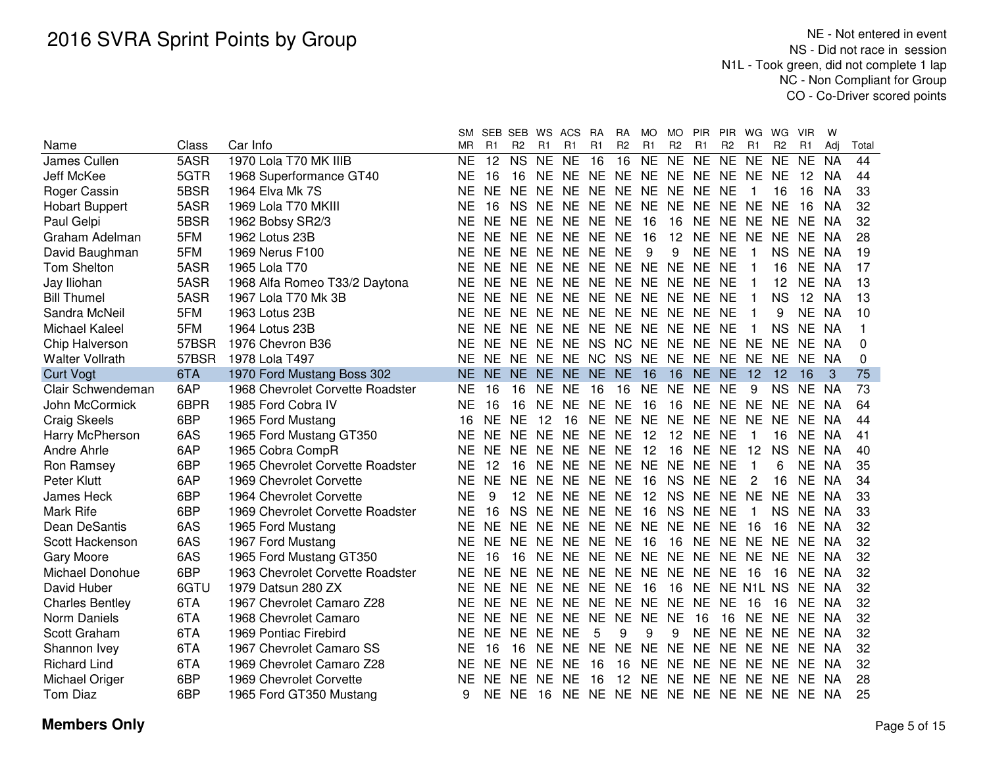|                        |       |                                  | SM        | <b>SEB</b>     | SEB            |           | WS ACS                                 | RA             | <b>RA</b>      | MO.            | <b>MO</b>      | <b>PIR</b>     | <b>PIR</b>     | WG           | WG.            | <b>VIR</b> | W         |          |
|------------------------|-------|----------------------------------|-----------|----------------|----------------|-----------|----------------------------------------|----------------|----------------|----------------|----------------|----------------|----------------|--------------|----------------|------------|-----------|----------|
| Name                   | Class | Car Info                         | ΜR        | R <sub>1</sub> | R <sub>2</sub> | R1        | R <sub>1</sub>                         | R <sub>1</sub> | R <sub>2</sub> | R <sub>1</sub> | R <sub>2</sub> | R <sub>1</sub> | R <sub>2</sub> | R1           | R <sub>2</sub> | R1         | Adi       | Total    |
| James Cullen           | 5ASR  | 1970 Lola T70 MK IIIB            | <b>NE</b> | 12             | <b>NS</b>      | NE.       | <b>NE</b>                              | 16             | 16             | <b>NE</b>      | <b>NE</b>      | <b>NE</b>      | <b>NE</b>      | <b>NE</b>    | NE.            | NE.        | <b>NA</b> | 44       |
| Jeff McKee             | 5GTR  | 1968 Superformance GT40          | NE.       | 16             | 16             | NE.       | NE NE NE                               |                |                |                |                | NE NE NE NE NE |                |              | NE.            | 12         | <b>NA</b> | 44       |
| Roger Cassin           | 5BSR  | 1964 Elva Mk 7S                  | NE.       | <b>NE</b>      | NF.            | <b>NE</b> | NE NE NE NE NE                         |                |                |                |                | <b>NE</b>      | <b>NE</b>      | 1            | 16             | 16         | <b>NA</b> | 33       |
| <b>Hobart Buppert</b>  | 5ASR  | 1969 Lola T70 MKIII              | ΝE        | 16             | <b>NS</b>      | <b>NE</b> | NE NE NE                               |                |                | NE NE          |                | <b>NE</b>      | NE NE          |              | <b>NE</b>      | 16         | <b>NA</b> | 32       |
| Paul Gelpi             | 5BSR  | 1962 Bobsy SR2/3                 | <b>NE</b> | NE NE          |                |           | NE NE NE                               |                | <b>NE</b>      | -16            | 16             | <b>NE</b>      | NE NE          |              | <b>NE</b>      | NE.        | <b>NA</b> | 32       |
| Graham Adelman         | 5FM   | 1962 Lotus 23B                   | <b>NE</b> | <b>NE</b>      | <b>NE</b>      | <b>NE</b> | NE NE                                  |                | <b>NE</b>      | 16             | 12             | <b>NE</b>      | <b>NE</b>      | <b>NE</b>    | NE.            | NE.        | <b>NA</b> | 28       |
| David Baughman         | 5FM   | 1969 Nerus F100                  | <b>NE</b> | <b>NE</b>      | NE.            | <b>NE</b> | NE NE                                  |                | <b>NE</b>      | 9              | 9              | <b>NE</b>      | <b>NE</b>      | 1            | <b>NS</b>      | <b>NE</b>  | <b>NA</b> | 19       |
| Tom Shelton            | 5ASR  | 1965 Lola T70                    | <b>NE</b> | <b>NE</b>      | <b>NE</b>      | <b>NE</b> | NE NE                                  |                | <b>NE</b>      | <b>NE</b>      | <b>NE</b>      | <b>NE</b>      | <b>NE</b>      | 1            | 16             | <b>NE</b>  | NA        | 17       |
| Jay Iliohan            | 5ASR  | 1968 Alfa Romeo T33/2 Daytona    | <b>NE</b> | <b>NE</b>      | <b>NE</b>      | <b>NE</b> | <b>NE</b>                              | <b>NE</b>      | <b>NE</b>      | NE NE          |                | <b>NE</b>      | <b>NE</b>      | 1            | 12             | <b>NE</b>  | NA        | 13       |
| <b>Bill Thumel</b>     | 5ASR  | 1967 Lola T70 Mk 3B              | <b>NE</b> | <b>NE</b>      | <b>NE</b>      | <b>NE</b> | <b>NE</b>                              | <b>NE</b>      | <b>NE</b>      | <b>NE</b>      | NE NE          |                | <b>NE</b>      | 1            | <b>NS</b>      | 12         | <b>NA</b> | 13       |
| Sandra McNeil          | 5FM   | 1963 Lotus 23B                   | <b>NE</b> | <b>NE</b>      | NE.            | <b>NE</b> | <b>NE</b>                              | NE.            | <b>NE</b>      |                | NE NE NE       |                | <b>NE</b>      |              | 9              | <b>NE</b>  | NA        | 10       |
| <b>Michael Kaleel</b>  | 5FM   | 1964 Lotus 23B                   | <b>NE</b> | <b>NE</b>      | NE.            | <b>NE</b> | <b>NE</b>                              | NE.            | <b>NE</b>      | <b>NE</b>      | NE.            | <b>NE</b>      | <b>NE</b>      |              | <b>NS</b>      | <b>NE</b>  | -NA       | 1        |
| Chip Halverson         | 57BSR | 1976 Chevron B36                 | NE        | <b>NE</b>      | <b>NE</b>      | <b>NE</b> | <b>NE</b>                              | <b>NS</b>      | <b>NC</b>      | <b>NE</b>      | NE.            | <b>NE</b>      | NE.            | NE.          | <b>NE</b>      | NE.        | -NA       | 0        |
| <b>Walter Vollrath</b> | 57BSR | 1978 Lola T497                   | <b>NE</b> | NF.            | NE.            | NE.       | NE NC                                  |                | <b>NS</b>      | <b>NE</b>      | NE NE          |                | NE.            | -NE          | NE.            | NE.        | - NA      | $\Omega$ |
| <b>Curt Vogt</b>       | 6TA   | 1970 Ford Mustang Boss 302       | <b>NE</b> | NE.            | NE.            | <b>NE</b> | NE NE NE                               |                |                | 16             | 16             | <b>NE</b>      | <b>NE</b>      | 12           | 12             | 16         | 3         | 75       |
| Clair Schwendeman      | 6AP   | 1968 Chevrolet Corvette Roadster | <b>NE</b> | 16             | 16             | <b>NE</b> | <b>NE</b>                              | 16             | 16             | <b>NE</b>      | <b>NE</b>      | <b>NE</b>      | <b>NE</b>      | 9            | <b>NS</b>      | NE.        | <b>NA</b> | 73       |
| John McCormick         | 6BPR  | 1985 Ford Cobra IV               | <b>NE</b> | 16             | 16             | <b>NE</b> | <b>NE</b>                              | <b>NE</b>      | <b>NE</b>      | 16             | 16             | <b>NE</b>      | <b>NE</b>      | <b>NE</b>    | <b>NE</b>      | <b>NE</b>  | - NA      | 64       |
| <b>Craig Skeels</b>    | 6BP   | 1965 Ford Mustang                | 16        | NE.            | <b>NE</b>      | 12        | 16                                     |                |                | NE NE NE NE    |                | <b>NE</b>      | NE NE          |              | <b>NE</b>      | NE NA      |           | 44       |
| Harry McPherson        | 6AS   | 1965 Ford Mustang GT350          | <b>NE</b> | <b>NE</b>      | <b>NE</b>      | <b>NE</b> | NE NE NE                               |                |                | 12             | 12             | <b>NE</b>      | <b>NE</b>      | 1            | 16             | NE NA      |           | 41       |
| Andre Ahrle            | 6AP   | 1965 Cobra CompR                 | <b>NE</b> | NE.            | NE.            | <b>NE</b> | NE NE NE                               |                |                | 12             | 16             | <b>NE</b>      | <b>NE</b>      | 12           | <b>NS</b>      | NE NA      |           | 40       |
| Ron Ramsey             | 6BP   | 1965 Chevrolet Corvette Roadster | <b>NE</b> | 12             | 16             | <b>NE</b> | NE NE                                  |                | <b>NE</b>      | NE NE          |                | <b>NE</b>      | <b>NE</b>      | $\mathbf{1}$ | 6              | <b>NE</b>  | NA        | 35       |
| Peter Klutt            | 6AP   | 1969 Chevrolet Corvette          | <b>NE</b> | <b>NE</b>      | <b>NE</b>      | <b>NE</b> | NE NE                                  |                | <b>NE</b>      | 16             | <b>NS</b>      | <b>NE</b>      | <b>NE</b>      | 2            | 16             | <b>NE</b>  | NA        | 34       |
| James Heck             | 6BP   | 1964 Chevrolet Corvette          | <b>NE</b> | 9              | 12             | <b>NE</b> | NE NE                                  |                | <b>NE</b>      | 12             | <b>NS</b>      | <b>NE</b>      | NE NE          |              | <b>NE</b>      | <b>NE</b>  | NA.       | 33       |
| Mark Rife              | 6BP   | 1969 Chevrolet Corvette Roadster | <b>NE</b> | 16             | <b>NS</b>      | <b>NE</b> | <b>NE</b>                              | NE NE          |                | 16             | <b>NS</b>      | <b>NE</b>      | <b>NE</b>      | 1            | <b>NS</b>      | <b>NE</b>  | NA.       | 33       |
| Dean DeSantis          | 6AS   | 1965 Ford Mustang                | <b>NE</b> | <b>NE</b>      | <b>NE</b>      | <b>NE</b> | <b>NE</b>                              | NE NE          |                | <b>NE</b>      | <b>NE</b>      | <b>NE</b>      | <b>NE</b>      | 16           | 16             | <b>NE</b>  | -NA       | 32       |
| Scott Hackenson        | 6AS   | 1967 Ford Mustang                | <b>NE</b> | <b>NE</b>      | NE.            | <b>NE</b> | <b>NE</b>                              | NE NE          |                | - 16           | 16             | <b>NE</b>      | <b>NE</b>      | <b>NE</b>    | NE.            | NF.        | -NA       | 32       |
| Gary Moore             | 6AS   | 1965 Ford Mustang GT350          | <b>NE</b> | 16             | 16             | NE.       | NE NE NE NE                            |                |                |                | NE NE          |                |                | NE NE NE     |                | NE.        | - NA      | 32       |
| Michael Donohue        | 6BP   | 1963 Chevrolet Corvette Roadster | <b>NE</b> | <b>NE</b>      | <b>NE</b>      | <b>NE</b> | NE NE NE NE                            |                |                |                |                | NE NE NE       |                | 16           | 16             | NE.        | - NA      | 32       |
| David Huber            | 6GTU  | 1979 Datsun 280 ZX               | <b>NE</b> | <b>NE</b>      | NE.            | <b>NE</b> | <b>NE</b>                              | NE NE          |                | - 16           | 16             | NE NE N1L NS   |                |              |                | NE.        | - NA      | 32       |
| <b>Charles Bentley</b> | 6TA   | 1967 Chevrolet Camaro Z28        | NE.       | NE.            | NE.            | <b>NE</b> | <b>NE</b>                              | NE NE          |                | <b>NE</b>      | <b>NE</b>      | <b>NE</b>      | NE.            | 16           | 16             | NE.        | NA        | 32       |
| Norm Daniels           | 6TA   | 1968 Chevrolet Camaro            | NE.       | <b>NE</b>      | NE.            | <b>NE</b> | <b>NE</b>                              | <b>NE</b>      | <b>NE</b>      | <b>NE</b>      | <b>NE</b>      | 16             | 16             | NE NE        |                | NE.        | NA        | 32       |
| Scott Graham           | 6TA   | 1969 Pontiac Firebird            | NE.       | NE.            | NE.            | NE.       | <b>NE</b>                              | 5              | 9              | 9              | 9              | <b>NE</b>      | NE NE          |              | NE.            | NE.        | - NA      | 32       |
| Shannon Ivey           | 6TA   | 1967 Chevrolet Camaro SS         | NE.       | 16             | 16             | NF.       | <b>NE</b>                              | <b>NE</b>      | <b>NE</b>      | <b>NE</b>      | <b>NE</b>      | <b>NE</b>      | NE NE          |              | NE.            | NE.        | - NA      | 32       |
| <b>Richard Lind</b>    | 6TA   | 1969 Chevrolet Camaro Z28        | NE.       | <b>NE</b>      | NE.            | NE.       | <b>NE</b>                              | 16             | 16             | NE.            | <b>NE</b>      | <b>NE</b>      | NE NE          |              | NE.            | NE NA      |           | 32       |
| Michael Origer         | 6BP   | 1969 Chevrolet Corvette          | <b>NE</b> | NE.            | NE.            | <b>NE</b> | <b>NE</b>                              | 16             | 12             |                |                | NE NE NE NE NE |                |              | NE.            | NE NA      |           | 28       |
| <b>Tom Diaz</b>        | 6BP   | 1965 Ford GT350 Mustang          | 9         |                | NE NE          |           | 16 NE NE NE NE NE NE NE NE NE NE NE NA |                |                |                |                |                |                |              |                |            |           | 25       |
|                        |       |                                  |           |                |                |           |                                        |                |                |                |                |                |                |              |                |            |           |          |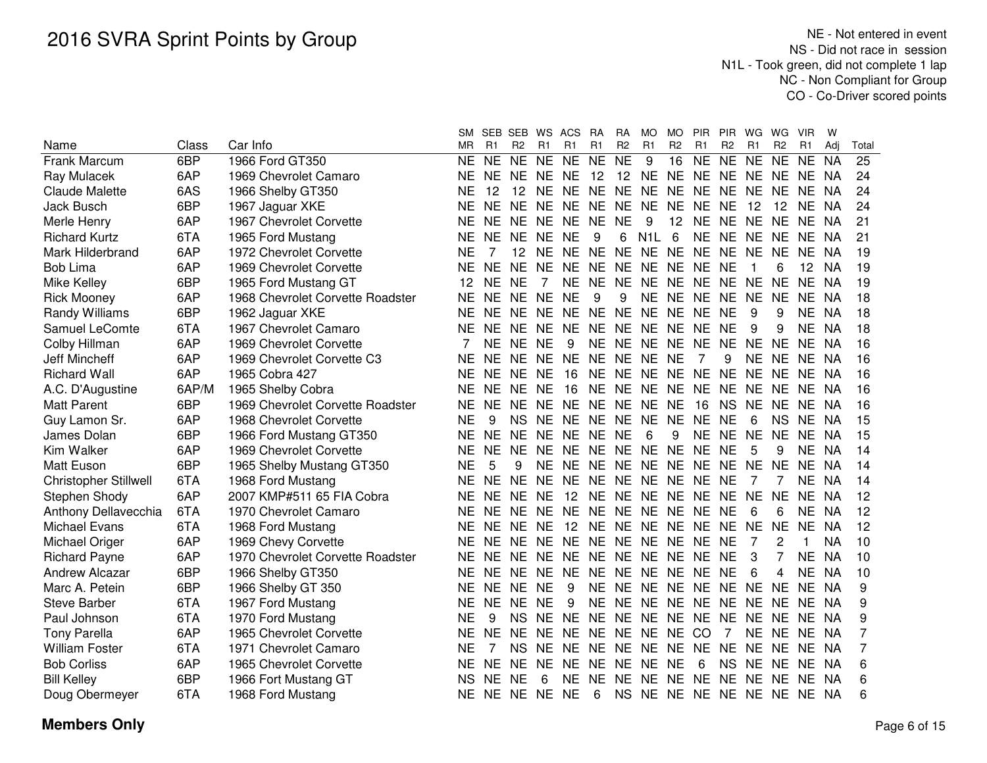|                              |       |                                  | SM.       | SEB SEB        |                |           | WS ACS            | <b>RA</b> | <b>RA</b>       | MO.              | <b>MO</b>      | <b>PIR</b>                 | <b>PIR</b>     | WG        | WG             | <b>VIR</b>     | w         |       |
|------------------------------|-------|----------------------------------|-----------|----------------|----------------|-----------|-------------------|-----------|-----------------|------------------|----------------|----------------------------|----------------|-----------|----------------|----------------|-----------|-------|
| Name                         | Class | Car Info                         | ΜR        | R <sub>1</sub> | R <sub>2</sub> | R1        | R1                | R1        | R <sub>2</sub>  | R1               | R <sub>2</sub> | R <sub>1</sub>             | R <sub>2</sub> | R1        | R <sub>2</sub> | R <sub>1</sub> | Adi       | Total |
| Frank Marcum                 | 6BP   | 1966 Ford GT350                  | NE.       | <b>NE</b>      | <b>NE</b>      | <b>NE</b> | <b>NE</b>         | <b>NE</b> | <b>NE</b>       | 9                | 16             | <b>NE</b>                  | <b>NE</b>      | <b>NE</b> | NE.            | <b>NE</b>      | <b>NA</b> | 25    |
| Ray Mulacek                  | 6AP   | 1969 Chevrolet Camaro            | NΕ        | NE NE          |                | NE.       | NE.               | 12        | 12 <sup>2</sup> | NE NE NE         |                |                            |                | NE NE NE  |                | <b>NE</b>      | - NA      | 24    |
| <b>Claude Malette</b>        | 6AS   | 1966 Shelby GT350                | ΝE        | 12             | 12             | <b>NE</b> | NE NE NE          |           |                 | NE.              |                | NE NE NE NE                |                |           | <b>NE</b>      | <b>NE</b>      | NA.       | 24    |
| Jack Busch                   | 6BP   | 1967 Jaguar XKE                  | ΝE        | NE NE          |                | <b>NE</b> | NE NE             |           | <b>NE</b>       | <b>NE</b>        | NE NE          |                            | <b>NE</b>      | 12        | 12             | <b>NE</b>      | NA        | 24    |
| Merle Henry                  | 6AP   | 1967 Chevrolet Corvette          | <b>NE</b> | NE NE          |                | NE.       | NE NE             |           | <b>NE</b>       | 9                | 12             | NE NE NE                   |                |           | <b>NE</b>      | NE.            | NA        | 21    |
| <b>Richard Kurtz</b>         | 6TA   | 1965 Ford Mustang                | <b>NE</b> | NE NE          |                | <b>NE</b> | <b>NE</b>         | 9         | 6               | N <sub>1</sub> L | 6              | <b>NE</b>                  | NE NE          |           | <b>NE</b>      | NE.            | NA        | 21    |
| Mark Hilderbrand             | 6AP   | 1972 Chevrolet Corvette          | <b>NE</b> | 7              | 12             | <b>NE</b> | NE.               | NE.       | <b>NE</b>       | <b>NE</b>        | <b>NE</b>      | <b>NE</b>                  | <b>NE</b>      | <b>NE</b> | <b>NE</b>      | <b>NE</b>      | <b>NA</b> | 19    |
| <b>Bob Lima</b>              | 6AP   | 1969 Chevrolet Corvette          | NE        | <b>NE</b>      | <b>NE</b>      | <b>NE</b> | <b>NE</b>         | <b>NE</b> | <b>NE</b>       | <b>NE</b>        | <b>NE</b>      | <b>NE</b>                  | <b>NE</b>      | 1         | 6              | 12             | NA        | 19    |
| Mike Kelley                  | 6BP   | 1965 Ford Mustang GT             | 12        | <b>NE</b>      | <b>NE</b>      | 7         | <b>NE</b>         | <b>NE</b> | <b>NE</b>       | <b>NE</b>        | <b>NE</b>      | <b>NE</b>                  | <b>NE</b>      | <b>NE</b> | <b>NE</b>      | <b>NE</b>      | <b>NA</b> | 19    |
| <b>Rick Mooney</b>           | 6AP   | 1968 Chevrolet Corvette Roadster | <b>NE</b> | <b>NE</b>      | <b>NE</b>      | <b>NE</b> | <b>NE</b>         | 9         | 9               | <b>NE</b>        | NE NE          |                            | <b>NE</b>      | <b>NE</b> | <b>NE</b>      | <b>NE</b>      | NA        | 18    |
| Randy Williams               | 6BP   | 1962 Jaguar XKE                  | <b>NE</b> | <b>NE</b>      | <b>NE</b>      | <b>NE</b> | <b>NE</b>         | <b>NE</b> | <b>NE</b>       | NE NE NE         |                |                            | <b>NE</b>      | 9         | 9              | <b>NE</b>      | NA        | 18    |
| Samuel LeComte               | 6TA   | 1967 Chevrolet Camaro            | <b>NE</b> | <b>NE</b>      | <b>NE</b>      | <b>NE</b> | <b>NE</b>         | <b>NE</b> | <b>NE</b>       | NE NE NE         |                |                            | <b>NE</b>      | 9         | 9              | <b>NE</b>      | <b>NA</b> | 18    |
| Colby Hillman                | 6AP   | 1969 Chevrolet Corvette          |           | NE             | <b>NE</b>      | <b>NE</b> | 9                 | <b>NE</b> | NE.             | <b>NE</b>        | NE.            | <b>NE</b>                  | <b>NE</b>      | <b>NE</b> | <b>NE</b>      | <b>NE</b>      | -NA       | 16    |
| Jeff Mincheff                | 6AP   | 1969 Chevrolet Corvette C3       | NE        | <b>NE</b>      | NE.            | NE.       | <b>NE</b>         | NE.       | NE.             | NE.              | <b>NE</b>      | 7                          | 9              | NE.       | <b>NE</b>      | <b>NE</b>      | NA        | 16    |
| <b>Richard Wall</b>          | 6AP   | 1965 Cobra 427                   | NE        | <b>NE</b>      | <b>NE</b>      | <b>NE</b> | 16                | <b>NE</b> | <b>NE</b>       | <b>NE</b>        | <b>NE</b>      | <b>NE</b>                  | <b>NE</b>      | NE.       | <b>NE</b>      | NE.            | NA        | 16    |
| A.C. D'Augustine             | 6AP/M | 1965 Shelby Cobra                | <b>NE</b> | <b>NE</b>      | <b>NE</b>      | <b>NE</b> | 16                | <b>NE</b> | <b>NE</b>       | <b>NE</b>        | <b>NE</b>      | <b>NE</b>                  | <b>NE</b>      | <b>NE</b> | <b>NE</b>      | <b>NE</b>      | - NA      | 16    |
| <b>Matt Parent</b>           | 6BP   | 1969 Chevrolet Corvette Roadster | <b>NE</b> | NE.            | <b>NE</b>      | <b>NE</b> | NE NE             |           | <b>NE</b>       | <b>NE</b>        | <b>NE</b>      | 16                         | <b>NS</b>      | <b>NE</b> | <b>NE</b>      | <b>NE</b>      | - NA      | 16    |
| Guy Lamon Sr.                | 6AP   | 1968 Chevrolet Corvette          | <b>NE</b> | 9              | <b>NS</b>      | <b>NE</b> | NE NE NE NE NE NE |           |                 |                  |                |                            | <b>NE</b>      | 6         | <b>NS</b>      | NE NA          |           | 15    |
| James Dolan                  | 6BP   | 1966 Ford Mustang GT350          | NE.       | NE NE          |                | <b>NE</b> | NE NE NE          |           |                 | -6               | 9              | <b>NE</b>                  | NE NE          |           | <b>NE</b>      | NE NA          |           | 15    |
| Kim Walker                   | 6AP   | 1969 Chevrolet Corvette          | NE        | NE NE          |                | <b>NE</b> | NE NE             |           | NE              | NE NE NE         |                |                            | <b>NE</b>      | 5         | 9              | <b>NE</b>      | NA        | 14    |
| <b>Matt Euson</b>            | 6BP   | 1965 Shelby Mustang GT350        | <b>NE</b> | 5              | 9              | <b>NE</b> | NE NE             |           | <b>NE</b>       | NE NE            |                | <b>NE</b>                  | NE NE          |           | <b>NE</b>      | <b>NE</b>      | NA        | 14    |
| <b>Christopher Stillwell</b> | 6TA   | 1968 Ford Mustang                | <b>NE</b> | <b>NE</b>      | <b>NE</b>      | <b>NE</b> | NE NE             |           | <b>NE</b>       | NE NE            |                | <b>NE</b>                  | <b>NE</b>      | 7         | 7              | <b>NE</b>      | <b>NA</b> | 14    |
| Stephen Shody                | 6AP   | 2007 KMP#511 65 FIA Cobra        | <b>NE</b> | NE.            | <b>NE</b>      | <b>NE</b> | 12                | <b>NE</b> | <b>NE</b>       | NE NE            |                | <b>NE</b>                  | <b>NE</b>      | <b>NE</b> | <b>NE</b>      | <b>NE</b>      | <b>NA</b> | 12    |
| Anthony Dellavecchia         | 6TA   | 1970 Chevrolet Camaro            | <b>NE</b> | NE NE          |                | <b>NE</b> | <b>NE</b>         | <b>NE</b> | <b>NE</b>       | NE NE NE         |                |                            | <b>NE</b>      | 6         | 6              | <b>NE</b>      | <b>NA</b> | 12    |
| <b>Michael Evans</b>         | 6TA   | 1968 Ford Mustang                | NE.       | NE NE          |                | <b>NE</b> | 12                | <b>NE</b> | <b>NE</b>       | NE NE NE         |                |                            | <b>NE</b>      | <b>NE</b> | <b>NE</b>      | <b>NE</b>      | <b>NA</b> | 12    |
| Michael Origer               | 6AP   | 1969 Chevy Corvette              | NE.       | NE NE          |                | <b>NE</b> | NE NE             |           | <b>NE</b>       | NE NE NE         |                |                            | NE             | 7         | 2              | 1              | <b>NA</b> | 10    |
| <b>Richard Payne</b>         | 6AP   | 1970 Chevrolet Corvette Roadster | NE.       | NE NE          |                | <b>NE</b> | NE NE             |           |                 | NE NE NE NE      |                |                            | NE             | 3         | $\overline{7}$ | <b>NE</b>      | NA        | 10    |
| Andrew Alcazar               | 6BP   | 1966 Shelby GT350                | ΝE        | NE NE          |                | <b>NE</b> | <b>NE</b>         | <b>NE</b> | <b>NE</b>       |                  |                | NE NE NE NE                |                | 6         | 4              | <b>NE</b>      | <b>NA</b> | 10    |
| Marc A. Petein               | 6BP   | 1966 Shelby GT 350               | ΝE        | NE NE          |                | <b>NE</b> | 9                 | <b>NE</b> | <b>NE</b>       |                  |                | NE NE NE NE                |                | <b>NE</b> | <b>NE</b>      | NE.            | NA        | 9     |
| <b>Steve Barber</b>          | 6TA   | 1967 Ford Mustang                | ΝE        | <b>NE</b>      | NE.            | <b>NE</b> | 9                 | <b>NE</b> | <b>NE</b>       | NE NE NE         |                |                            | NE.            | NE.       | <b>NE</b>      | NE.            | NA        | 9     |
| Paul Johnson                 | 6TA   | 1970 Ford Mustang                | ΝE        | 9              | <b>NS</b>      | <b>NE</b> | <b>NE</b>         | NE.       | <b>NE</b>       | <b>NE</b>        | NE NE          |                            | <b>NE</b>      | NE.       | <b>NE</b>      | NE.            | <b>NA</b> | 9     |
| <b>Tony Parella</b>          | 6AP   | 1965 Chevrolet Corvette          | NΕ        | <b>NE</b>      | NE.            | NE.       | NE NE             |           | NE.             | NE.              | NE CO          |                            | 7              | NE NE     |                | NE.            | NA        | 7     |
| <b>William Foster</b>        | 6TA   | 1971 Chevrolet Camaro            | NΕ        | 7              | <b>NS</b>      | NF.       | NE NE             |           | NE.             | NE .             | NE NE          |                            | <b>NE</b>      | NF.       | NE.            | NE.            | - NA      | 7     |
| <b>Bob Corliss</b>           | 6AP   | 1965 Chevrolet Corvette          | ΝE        | NE NE          |                | NE.       | NE NE             |           | NE.             | NE NE            |                | 6                          | <b>NS</b>      | NE.       | <b>NE</b>      | NE.            | - NA      | 6     |
| <b>Bill Kelley</b>           | 6BP   | 1966 Fort Mustang GT             | NS        | NE.            | <b>NE</b>      | 6         | NE.               | NE.       | NE.             |                  |                | NE NE NE NE NE             |                |           | <b>NE</b>      | NE NA          |           | 6     |
| Doug Obermeyer               | 6TA   | 1968 Ford Mustang                | NE.       | NE NE NE NE    |                |           |                   | 6         |                 |                  |                | NS NE NE NE NE NE NE NE NA |                |           |                |                |           | 6     |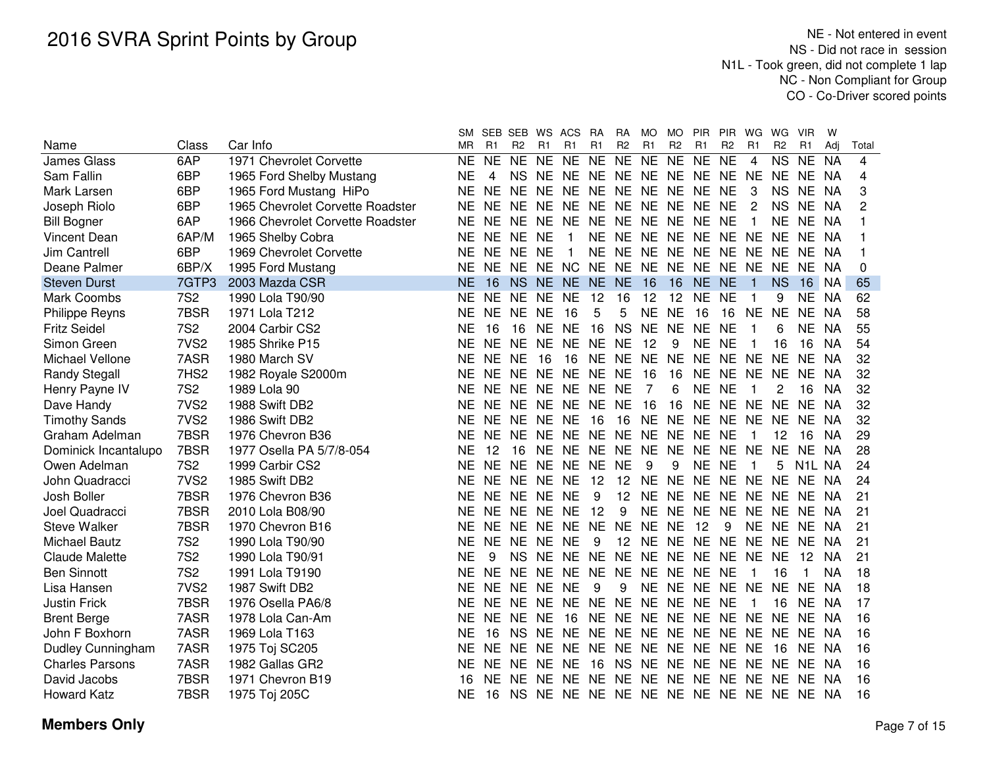|                        |                  |                                  | SМ        |           | SEB SEB WS ACS      |           |                                  | <b>RA</b>       | <b>RA</b>      | <b>MO</b> | <b>MO</b>      | <b>PIR</b>                 | <b>PIR</b>     | WG             | WG.                    | <b>VIR</b>   | W         |       |
|------------------------|------------------|----------------------------------|-----------|-----------|---------------------|-----------|----------------------------------|-----------------|----------------|-----------|----------------|----------------------------|----------------|----------------|------------------------|--------------|-----------|-------|
| Name                   | Class            | Car Info                         | <b>MR</b> | R1        | R <sub>2</sub>      | R1        | R <sub>1</sub>                   | R <sub>1</sub>  | R <sub>2</sub> | R1        | R <sub>2</sub> | R1                         | R <sub>2</sub> | R <sub>1</sub> | R <sub>2</sub>         | R1           | Adj       | Total |
| <b>James Glass</b>     | 6AP              | 1971 Chevrolet Corvette          | <b>NE</b> | <b>NE</b> | $\overline{\sf NE}$ | NE        | <b>NE</b>                        | $\overline{NE}$ | N <sub>E</sub> | <b>NE</b> | <b>NE</b>      | NE NE                      |                | 4              | $\overline{\text{NS}}$ | <b>NE</b>    | <b>NA</b> | 4     |
| Sam Fallin             | 6BP              | 1965 Ford Shelby Mustang         | <b>NE</b> | 4         | NS.                 |           | NE NE NE NE NE NE NE NE NE       |                 |                |           |                |                            |                |                | NE NE                  |              | - NA      | 4     |
| Mark Larsen            | 6BP              | 1965 Ford Mustang HiPo           | <b>NE</b> | NE.       | NE.                 | <b>NE</b> | NE.                              |                 |                |           |                | NE NE NE NE NE NE          |                | 3              | NS.                    | NE.          | NA        | 3     |
| Joseph Riolo           | 6BP              | 1965 Chevrolet Corvette Roadster | <b>NE</b> | <b>NE</b> | NE NE               |           | NE.                              | NE NE           |                |           |                | NE NE NE NE                |                | 2              | <b>NS</b>              | NE.          | <b>NA</b> | 2     |
| <b>Bill Bogner</b>     | 6AP              | 1966 Chevrolet Corvette Roadster | <b>NE</b> | NE.       | NE NE               |           | <b>NE</b>                        | NE.             | NE.            |           |                | NE NE NE NE                |                | 1              | NE.                    | NE.          | NA        |       |
| <b>Vincent Dean</b>    | 6AP/M            | 1965 Shelby Cobra                | <b>NE</b> | <b>NE</b> | NE.                 | <b>NE</b> | -1                               | <b>NE</b>       | <b>NE</b>      |           |                | NE NE NE NE                |                | <b>NE</b>      | NE.                    | NE.          | NA        |       |
| <b>Jim Cantrell</b>    | 6BP              | 1969 Chevrolet Corvette          | NE.       | NE.       | NE.                 | NE.       | -1                               | <b>NE</b>       | NE.            |           |                | NE NE NE NE NE             |                |                | NE.                    | NE.          | - NA      |       |
| Deane Palmer           | 6BP/X            | 1995 Ford Mustang                | NE.       | <b>NE</b> | NF.                 |           | NE NC NE                         |                 | NE.            |           |                | NE NE NE NE NE             |                |                | NE.                    | NE.          | NA        | 0     |
| <b>Steven Durst</b>    | 7GTP3            | 2003 Mazda CSR                   | <b>NE</b> | 16        | NS.                 | NE.       | NE.                              | <b>NE</b>       | <b>NE</b>      | -16       | 16             | NE NE                      |                | 1              | <b>NS</b>              | 16           | - NA      | 65    |
| Mark Coombs            | <b>7S2</b>       | 1990 Lola T90/90                 | <b>NE</b> |           | NE NE               | NE NE     |                                  | 12              | 16             | -12       | 12             | NE NE                      |                | 1              | 9                      | NE NA        |           | 62    |
| <b>Philippe Reyns</b>  | 7BSR             | 1971 Lola T212                   | <b>NE</b> |           | NE NE NE            |           | 16                               | 5               | 5              | NE NE     |                | 16                         | 16             | <b>NE</b>      | NE.                    | NE.          | NA        | 58    |
| <b>Fritz Seidel</b>    | <b>7S2</b>       | 2004 Carbir CS2                  | <b>NE</b> | 16        | 16                  |           | NE NE                            | 16              | <b>NS</b>      | NE NE     |                | NE NE                      |                | -1             | 6                      | NE NA        |           | 55    |
| Simon Green            | 7VS <sub>2</sub> | 1985 Shrike P15                  | <b>NE</b> | NE NE     |                     | <b>NE</b> | NE NE                            |                 | <b>NE</b>      | 12        | 9              | NE NE                      |                | 1              | 16                     | 16           | <b>NA</b> | 54    |
| Michael Vellone        | 7ASR             | 1980 March SV                    | <b>NE</b> | NE NE     |                     | 16        | 16                               | <b>NE</b>       | <b>NE</b>      | NE.       | <b>NE</b>      | NE NE NE                   |                |                | NE.                    | NE.          | NA        | 32    |
| <b>Randy Stegall</b>   | 7HS <sub>2</sub> | 1982 Royale S2000m               | <b>NE</b> |           | NE NE               | NE.       | NE NE                            |                 | <b>NE</b>      | 16        | 16             |                            | NE NE NE       |                | NE.                    | NE.          | NA        | 32    |
| Henry Payne IV         | <b>7S2</b>       | 1989 Lola 90                     | <b>NE</b> | <b>NE</b> | NE.                 | <b>NE</b> | NE NE                            |                 | <b>NE</b>      | 7         | 6              | NE NE                      |                | 1              | 2                      | 16           | <b>NA</b> | 32    |
| Dave Handy             | 7VS <sub>2</sub> | 1988 Swift DB2                   | <b>NE</b> | <b>NE</b> | NE.                 | <b>NE</b> | <b>NE</b>                        | <b>NE</b>       | <b>NE</b>      | 16        | 16             | <b>NE</b>                  | <b>NE</b>      | <b>NE</b>      | NE.                    | NE.          | NA        | 32    |
| <b>Timothy Sands</b>   | 7VS <sub>2</sub> | 1986 Swift DB2                   | <b>NE</b> | <b>NE</b> | <b>NE</b>           | <b>NE</b> | <b>NE</b>                        | 16              | 16             | NE.       | <b>NE</b>      | <b>NE</b>                  | <b>NE</b>      | <b>NE</b>      | NE                     | NE.          | -NA       | 32    |
| Graham Adelman         | 7BSR             | 1976 Chevron B36                 | <b>NE</b> | <b>NE</b> | <b>NE</b>           | <b>NE</b> | <b>NE</b>                        | <b>NE</b>       | <b>NE</b>      | <b>NE</b> | NE NE          |                            | NE             | 1              | 12                     | 16           | NA.       | 29    |
| Dominick Incantalupo   | 7BSR             | 1977 Osella PA 5/7/8-054         | <b>NE</b> | 12        | 16                  | <b>NE</b> | <b>NE</b>                        | <b>NE</b>       | <b>NE</b>      | <b>NE</b> | NE NE          |                            | NE.            | <b>NE</b>      | <b>NE</b>              | NE.          | NA        | 28    |
| Owen Adelman           | <b>7S2</b>       | 1999 Carbir CS2                  | <b>NE</b> | <b>NE</b> | NE.                 | NE.       | <b>NE</b>                        | <b>NE</b>       | <b>NE</b>      | 9         | 9              | NE NE                      |                | 1              | 5                      | N1L NA       |           | 24    |
| John Quadracci         | 7VS <sub>2</sub> | 1985 Swift DB2                   | <b>NE</b> | <b>NE</b> | NE NE               |           | <b>NE</b>                        | 12              | 12             | NE.       | <b>NE</b>      | NE NE NE                   |                |                | NE.                    | NE.          | -NA       | 24    |
| Josh Boller            | 7BSR             | 1976 Chevron B36                 | <b>NE</b> | <b>NE</b> | NE NE               |           | <b>NE</b>                        | 9               | 12             | NE.       |                | NE NE NE NE                |                |                | NE.                    | NE.          | - NA      | 21    |
| Joel Quadracci         | 7BSR             | 2010 Lola B08/90                 | <b>NE</b> | <b>NE</b> | NE.                 | <b>NE</b> | <b>NE</b>                        | 12              | 9              | NE.       |                | NE NE NE                   |                | - NE           | NE.                    | NE.          | - NA      | 21    |
| <b>Steve Walker</b>    | 7BSR             | 1970 Chevron B16                 | <b>NE</b> | <b>NE</b> | NE.                 | <b>NE</b> | <b>NE</b>                        | <b>NE</b>       | <b>NE</b>      | NE.       | NE.            | 12                         | 9              | NE.            | NE.                    | NE.          | - NA      | 21    |
| <b>Michael Bautz</b>   | <b>7S2</b>       | 1990 Lola T90/90                 | <b>NE</b> | NE.       | <b>NE</b>           | <b>NE</b> | <b>NE</b>                        | 9               | 12             |           |                | NE NE NE NE                |                | NE NE          |                        | NE.          | - NA      | 21    |
| Claude Malette         | <b>7S2</b>       | 1990 Lola T90/91                 | <b>NE</b> | 9         | NS.                 | <b>NE</b> | <b>NE</b>                        | <b>NE</b>       | <b>NE</b>      |           |                | NE NE NE NE                |                | NE NE          |                        | 12           | - NA      | 21    |
| <b>Ben Sinnott</b>     | <b>7S2</b>       | 1991 Lola T9190                  | <b>NE</b> | <b>NE</b> | <b>NE</b>           | <b>NE</b> | <b>NE</b>                        | <b>NE</b>       | <b>NE</b>      |           | NE NE NE       |                            | <b>NE</b>      | 1              | 16                     | $\mathbf{1}$ | NA.       | 18    |
| Lisa Hansen            | 7VS <sub>2</sub> | 1987 Swift DB2                   | <b>NE</b> | <b>NE</b> | <b>NE</b>           | <b>NE</b> | <b>NE</b>                        | 9               | 9              | NE.       | NE NE          |                            | NE.            | <b>NE</b>      | NE.                    | NE.          | -NA       | 18    |
| <b>Justin Frick</b>    | 7BSR             | 1976 Osella PA6/8                | <b>NE</b> | <b>NE</b> | NE.                 | <b>NE</b> | <b>NE</b>                        | <b>NE</b>       | <b>NE</b>      |           |                | NE NE NE NE                |                | 1              | 16                     | NE.          | - NA      | 17    |
| <b>Brent Berge</b>     | 7ASR             | 1978 Lola Can-Am                 | <b>NE</b> | NE.       | <b>NE</b>           | <b>NE</b> | 16                               | <b>NE</b>       | <b>NE</b>      |           |                | NE NE NE NE NE             |                |                | NE.                    | NE.          | - NA      | 16    |
| John F Boxhorn         | 7ASR             | 1969 Lola T163                   | <b>NE</b> | 16        | <b>NS</b>           | NE.       |                                  |                 |                |           |                | NE NE NE NE NE NE NE NE NE |                |                |                        | NE NA        |           | 16    |
| Dudley Cunningham      | 7ASR             | 1975 Toj SC205                   | <b>NE</b> |           | NE NE               | <b>NE</b> | NE NE                            |                 |                |           |                | NE NE NE NE NE NE          |                |                | 16                     | NE.          | - NA      | 16    |
| <b>Charles Parsons</b> | 7ASR             | 1982 Gallas GR2                  | <b>NE</b> |           | NE NE               | NE.       | <b>NE</b>                        | 16              | <b>NS</b>      |           |                | NE NE NE                   | NE NE NE       |                |                        | NE.          | - NA      | 16    |
| David Jacobs           | 7BSR             | 1971 Chevron B19                 | 16        | NE.       | <b>NE</b>           | <b>NE</b> | NE NE                            |                 | <b>NE</b>      |           |                | NE NE NE NE                |                | NE NE          |                        | NE.          | - NA      | 16    |
| <b>Howard Katz</b>     | 7BSR             | 1975 Toj 205C                    | <b>NE</b> | 16        | NS.                 |           | NE NE NE NE NE NE NE NE NE NE NE |                 |                |           |                |                            |                |                |                        |              | - NA      | 16    |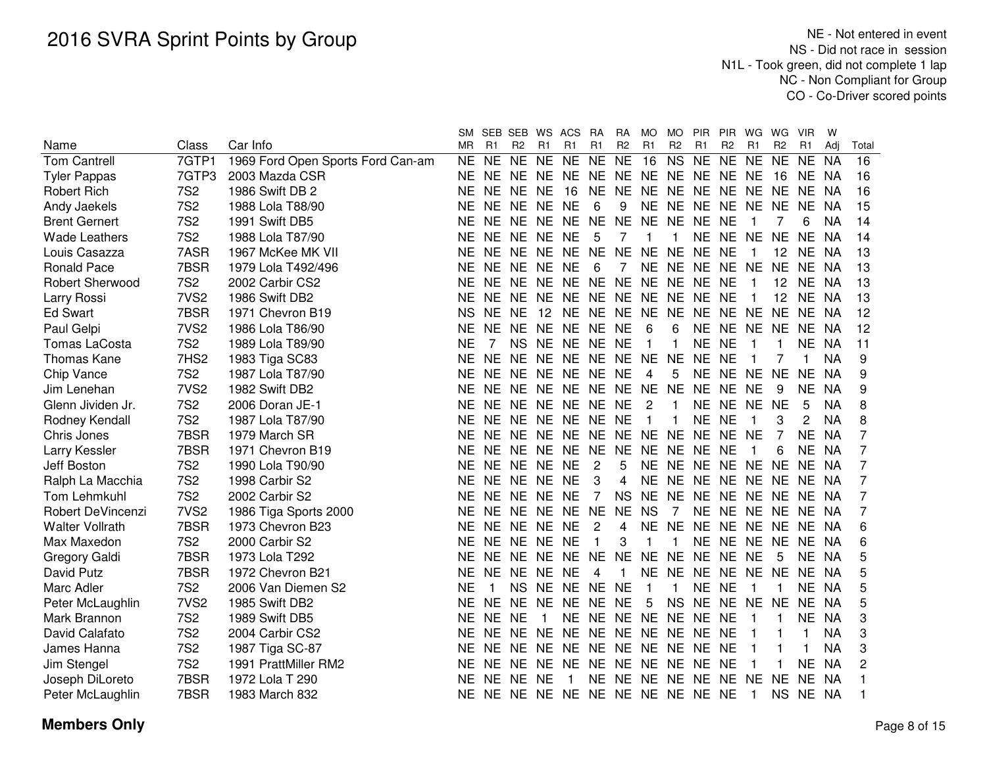|                        |                  |                                   | SM        | SEB            | SEB WS ACS     |                |                                  | RA                | RA             | MO.                     | MO.            | PIR PIR        |                | WG           | WG             | VIR         | w         |                |  |
|------------------------|------------------|-----------------------------------|-----------|----------------|----------------|----------------|----------------------------------|-------------------|----------------|-------------------------|----------------|----------------|----------------|--------------|----------------|-------------|-----------|----------------|--|
| Name                   | Class            | Car Info                          | <b>MR</b> | R1             | R <sub>2</sub> | R1             | R1                               | R1                | R <sub>2</sub> | R1                      | R <sub>2</sub> | R1             | R <sub>2</sub> | R1           | R <sub>2</sub> | R1          | Adi       | Total          |  |
| <b>Tom Cantrell</b>    | 7GTP1            | 1969 Ford Open Sports Ford Can-am | <b>NE</b> | <b>NE</b>      | NE.            | NE NE          |                                  | <b>NE</b>         | <b>NE</b>      | 16                      | <b>NS</b>      | <b>NE</b>      | <b>NE</b>      | <b>NE</b>    | <b>NE</b>      | <b>NE</b>   | NA        | 16             |  |
| <b>Tyler Pappas</b>    | 7GTP3            | 2003 Mazda CSR                    | <b>NE</b> |                |                |                | NE NE NE NE NE NE NE NE NE NE NE |                   |                |                         |                |                |                |              | 16             | NE.         | <b>NA</b> | 16             |  |
| <b>Robert Rich</b>     | <b>7S2</b>       | 1986 Swift DB 2                   | <b>NE</b> |                | NE NE NE       |                | 16                               | <b>NE</b>         |                |                         | NE NE NE NE    |                | NE NE          |              | <b>NE</b>      | <b>NE</b>   | <b>NA</b> | 16             |  |
| Andy Jaekels           | <b>7S2</b>       | 1988 Lola T88/90                  | <b>NE</b> |                | NE NE NE       |                | <b>NE</b>                        | 6                 | 9              |                         | NE NE NE       |                | NE NE NE       |              |                | <b>NE</b>   | NA        | 15             |  |
| <b>Brent Gernert</b>   | <b>7S2</b>       | 1991 Swift DB5                    | <b>NE</b> |                |                |                | NE NE NE NE NE                   |                   | <b>NE</b>      |                         |                | NE NE NE NE    |                | 1            |                | 6           | <b>NA</b> | 14             |  |
| <b>Wade Leathers</b>   | <b>7S2</b>       | 1988 Lola T87/90                  | <b>NE</b> |                | NE NE NE NE    |                |                                  | 5                 | 7              | 1                       | $\mathbf{1}$   | NE NE NE       |                |              | <b>NE</b>      | <b>NE</b>   | <b>NA</b> | 14             |  |
| Louis Casazza          | 7ASR             | 1967 McKee MK VII                 | <b>NE</b> |                |                |                | NE NE NE NE NE                   |                   | <b>NE</b>      | <b>NE</b>               | <b>NE</b>      | NE NE          |                | 1            | 12             | <b>NE</b>   | NA        | 13             |  |
| <b>Ronald Pace</b>     | 7BSR             | 1979 Lola T492/496                | <b>NE</b> |                | NE NE NE NE    |                |                                  | 6                 | 7              |                         |                | NE NE NE NE NE |                |              | <b>NE</b>      | NE.         | NA        | 13             |  |
| <b>Robert Sherwood</b> | <b>7S2</b>       | 2002 Carbir CS2                   | <b>NE</b> |                |                |                | NE NE NE NE NE                   |                   | <b>NE</b>      |                         | NE NE NE       |                | <b>NE</b>      | 1            | 12             | NE.         | NA        | 13             |  |
| Larry Rossi            | 7VS <sub>2</sub> | 1986 Swift DB2                    | <b>NE</b> |                |                |                | NE NE NE NE NE NE NE NE NE NE    |                   |                |                         |                |                |                | 1            | 12             | NE.         | NA        | 13             |  |
| <b>Ed Swart</b>        | 7BSR             | 1971 Chevron B19                  | <b>NS</b> | NE NE          |                |                | 12 NE NE NE NE NE NE NE NE       |                   |                |                         |                |                |                |              | <b>NE</b>      | NE.         | - NA      | 12             |  |
| Paul Gelpi             | 7VS <sub>2</sub> | 1986 Lola T86/90                  | <b>NE</b> |                |                |                | NE NE NE NE NE NE                |                   |                | 6                       | 6              | NE NE NE NE    |                |              |                | NE.         | NA        | 12             |  |
| Tomas LaCosta          | <b>7S2</b>       | 1989 Lola T89/90                  | <b>NE</b> | 7              |                |                | NS NE NE NE                      |                   | <b>NE</b>      | $\overline{\mathbf{1}}$ | $\mathbf{1}$   | NE NE          |                |              |                | <b>NE</b>   | <b>NA</b> | 11             |  |
| <b>Thomas Kane</b>     | 7HS2             | 1983 Tiga SC83                    | <b>NE</b> | NE.            |                |                | NE NE NE NE NE NE                |                   |                |                         | <b>NE</b>      | <b>NE</b>      | <b>NE</b>      |              |                | $\mathbf 1$ | <b>NA</b> | 9              |  |
| Chip Vance             | <b>7S2</b>       | 1987 Lola T87/90                  | <b>NE</b> |                |                |                | NE NE NE NE NE                   |                   | <b>NE</b>      | $\overline{4}$          | 5              | NE NE NE       |                |              | <b>NE</b>      | <b>NE</b>   | <b>NA</b> | 9              |  |
| Jim Lenehan            | 7VS <sub>2</sub> | 1982 Swift DB2                    | NΕ        |                |                |                | NE NE NE NE NE NE NE NE          |                   |                |                         |                | NE.            | NE NE          |              | 9              | <b>NE</b>   | NA        | 9              |  |
| Glenn Jividen Jr.      | <b>7S2</b>       | 2006 Doran JE-1                   | <b>NE</b> |                |                |                | NE NE NE NE NE                   |                   | <b>NE</b>      | $\overline{c}$          | $\mathbf{1}$   | NE NE NE NE    |                |              |                | 5           | <b>NA</b> | 8              |  |
| Rodney Kendall         | <b>7S2</b>       | 1987 Lola T87/90                  | <b>NE</b> |                |                |                | NE NE NE NE NE                   |                   | <b>NE</b>      | $\overline{\mathbf{1}}$ |                | <b>NE</b>      | <b>NE</b>      |              | 3              | 2           | <b>NA</b> | 8              |  |
| Chris Jones            | 7BSR             | 1979 March SR                     | <b>NE</b> |                | NE NE NE       |                | NE NE                            |                   |                | NE NE NE                |                | NE.            | NE.            | NE.          | 7              | NE.         | <b>NA</b> |                |  |
| Larry Kessler          | 7BSR             | 1971 Chevron B19                  | <b>NE</b> |                |                |                | NE NE NE NE NE                   |                   |                | NE NE NE                |                | <b>NE</b>      | <b>NE</b>      |              | 6              | <b>NE</b>   | <b>NA</b> | 7              |  |
| Jeff Boston            | <b>7S2</b>       | 1990 Lola T90/90                  | <b>NE</b> |                | NE NE NE NE    |                |                                  | $\overline{2}$    | 5              |                         | NE NE NE       |                | NE NE          |              | <b>NE</b>      | NE.         | NA        | 7              |  |
| Ralph La Macchia       | <b>7S2</b>       | 1998 Carbir S2                    | <b>NE</b> |                | NE NE NE       |                | <b>NE</b>                        | 3                 | 4              |                         | NE NE NE       |                | NE NE          |              | NE.            | NE.         | NA        | 7              |  |
| Tom Lehmkuhl           | <b>7S2</b>       | 2002 Carbir S2                    | <b>NE</b> |                | NE NE NE       |                | - NE                             | 7                 | <b>NS</b>      | NE NE                   |                | NE.            | NE NE NE       |              |                | NE.         | - NA      | 7              |  |
| Robert DeVincenzi      | 7VS <sub>2</sub> | 1986 Tiga Sports 2000             | <b>NE</b> |                |                |                | NE NE NE NE NE                   |                   | <b>NE</b>      | <b>NS</b>               | $\overline{7}$ | <b>NE</b>      | NE NE NE       |              |                | NE NA       |           | 7              |  |
| <b>Walter Vollrath</b> | 7BSR             | 1973 Chevron B23                  | <b>NE</b> |                | NE NE NE NE    |                |                                  | $\overline{2}$    | 4              | NE NE                   |                | <b>NE</b>      | NE NE NE       |              |                | NE.         | - NA      | 6              |  |
| Max Maxedon            | <b>7S2</b>       | 2000 Carbir S2                    | <b>NE</b> |                | NE NE NE       |                | NE                               | 1                 | 3              | 1                       |                | NE.            | NE NE NE       |              |                | NE.         | NA        | 6              |  |
| Gregory Galdi          | 7BSR             | 1973 Lola T292                    | NE.       |                |                |                | NE NE NE NE NE                   |                   | <b>NE</b>      | NE NE                   |                | <b>NE</b>      | NE NE          |              | 5              | NE NA       |           | 5              |  |
| David Putz             | 7BSR             | 1972 Chevron B21                  | <b>NE</b> |                | NE NE NE NE    |                |                                  | 4                 | $\mathbf{1}$   |                         | NE NE NE       |                | NE NE NE       |              |                | NE NA       |           | 5              |  |
| Marc Adler             | <b>7S2</b>       | 2006 Van Diemen S2                | <b>NE</b> | $\overline{1}$ | <b>NS</b>      |                | NE NE NE                         |                   | <b>NE</b>      | -1                      | $\mathbf{1}$   | <b>NE</b>      | <b>NE</b>      | $\mathbf 1$  | $\mathbf 1$    | NE.         | NA        | 5              |  |
| Peter McLaughlin       | 7VS <sub>2</sub> | 1985 Swift DB2                    | <b>NE</b> |                |                |                | NE NE NE NE NE NE                |                   |                | 5                       | <b>NS</b>      | <b>NE</b>      | NE NE NE       |              |                | NE NA       |           | 5              |  |
| Mark Brannon           | <b>7S2</b>       | 1989 Swift DB5                    | <b>NE</b> | NE NE          |                | $\overline{1}$ |                                  | NE NE NE NE NE NE |                |                         |                |                | <b>NE</b>      | 1            | $\mathbf{1}$   | <b>NE</b>   | <b>NA</b> | 3              |  |
| David Calafato         | <b>7S2</b>       | 2004 Carbir CS2                   | <b>NE</b> |                | NE NE NE       |                | NE NE NE NE NE NE                |                   |                |                         |                |                | <b>NE</b>      | $\mathbf 1$  | -1             | 1           | <b>NA</b> | 3              |  |
| James Hanna            | <b>7S2</b>       | 1987 Tiga SC-87                   | <b>NE</b> |                | NE NE NE       |                | NE NE NE NE NE NE                |                   |                |                         |                |                | <b>NE</b>      | 1            |                | 1           | <b>NA</b> | 3              |  |
| Jim Stengel            | <b>7S2</b>       | 1991 PrattMiller RM2              | NE.       |                | NE NE NE       |                | NE NE NE NE NE NE                |                   |                |                         |                |                | <b>NE</b>      |              |                | <b>NE</b>   | <b>NA</b> | $\overline{2}$ |  |
| Joseph DiLoreto        | 7BSR             | 1972 Lola T 290                   | ΝE        |                | NE NE NE       |                | $\overline{1}$                   | <b>NE</b>         |                |                         | NE NE NE NE    |                | NE NE          |              | <b>NE</b>      | <b>NE</b>   | NA        |                |  |
| Peter McLaughlin       | 7BSR             | 1983 March 832                    | NE.       |                |                |                | NE NE NE NE NE NE NE NE NE       |                   |                |                         |                |                | <b>NE</b>      | $\mathbf{1}$ | <b>NS</b>      | NE NA       |           |                |  |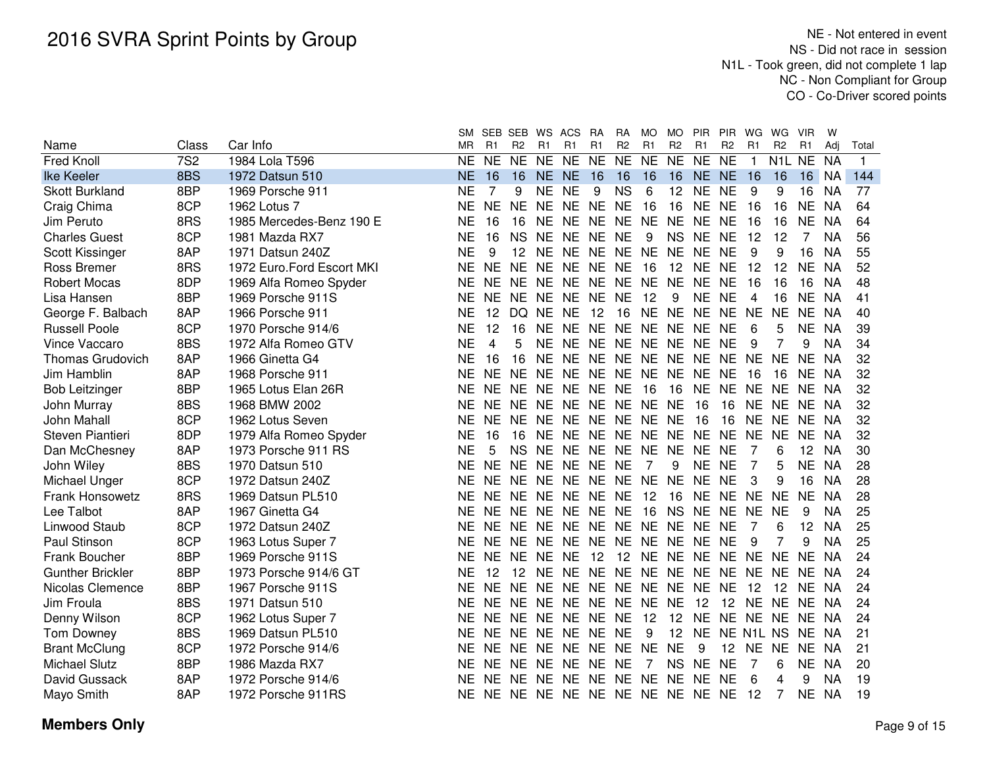|                         |            |                           | <b>SM</b> | SEB SEB        |                | WS ACS    |           | RA                               | RA             | MO        | <b>MO</b>      | PIR PIR         |                   | WG             | WG                              | <b>VIR</b> | w         |             |
|-------------------------|------------|---------------------------|-----------|----------------|----------------|-----------|-----------|----------------------------------|----------------|-----------|----------------|-----------------|-------------------|----------------|---------------------------------|------------|-----------|-------------|
| Name                    | Class      | Car Info                  | MR.       | R1             | R <sub>2</sub> | R1        | R1        | R1                               | R <sub>2</sub> | R1        | R <sub>2</sub> | R1              | R <sub>2</sub>    | R <sub>1</sub> | R <sub>2</sub>                  | R1         | Adj       | Total       |
| <b>Fred Knoll</b>       | <b>7S2</b> | 1984 Lola T596            | <b>NE</b> | <b>NE</b>      | <b>NE</b>      | NE NE     |           | <b>NE</b>                        | NE NE          |           | <b>NE</b>      | NE NE           |                   | $\mathbf{1}$   | N <sub>1</sub> L N <sub>E</sub> |            | <b>NA</b> | $\mathbf 1$ |
| Ike Keeler              | 8BS        | 1972 Datsun 510           | <b>NE</b> | 16             | 16             | NE NE     |           | 16                               | 16             | 16        | 16             | NE NE           |                   | 16             | 16                              | 16         | <b>NA</b> | 144         |
| <b>Skott Burkland</b>   | 8BP        | 1969 Porsche 911          | <b>NE</b> |                | 9              | NE NE     |           | 9                                | <b>NS</b>      | 6         | 12             | NE NE           |                   | 9              | 9                               | 16         | <b>NA</b> | 77          |
| Craig Chima             | 8CP        | 1962 Lotus 7              | <b>NE</b> | <b>NE</b>      | <b>NE</b>      | NE NE     |           | <b>NE</b>                        | <b>NE</b>      | 16        | 16             | NE NE           |                   | 16             | 16                              | <b>NE</b>  | <b>NA</b> | 64          |
| Jim Peruto              | 8RS        | 1985 Mercedes-Benz 190 E  | <b>NE</b> | 16             | 16             | NE NE     |           | <b>NE</b>                        | NE NE          |           | <b>NE</b>      | NE NE           |                   | 16             | 16                              | <b>NE</b>  | <b>NA</b> | 64          |
| <b>Charles Guest</b>    | 8CP        | 1981 Mazda RX7            | <b>NE</b> | 16             | <b>NS</b>      | <b>NE</b> | <b>NE</b> | <b>NE</b>                        | <b>NE</b>      | 9         | <b>NS</b>      | NE NE           |                   | 12             | 12                              | 7          | <b>NA</b> | 56          |
| Scott Kissinger         | 8AP        | 1971 Datsun 240Z          | <b>NE</b> | 9              | 12             | <b>NE</b> | <b>NE</b> | <b>NE</b>                        | NE NE          |           | <b>NE</b>      | <b>NE</b>       | <b>NE</b>         | 9              | 9                               | 16         | <b>NA</b> | 55          |
| Ross Bremer             | 8RS        | 1972 Euro.Ford Escort MKI | <b>NE</b> | <b>NE</b>      | <b>NE</b>      | NE.       | <b>NE</b> | <b>NE</b>                        | <b>NE</b>      | 16        | 12             | NE NE           |                   | 12             | 12                              | <b>NE</b>  | <b>NA</b> | 52          |
| <b>Robert Mocas</b>     | 8DP        | 1969 Alfa Romeo Spyder    | <b>NE</b> | <b>NE</b>      | <b>NE</b>      | NE NE     |           | NE.                              | NE NE          |           | <b>NE</b>      | <b>NE</b>       | <b>NE</b>         | 16             | 16                              | 16         | <b>NA</b> | 48          |
| Lisa Hansen             | 8BP        | 1969 Porsche 911S         | <b>NE</b> | NE             | <b>NE</b>      | NE NE     |           | <b>NE</b>                        | <b>NE</b>      | 12        | 9              | <b>NE</b>       | <b>NE</b>         | 4              | 16                              | <b>NE</b>  | <b>NA</b> | 41          |
| George F. Balbach       | 8AP        | 1966 Porsche 911          | <b>NE</b> | 12             | DQ.            | NE.       | <b>NE</b> | 12                               | 16             | <b>NE</b> | <b>NE</b>      | NE NE           |                   | <b>NE</b>      | <b>NE</b>                       | NE         | <b>NA</b> | 40          |
| <b>Russell Poole</b>    | 8CP        | 1970 Porsche 914/6        | <b>NE</b> | 12             | 16             | <b>NE</b> | <b>NE</b> | <b>NE</b>                        | NE NE          |           |                | NE NE NE        |                   | 6              | 5                               | <b>NE</b>  | <b>NA</b> | 39          |
| Vince Vaccaro           | 8BS        | 1972 Alfa Romeo GTV       | <b>NE</b> | $\overline{4}$ | 5              | <b>NE</b> | <b>NE</b> | <b>NE</b>                        | NE NE          |           | <b>NE</b>      | NE NE           |                   | 9              | 7                               | 9          | <b>NA</b> | 34          |
| <b>Thomas Grudovich</b> | 8AP        | 1966 Ginetta G4           | <b>NE</b> | 16             | 16             | NE.       | <b>NE</b> | <b>NE</b>                        | NE NE          |           | <b>NE</b>      | NE NE           |                   | <b>NE</b>      | <b>NE</b>                       | NE.        | <b>NA</b> | 32          |
| Jim Hamblin             | 8AP        | 1968 Porsche 911          | <b>NE</b> | NF.            | <b>NE</b>      | <b>NE</b> | <b>NE</b> | <b>NE</b>                        | NE NE          |           | <b>NE</b>      | NE NE           |                   | 16             | 16                              | <b>NE</b>  | <b>NA</b> | 32          |
| <b>Bob Leitzinger</b>   | 8BP        | 1965 Lotus Elan 26R       | <b>NE</b> | <b>NE</b>      | NE.            | NE NE     |           | NE NE                            |                | -16       | 16             | NE NE           |                   | NE.            | NE.                             | NE.        | -NA       | 32          |
| John Murray             | 8BS        | 1968 BMW 2002             | <b>NE</b> | <b>NE</b>      | NE.            |           |           | NE NE NE NE NE                   |                |           | <b>NE</b>      | 16              | 16                | NF.            | NE NE                           |            | - NA      | 32          |
| John Mahall             | 8CP        | 1962 Lotus Seven          | <b>NE</b> | <b>NE</b>      | NE.            |           |           | NE NE NE NE NE                   |                |           | <b>NE</b>      | 16              | 16                | <b>NE</b>      | NE NE                           |            | NA        | 32          |
| Steven Piantieri        | 8DP        | 1979 Alfa Romeo Spyder    | <b>NE</b> | 16             | 16             |           | NE NE     | NE NE NE                         |                |           |                | NE NE NE        |                   | <b>NE</b>      | <b>NE</b>                       | <b>NE</b>  | NA.       | 32          |
| Dan McChesney           | 8AP        | 1973 Porsche 911 RS       | <b>NE</b> | 5              | <b>NS</b>      | NE NE     |           | NE NE NE                         |                |           | <b>NE</b>      | NE NE           |                   | 7              | 6                               | 12         | <b>NA</b> | 30          |
| John Wiley              | 8BS        | 1970 Datsun 510           | <b>NE</b> | <b>NE</b>      | <b>NE</b>      | NE NE     |           | <b>NE</b>                        | <b>NE</b>      | 7         | 9              | NE NE           |                   | 7              | 5                               | <b>NE</b>  | <b>NA</b> | 28          |
| Michael Unger           | 8CP        | 1972 Datsun 240Z          | <b>NE</b> | <b>NE</b>      | <b>NE</b>      | NE NE     |           | NE NE NE                         |                |           | <b>NE</b>      | NE NE           |                   | 3              | 9                               | 16         | <b>NA</b> | 28          |
| <b>Frank Honsowetz</b>  | 8RS        | 1969 Datsun PL510         | <b>NE</b> | <b>NE</b>      | <b>NE</b>      | NE NE     |           | NE NE                            |                | 12        | 16             | NE NE           |                   | <b>NE</b>      | <b>NE</b>                       | <b>NE</b>  | <b>NA</b> | 28          |
| Lee Talbot              | 8AP        | 1967 Ginetta G4           | <b>NE</b> | <b>NE</b>      | <b>NE</b>      | NE NE     |           | NE NE                            |                | -16       | <b>NS</b>      | NE NE           |                   | <b>NE</b>      | <b>NE</b>                       | 9          | <b>NA</b> | 25          |
| Linwood Staub           | 8CP        | 1972 Datsun 240Z          | <b>NE</b> | <b>NE</b>      | NE.            | NE NE     |           | NE NE NE                         |                |           | <b>NE</b>      | NE NE           |                   | 7              | 6                               | 12         | <b>NA</b> | 25          |
| Paul Stinson            | 8CP        | 1963 Lotus Super 7        | ΝE        | <b>NE</b>      | <b>NE</b>      | NE NE     |           | <b>NE</b>                        | NE NE          |           | <b>NE</b>      | NE NE           |                   | 9              | 7                               | 9          | <b>NA</b> | 25          |
| Frank Boucher           | 8BP        | 1969 Porsche 911S         | NE.       | <b>NE</b>      | <b>NE</b>      | NE NE     |           | 12                               | 12 NE          |           |                | NE NE NE NE     |                   |                | <b>NE</b>                       | <b>NE</b>  | <b>NA</b> | 24          |
| <b>Gunther Brickler</b> | 8BP        | 1973 Porsche 914/6 GT     | ΝE        | 12             |                | 12 NE NE  |           | NE NE NE                         |                |           |                | NE NE NE NE     |                   |                | NE.                             | NE.        | NA        | 24          |
| Nicolas Clemence        | 8BP        | 1967 Porsche 911S         | NE.       | <b>NE</b>      | NE NE NE       |           |           | NE NE NE                         |                |           |                | NE NE NE        |                   | 12             | $12 \overline{ }$               | NE.        | NA        | 24          |
| Jim Froula              | 8BS        | 1971 Datsun 510           | ΝE        | <b>NE</b>      | <b>NE</b>      | NE NE     |           | NE NE NE                         |                |           | <b>NE</b>      | 12              | 12                | <b>NE</b>      | NE NE                           |            | NA        | 24          |
| Denny Wilson            | 8CP        | 1962 Lotus Super 7        | NΕ        | NF.            | <b>NE</b>      | NE NE     |           | NE NE                            |                | 12        | 12             | NE NE           |                   | NE.            | NE NE                           |            | <b>NA</b> | 24          |
| Tom Downey              | 8BS        | 1969 Datsun PL510         | NE        | NF.            | NE.            | NE NE     |           | NE NE                            |                | 9         | 12             | NE NE N1L NS NE |                   |                |                                 |            | -NA       | 21          |
|                         | 8CP        | 1972 Porsche 914/6        | ΝF        | NF.            | NE.            | NE NE     |           | NE NE NE                         |                |           | <b>NE</b>      | 9               | $12 \overline{ }$ | NE.            | NE.                             | <b>NE</b>  | NA        | 21          |
| <b>Michael Slutz</b>    | 8BP        | 1986 Mazda RX7            | ΝE        | <b>NE</b>      | <b>NE</b>      | NE NE     |           | NE NE                            |                | 7         |                | NS NE NE        |                   | 7              | 6                               | <b>NE</b>  | <b>NA</b> | 20          |
| David Gussack           | 8AP        | 1972 Porsche 914/6        | <b>NE</b> | <b>NE</b>      | NE NE NE       |           |           | NE NE NE NE NE NE                |                |           |                |                 |                   | 6              | 4                               | 9          | <b>NA</b> | 19          |
| Mayo Smith              | 8AP        | 1972 Porsche 911RS        |           |                |                |           |           | NE NE NE NE NE NE NE NE NE NE NE |                |           |                |                 |                   | 12             | 7                               | <b>NE</b>  | <b>NA</b> | 19          |
| <b>Brant McClung</b>    |            |                           |           |                |                |           |           |                                  |                |           |                |                 |                   |                |                                 |            |           |             |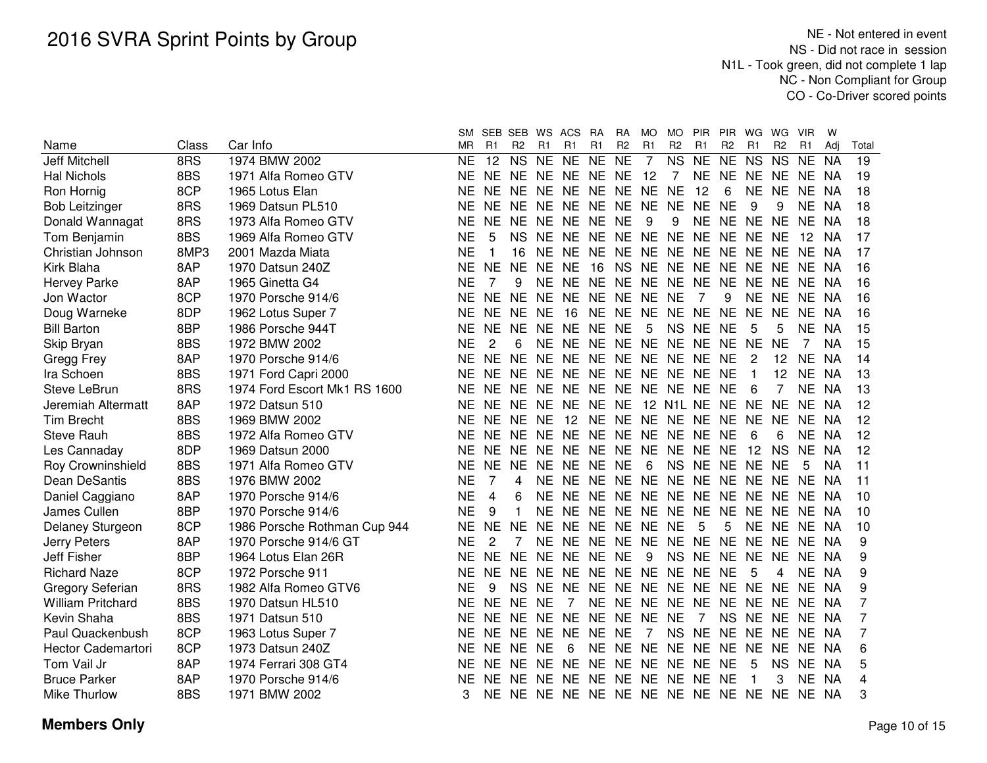|                           |       |                              | <b>SM</b> |                | SEB SEB        |           | WS ACS                              | <b>RA</b> | <b>RA</b>      | MO             | <b>MO</b>      | PIR                     | <b>PIR</b>     | WG        | WG.            | <b>VIR</b>  | W         |       |
|---------------------------|-------|------------------------------|-----------|----------------|----------------|-----------|-------------------------------------|-----------|----------------|----------------|----------------|-------------------------|----------------|-----------|----------------|-------------|-----------|-------|
| Name                      | Class | Car Info                     | MR        | R1             | R <sub>2</sub> | R1        | R1                                  | R1        | R <sub>2</sub> | R1             | R <sub>2</sub> | R <sub>1</sub>          | R <sub>2</sub> | R1        | R <sub>2</sub> | R1          | Adi       | Total |
| <b>Jeff Mitchell</b>      | 8RS   | 1974 BMW 2002                | <b>NE</b> | 12             | <b>NS</b>      | <b>NE</b> | <b>NE</b>                           | <b>NE</b> | <b>NE</b>      | $\overline{7}$ | <b>NS</b>      | <b>NE</b>               | <b>NE</b>      | <b>NS</b> | <b>NS</b>      | <b>NE</b>   | <b>NA</b> | 19    |
| <b>Hal Nichols</b>        | 8BS   | 1971 Alfa Romeo GTV          | NE.       | NE NE          |                | <b>NE</b> | NE NE                               |           | NE.            | 12             | 7              | <b>NE</b>               | <b>NE</b>      | <b>NE</b> | NE.            | NE.         | NA        | 19    |
| Ron Hornig                | 8CP   | 1965 Lotus Elan              | NE.       | <b>NE</b>      | NE.            | <b>NE</b> | <b>NE</b>                           | NE NE     |                | <b>NE</b>      | <b>NE</b>      | 12                      | 6              | <b>NE</b> | <b>NE</b>      | <b>NE</b>   | - NA      | 18    |
| <b>Bob Leitzinger</b>     | 8RS   | 1969 Datsun PL510            | NE.       | <b>NE</b>      | NF.            | <b>NE</b> | <b>NE</b>                           | NE NE     |                | <b>NE</b>      | <b>NE</b>      | <b>NE</b>               | <b>NE</b>      | 9         | 9              | <b>NE</b>   | - NA      | 18    |
| Donald Wannagat           | 8RS   | 1973 Alfa Romeo GTV          | <b>NE</b> | <b>NE</b>      | <b>NE</b>      |           | NE NE NE NE                         |           |                | 9              | 9              |                         | NE NE NE       |           | <b>NE</b>      | NE NA       |           | 18    |
| Tom Benjamin              | 8BS   | 1969 Alfa Romeo GTV          | <b>NE</b> | 5              | <b>NS</b>      | NE.       | NE NE                               |           |                |                |                | NE NE NE NE NE NE       |                |           | NE.            | 12          | NA        | 17    |
| Christian Johnson         | 8MP3  | 2001 Mazda Miata             | <b>NE</b> |                | 16             | <b>NE</b> | <b>NE</b>                           | <b>NE</b> | <b>NE</b>      | <b>NE</b>      | <b>NE</b>      | <b>NE</b>               | NE NE          |           | <b>NE</b>      | <b>NE</b>   | NA        | 17    |
| Kirk Blaha                | 8AP   | 1970 Datsun 240Z             | <b>NE</b> | <b>NE</b>      | <b>NE</b>      | <b>NE</b> | <b>NE</b>                           | 16        | <b>NS</b>      | NE NE          |                | <b>NE</b>               | <b>NE</b>      | <b>NE</b> | <b>NE</b>      | <b>NE</b>   | NA        | 16    |
| <b>Hervey Parke</b>       | 8AP   | 1965 Ginetta G4              | <b>NE</b> | 7              | 9              | <b>NE</b> | <b>NE</b>                           | NE.       | <b>NE</b>      | <b>NE</b>      | <b>NE</b>      | <b>NE</b>               | <b>NE</b>      | <b>NE</b> | <b>NE</b>      | <b>NE</b>   | <b>NA</b> | 16    |
| Jon Wactor                | 8CP   | 1970 Porsche 914/6           | <b>NE</b> | <b>NE</b>      | <b>NE</b>      | <b>NE</b> | <b>NE</b>                           | NE.       | <b>NE</b>      | <b>NE</b>      | <b>NE</b>      | 7                       | 9              | <b>NE</b> | <b>NE</b>      | <b>NE</b>   | NA        | 16    |
| Doug Warneke              | 8DP   | 1962 Lotus Super 7           | <b>NE</b> | <b>NE</b>      | <b>NE</b>      | <b>NE</b> | 16                                  | NE.       | NE.            | <b>NE</b>      | NE.            | <b>NE</b>               | <b>NE</b>      | <b>NE</b> | NE             | <b>NE</b>   | -NA       | 16    |
| <b>Bill Barton</b>        | 8BP   | 1986 Porsche 944T            | <b>NE</b> | <b>NE</b>      | <b>NE</b>      | <b>NE</b> | <b>NE</b>                           | <b>NE</b> | <b>NE</b>      | 5              | <b>NS</b>      | <b>NE</b>               | <b>NE</b>      | 5         | 5              | <b>NE</b>   | NA        | 15    |
| Skip Bryan                | 8BS   | 1972 BMW 2002                | <b>NE</b> | 2              | 6              | <b>NE</b> | <b>NE</b>                           | NE.       | <b>NE</b>      | <b>NE</b>      | NE NE          |                         | <b>NE</b>      | <b>NE</b> | <b>NE</b>      | 7           | ΝA        | 15    |
| Gregg Frey                | 8AP   | 1970 Porsche 914/6           | <b>NE</b> | <b>NE</b>      | <b>NE</b>      | <b>NE</b> | <b>NE</b>                           | <b>NE</b> | <b>NE</b>      |                | NE NE NE       |                         | <b>NE</b>      | 2         | 12             | <b>NE</b>   | NA.       | 14    |
| Ira Schoen                | 8BS   | 1971 Ford Capri 2000         | <b>NE</b> | <b>NE</b>      | <b>NE</b>      | <b>NE</b> | <b>NE</b>                           | NE.       | <b>NE</b>      |                | NE NE NE       |                         | <b>NE</b>      | 1         | 12             | <b>NE</b>   | <b>NA</b> | 13    |
| Steve LeBrun              | 8RS   | 1974 Ford Escort Mk1 RS 1600 | <b>NE</b> | NE NE          |                | NE.       | NE NE                               |           | <b>NE</b>      |                | NE NE NE       |                         | NE             | 6         | 7              | <b>NE</b>   | NA        | 13    |
| Jeremiah Altermatt        | 8AP   | 1972 Datsun 510              | <b>NE</b> | NE NE          |                | <b>NE</b> | <b>NE</b>                           | NE.       | <b>NE</b>      |                | 12 N1L NE      |                         | NE NE          |           | <b>NE</b>      | <b>NE</b>   | NA        | 12    |
| <b>Tim Brecht</b>         | 8BS   | 1969 BMW 2002                | <b>NE</b> |                | NE NE          | <b>NE</b> | 12                                  | <b>NE</b> | <b>NE</b>      |                | NE NE NE       |                         | <b>NE</b>      | <b>NE</b> | <b>NE</b>      | NE.         | NA        | 12    |
| <b>Steve Rauh</b>         | 8BS   | 1972 Alfa Romeo GTV          | <b>NE</b> |                | NE NE          | <b>NE</b> | NE NE NE                            |           |                |                | NE NE NE       |                         | <b>NE</b>      | 6         | 6              | <b>NE</b>   | NA        | 12    |
| Les Cannaday              | 8DP   | 1969 Datsun 2000             | <b>NE</b> | <b>NE</b>      | <b>NE</b>      | <b>NE</b> | <b>NE</b>                           | <b>NE</b> | <b>NE</b>      |                | NE NE NE       |                         | <b>NE</b>      | 12        | <b>NS</b>      | NE.         | NA.       | 12    |
| Roy Crowninshield         | 8BS   | 1971 Alfa Romeo GTV          | <b>NE</b> | <b>NE</b>      | <b>NE</b>      | <b>NE</b> | NE NE                               |           | <b>NE</b>      | 6              | <b>NS</b>      | <b>NE</b>               | NE NE          |           | <b>NE</b>      | 5           | <b>NA</b> | 11    |
| Dean DeSantis             | 8BS   | 1976 BMW 2002                | <b>NE</b> | 7              | 4              | <b>NE</b> | NE NE                               |           | NE.            | NE NE          |                | <b>NE</b>               | NE NE          |           | <b>NE</b>      | NE.         | NA        | 11    |
| Daniel Caggiano           | 8AP   | 1970 Porsche 914/6           | <b>NE</b> | $\overline{4}$ | 6              | <b>NE</b> | NE NE                               |           | <b>NE</b>      | NE NE          |                | <b>NE</b>               | NE NE          |           | <b>NE</b>      | NE.         | NA        | 10    |
| James Cullen              | 8BP   | 1970 Porsche 914/6           | <b>NE</b> | 9              | 1              | <b>NE</b> | NE NE NE                            |           |                |                | NE NE NE       |                         | <b>NE</b>      | NE NE     |                | NE NA       |           | 10    |
| Delaney Sturgeon          | 8CP   | 1986 Porsche Rothman Cup 944 | <b>NE</b> | <b>NE</b>      | <b>NE</b>      | <b>NE</b> | <b>NE</b>                           | NE NE     |                | NE NE          |                | 5                       | 5              | NE NE     |                | NE.         | NA        | 10    |
| <b>Jerry Peters</b>       | 8AP   | 1970 Porsche 914/6 GT        | <b>NE</b> | 2              | 7              | <b>NE</b> | <b>NE</b>                           | NE NE     |                | <b>NE</b>      |                | NE NE NE                |                | NE.       | <b>NE</b>      | NE NA       |           | 9     |
| Jeff Fisher               | 8BP   | 1964 Lotus Elan 26R          | NE.       | <b>NE</b>      | NE.            | <b>NE</b> | NE NE NE                            |           |                | 9              |                | NS NE NE                |                |           |                | NE NE NE NA |           | 9     |
| <b>Richard Naze</b>       | 8CP   | 1972 Porsche 911             | NE.       | <b>NE</b>      | NE.            | <b>NE</b> | NE NE NE NE NE NE NE                |           |                |                |                |                         |                | 5         | 4              | NE NA       |           | 9     |
| Gregory Seferian          | 8RS   | 1982 Alfa Romeo GTV6         | NE        | 9              | <b>NS</b>      | NE.       | <b>NE</b>                           |           |                |                |                | NE NE NE NE NE NE NE NE |                |           |                | NE NA       |           | 9     |
| <b>William Pritchard</b>  | 8BS   | 1970 Datsun HL510            | NE.       | <b>NE</b>      | NE.            | <b>NE</b> | 7                                   | NE NE     |                | <b>NE</b>      | NE NE          |                         | <b>NE</b>      | NE.       | <b>NE</b>      | NE.         | NA        | 7     |
| Kevin Shaha               | 8BS   | 1971 Datsun 510              | NE.       | <b>NE</b>      | NE.            | <b>NE</b> | <b>NE</b>                           | <b>NE</b> | <b>NE</b>      | <b>NE</b>      | <b>NE</b>      | 7                       |                | NS NE     | <b>NE</b>      | NE.         | NA        | 7     |
| Paul Quackenbush          | 8CP   | 1963 Lotus Super 7           | NE.       | <b>NE</b>      | NE.            | <b>NE</b> | <b>NE</b>                           | <b>NE</b> | <b>NE</b>      | 7              |                | NS NE                   | <b>NE</b>      | <b>NE</b> | <b>NE</b>      | <b>NE</b>   | - NA      | 7     |
| <b>Hector Cademartori</b> | 8CP   | 1973 Datsun 240Z             | NE.       | NE.            | NE.            | <b>NE</b> | 6                                   | NE.       | NE.            | NE.            | NE NE          |                         | <b>NE</b>      | NE        | NE.            | NE.         | NA        | 6     |
| Tom Vail Jr               | 8AP   | 1974 Ferrari 308 GT4         | NE.       |                | NE NE          | NE.       | <b>NE</b>                           | NE NE     |                |                | NE NE NE       |                         | <b>NE</b>      | 5         | NS.            | <b>NE</b>   | NA        | 5     |
| <b>Bruce Parker</b>       | 8AP   | 1970 Porsche 914/6           | NE.       |                | NE NE          | <b>NE</b> | NE NE NE NE NE NE                   |           |                |                |                |                         | <b>NE</b>      |           | 3              | NE          | - NA      | 4     |
| <b>Mike Thurlow</b>       | 8BS   | 1971 BMW 2002                | 3         |                |                |           | NE NE NE NE NE NE NE NE NE NE NE NE |           |                |                |                |                         |                |           |                | NE NA       |           | 3     |
|                           |       |                              |           |                |                |           |                                     |           |                |                |                |                         |                |           |                |             |           |       |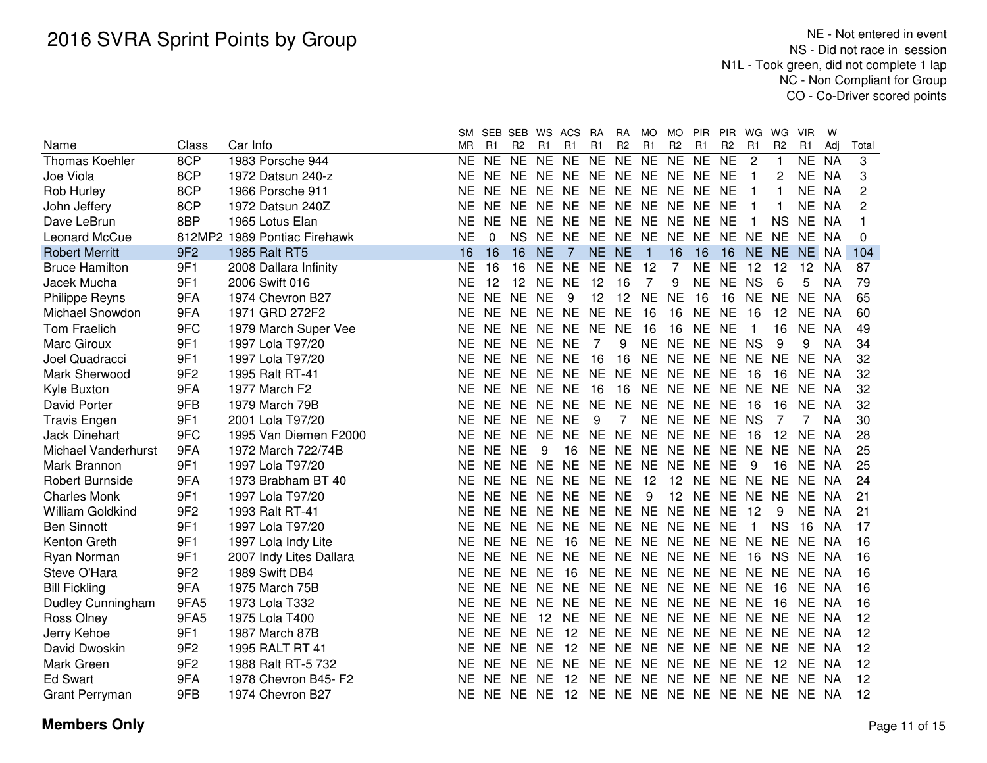|                         |                 |                              | SΜ        |           | SEB SEB WS ACS |                |                                           | <b>RA</b>      | <b>RA</b>      | MO.            | MO.            | <b>PIR</b>              | <b>PIR</b>     | WG             | WG             | <b>VIR</b> | W         |       |
|-------------------------|-----------------|------------------------------|-----------|-----------|----------------|----------------|-------------------------------------------|----------------|----------------|----------------|----------------|-------------------------|----------------|----------------|----------------|------------|-----------|-------|
| Name                    | Class           | Car Info                     | <b>MR</b> | R1        | R <sub>2</sub> | R <sub>1</sub> | R1                                        | R <sub>1</sub> | R <sub>2</sub> | R <sub>1</sub> | R <sub>2</sub> | R <sub>1</sub>          | R <sub>2</sub> | R1             | R <sub>2</sub> | R1         | Adj       | Total |
| <b>Thomas Koehler</b>   | 8CP             | 1983 Porsche 944             | <b>NE</b> | <b>NE</b> | <b>NE</b>      | <b>NE</b>      | <b>NE</b>                                 | <b>NE</b>      | <b>NE</b>      | <b>NE</b>      | <b>NE</b>      | <b>NE</b>               | <b>NE</b>      | $\overline{c}$ |                | <b>NE</b>  | <b>NA</b> | 3     |
| Joe Viola               | 8CP             | 1972 Datsun 240-z            | <b>NE</b> | NE.       | NE NE          |                | NE NE NE                                  |                |                | NE NE NE       |                |                         | <b>NE</b>      | 1              | 2              | NE.        | <b>NA</b> | 3     |
| Rob Hurley              | 8CP             | 1966 Porsche 911             | <b>NE</b> | <b>NE</b> | NE NE          |                | <b>NE</b>                                 | NE NE          |                | NE NE          |                | <b>NE</b>               | <b>NE</b>      | 1              |                | <b>NE</b>  | <b>NA</b> | 2     |
| John Jeffery            | 8CP             | 1972 Datsun 240Z             | <b>NE</b> | <b>NE</b> | NE.            | NE.            | NE.                                       | NE.            | NE.            | <b>NE</b>      | NE.            | NE.                     | <b>NE</b>      |                |                | NE         | NA        | 2     |
| Dave LeBrun             | 8BP             | 1965 Lotus Elan              | <b>NE</b> | <b>NE</b> | NE NE          |                | NE NE NE                                  |                |                | NE NE          |                | NE.                     | <b>NE</b>      | 1              | <b>NS</b>      | <b>NE</b>  | NA        |       |
| Leonard McCue           |                 | 812MP2 1989 Pontiac Firehawk | <b>NE</b> | 0         | <b>NS</b>      | <b>NE</b>      | NE NE NE NE NE                            |                |                |                |                | <b>NE</b>               | NE NE          |                | <b>NE</b>      | NE NA      |           | 0     |
| <b>Robert Merritt</b>   | 9F2             | 1985 Ralt RT5                | 16        | 16        | 16             | <b>NE</b>      | $\overline{7}$                            | NE.            | <b>NE</b>      | $\mathbf{1}$   | 16             | 16                      | 16             | <b>NE</b>      | <b>NE</b>      | NE NA      |           | 104   |
| <b>Bruce Hamilton</b>   | 9F1             | 2008 Dallara Infinity        | <b>NE</b> | 16        | 16             | <b>NE</b>      | <b>NE</b>                                 | <b>NE</b>      | <b>NE</b>      | 12             | 7              | NE NE                   |                | 12             | 12             | 12         | <b>NA</b> | 87    |
| Jacek Mucha             | 9F1             | 2006 Swift 016               | <b>NE</b> | 12        | 12             | <b>NE</b>      | <b>NE</b>                                 | 12             | 16             | 7              | 9              | <b>NE</b>               | <b>NE</b>      | <b>NS</b>      | 6              | 5          | <b>NA</b> | 79    |
| <b>Philippe Reyns</b>   | 9FA             | 1974 Chevron B27             | <b>NE</b> | <b>NE</b> | <b>NE</b>      | <b>NE</b>      | 9                                         | 12             | 12             | <b>NE</b>      | <b>NE</b>      | 16                      | 16             | <b>NE</b>      | <b>NE</b>      | <b>NE</b>  | <b>NA</b> | 65    |
| Michael Snowdon         | 9FA             | 1971 GRD 272F2               | <b>NE</b> | <b>NE</b> | <b>NE</b>      | <b>NE</b>      | <b>NE</b>                                 | <b>NE</b>      | <b>NE</b>      | 16             | 16             | <b>NE</b>               | <b>NE</b>      | 16             | 12             | <b>NE</b>  | <b>NA</b> | 60    |
| <b>Tom Fraelich</b>     | 9FC             | 1979 March Super Vee         | <b>NE</b> | <b>NE</b> | NE.            | <b>NE</b>      | <b>NE</b>                                 | <b>NE</b>      | <b>NE</b>      | 16             | 16             | <b>NE</b>               | <b>NE</b>      | 1              | 16             | <b>NE</b>  | <b>NA</b> | 49    |
| Marc Giroux             | 9F1             | 1997 Lola T97/20             | <b>NE</b> | <b>NE</b> | NE.            | <b>NE</b>      | <b>NE</b>                                 | 7              | 9              | <b>NE</b>      | <b>NE</b>      | <b>NE</b>               | <b>NE</b>      | <b>NS</b>      | 9              | 9          | <b>NA</b> | 34    |
| Joel Quadracci          | 9F1             | 1997 Lola T97/20             | <b>NE</b> | <b>NE</b> | NE.            | <b>NE</b>      | <b>NE</b>                                 | 16             | 16             | NE.            | NE.            | <b>NE</b>               | <b>NE</b>      | <b>NE</b>      | <b>NE</b>      | <b>NE</b>  | <b>NA</b> | 32    |
| Mark Sherwood           | 9F <sub>2</sub> | 1995 Ralt RT-41              | <b>NE</b> | <b>NE</b> | NE.            | <b>NE</b>      | <b>NE</b>                                 | <b>NE</b>      | <b>NE</b>      | <b>NE</b>      | <b>NE</b>      | <b>NE</b>               | <b>NE</b>      | 16             | 16             | <b>NE</b>  | NA        | 32    |
| Kyle Buxton             | 9FA             | 1977 March F2                | <b>NE</b> | NE.       | NE NE          |                | <b>NE</b>                                 | 16             | 16             | <b>NE</b>      | NE NE          |                         | <b>NE</b>      | <b>NE</b>      | <b>NE</b>      | NE.        | NA        | 32    |
| <b>David Porter</b>     | 9FB             | 1979 March 79B               | <b>NE</b> | <b>NE</b> | NE.            | <b>NE</b>      | <b>NE</b>                                 | <b>NE</b>      | <b>NE</b>      | <b>NE</b>      | NE.            | <b>NE</b>               | <b>NE</b>      | 16             | 16             | <b>NE</b>  | NA        | 32    |
| <b>Travis Engen</b>     | 9F1             | 2001 Lola T97/20             | <b>NE</b> | <b>NE</b> | NE NE          |                | <b>NE</b>                                 | 9              | 7              | <b>NE</b>      | NE NE          |                         | <b>NE</b>      | <b>NS</b>      | 7              | 7          | ΝA        | 30    |
| <b>Jack Dinehart</b>    | 9FC             | 1995 Van Diemen F2000        | <b>NE</b> | <b>NE</b> | NE.            | <b>NE</b>      | <b>NE</b>                                 | <b>NE</b>      | <b>NE</b>      | NE NE NE       |                |                         | <b>NE</b>      | 16             | 12             | <b>NE</b>  | <b>NA</b> | 28    |
| Michael Vanderhurst     | 9FA             | 1972 March 722/74B           | <b>NE</b> | <b>NE</b> | <b>NE</b>      | 9              | 16                                        | NE.            | <b>NE</b>      | NE NE          |                | <b>NE</b>               | NE NE          |                | <b>NE</b>      | <b>NE</b>  | NA.       | 25    |
| Mark Brannon            | 9F1             | 1997 Lola T97/20             | <b>NE</b> | <b>NE</b> | <b>NE</b>      | <b>NE</b>      | NE NE                                     |                |                | NE NE NE       |                | <b>NE</b>               | <b>NE</b>      | 9              | 16             | <b>NE</b>  | NA        | 25    |
| <b>Robert Burnside</b>  | 9FA             | 1973 Brabham BT 40           | <b>NE</b> | <b>NE</b> | <b>NE</b>      | <b>NE</b>      | NE NE                                     |                | <b>NE</b>      | 12             | 12             | <b>NE</b>               | NE NE          |                | <b>NE</b>      | NE NA      |           | 24    |
| <b>Charles Monk</b>     | 9F1             | 1997 Lola T97/20             | <b>NE</b> | <b>NE</b> | <b>NE</b>      | <b>NE</b>      | NE NE                                     |                | <b>NE</b>      | 9              | 12             | <b>NE</b>               | NE NE          |                | <b>NE</b>      | <b>NE</b>  | <b>NA</b> | 21    |
| <b>William Goldkind</b> | 9F <sub>2</sub> | 1993 Ralt RT-41              | <b>NE</b> | NE NE     |                | <b>NE</b>      | NE NE NE                                  |                |                | NE NE          |                | <b>NE</b>               | <b>NE</b>      | 12             | 9              | <b>NE</b>  | NA        | 21    |
| <b>Ben Sinnott</b>      | 9F1             | 1997 Lola T97/20             | <b>NE</b> |           | NE NE NE       |                | NE NE NE                                  |                |                | NE NE NE       |                |                         | NE             | $\mathbf 1$    | <b>NS</b>      | 16         | <b>NA</b> | 17    |
| Kenton Greth            | 9F1             | 1997 Lola Indy Lite          | <b>NE</b> |           | NE NE NE       |                | 16                                        |                |                |                |                | NE NE NE NE NE NE NE    |                |                | <b>NE</b>      | NE.        | NA        | 16    |
| Ryan Norman             | 9F1             | 2007 Indy Lites Dallara      | <b>NE</b> |           |                |                | NE NE NE NE NE NE NE NE NE NE             |                |                |                |                |                         |                | 16             | <b>NS</b>      | NE NA      |           | 16    |
| Steve O'Hara            | 9F <sub>2</sub> | 1989 Swift DB4               | <b>NE</b> |           | NE NE NE       |                | 16                                        |                |                |                |                | NE NE NE NE NE NE NE NE |                |                |                | NE NA      |           | 16    |
| <b>Bill Fickling</b>    | 9FA             | 1975 March 75B               | NF.       |           |                |                | NE NE NE NE NE NE NE NE NE NE NE          |                |                |                |                |                         |                |                | 16             | NE NA      |           | 16    |
| Dudley Cunningham       | 9FA5            | 1973 Lola T332               | <b>NE</b> | NE.       | NE NE          |                | <b>NE</b>                                 | NE NE          |                |                |                | NE NE NE NE NE          |                |                | 16             | NE.        | NA        | 16    |
| Ross Olney              | 9FA5            | 1975 Lola T400               | <b>NE</b> | <b>NE</b> | NE.            | 12             | <b>NE</b>                                 | NE NE          |                | NE NE NE       |                |                         | <b>NE</b>      | NE.            | <b>NE</b>      | <b>NE</b>  | NA        | 12    |
| Jerry Kehoe             | 9F1             | 1987 March 87B               | <b>NE</b> | <b>NE</b> | NE.            | <b>NE</b>      | 12                                        | NE NE          |                | <b>NE</b>      | NE NE          |                         | <b>NE</b>      | <b>NE</b>      | <b>NE</b>      | NE.        | - NA      | 12    |
| David Dwoskin           | 9F <sub>2</sub> | 1995 RALT RT 41              | NE        | <b>NE</b> | NE.            | <b>NE</b>      | 12                                        | NE NE          |                |                |                | NE NE NE NE NE          |                |                | <b>NE</b>      | NE.        | - NA      | 12    |
| Mark Green              | 9F <sub>2</sub> | 1988 Ralt RT-5 732           | NE.       | <b>NE</b> | NE.            | NE.            | NE.                                       |                |                |                |                | NE NE NE NE NE NE NE    |                |                | 12             | NE NA      |           | 12    |
| <b>Ed Swart</b>         | 9FA             | 1978 Chevron B45- F2         | ΝE        | <b>NE</b> | <b>NE</b>      | <b>NE</b>      | -12                                       |                |                |                |                | NE NE NE NE NE NE NE    |                |                | <b>NE</b>      | NE NA      |           | 12    |
| Grant Perryman          | 9FB             | 1974 Chevron B27             | <b>NE</b> |           |                |                | NE NE NE 12 NE NE NE NE NE NE NE NE NE NA |                |                |                |                |                         |                |                |                |            |           | 12    |
|                         |                 |                              |           |           |                |                |                                           |                |                |                |                |                         |                |                |                |            |           |       |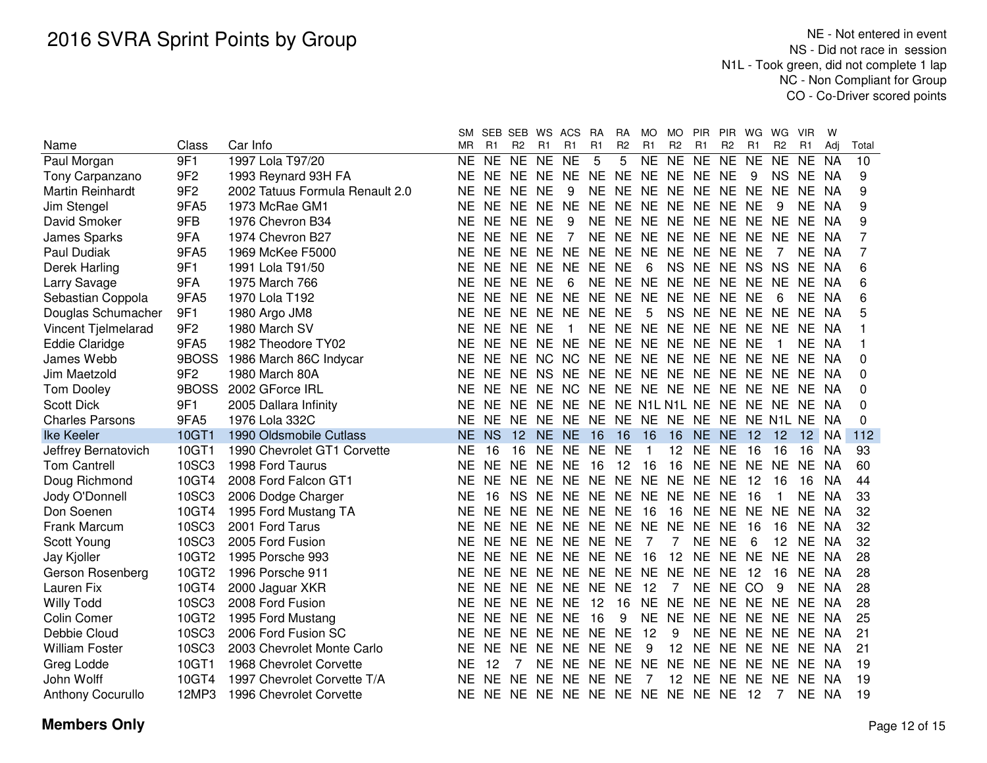|                          |                 |                                 | <b>SM</b> | SEB SEB   |                | WS ACS    |                                   | <b>RA</b> | RA             | MO        | <b>MO</b>         | PIR PIR              |                | WG        | WG             | <b>VIR</b> | W         |       |
|--------------------------|-----------------|---------------------------------|-----------|-----------|----------------|-----------|-----------------------------------|-----------|----------------|-----------|-------------------|----------------------|----------------|-----------|----------------|------------|-----------|-------|
| Name                     | Class           | Car Info                        | <b>MR</b> | R1        | R <sub>2</sub> | R1        | R1                                | R1        | R <sub>2</sub> | R1        | R <sub>2</sub>    | R <sub>1</sub>       | R <sub>2</sub> | R1        | R <sub>2</sub> | R1         | Adi       | Total |
| Paul Morgan              | 9F1             | 1997 Lola T97/20                | <b>NE</b> | <b>NE</b> | <b>NE</b>      | <b>NE</b> | <b>NE</b>                         | 5         | 5              | <b>NE</b> | <b>NE</b>         | NE NE                |                | <b>NE</b> | <b>NE</b>      | <b>NE</b>  | <b>NA</b> | 10    |
| Tony Carpanzano          | 9F <sub>2</sub> | 1993 Reynard 93H FA             | NE.       |           | NE NE          | NE.       | <b>NE</b>                         | <b>NE</b> | NE.            |           |                   | NE NE NE NE          |                | 9         | <b>NS</b>      | NE.        | NA        | 9     |
| Martin Reinhardt         | 9F <sub>2</sub> | 2002 Tatuus Formula Renault 2.0 | <b>NE</b> | <b>NE</b> | <b>NE</b>      | <b>NE</b> | 9                                 | <b>NE</b> | NE NE          |           | <b>NE</b>         | NE NE                |                | <b>NE</b> | <b>NE</b>      | NE.        | NA.       | 9     |
| Jim Stengel              | 9FA5            | 1973 McRae GM1                  | NE.       |           | NE NE          | <b>NE</b> | <b>NE</b>                         | <b>NE</b> | NE NE          |           | NE.               | NE NE NE             |                |           | 9              | ΝE         | <b>NA</b> | 9     |
| David Smoker             | 9FB             | 1976 Chevron B34                | <b>NE</b> |           | NE NE          | <b>NE</b> | 9                                 | NE.       |                |           |                   | NE NE NE NE NE NE NE |                |           |                | NE.        | <b>NA</b> | 9     |
| James Sparks             | 9FA             | 1974 Chevron B27                | <b>NE</b> | NE NE     |                | <b>NE</b> | 7                                 | <b>NE</b> |                |           |                   | NE NE NE NE NE NE    |                |           | NE.            | NF.        | NA.       | 7     |
| Paul Dudiak              | 9FA5            | 1969 McKee F5000                | <b>NE</b> | NE NE     |                | <b>NE</b> | <b>NE</b>                         | <b>NE</b> | NE NE          |           |                   | NE NE NE             |                | NE        |                | NE         | NA        | 7     |
| Derek Harling            | 9F1             | 1991 Lola T91/50                | <b>NE</b> | NE NE     |                | <b>NE</b> | <b>NE</b>                         | <b>NE</b> | <b>NE</b>      | 6         |                   | NS NE NE             |                | <b>NS</b> | <b>NS</b>      | <b>NE</b>  | <b>NA</b> | 6     |
| Larry Savage             | 9FA             | 1975 March 766                  | <b>NE</b> |           | NE NE          | <b>NE</b> | 6                                 | <b>NE</b> | <b>NE</b>      | <b>NE</b> | <b>NE</b>         | NE NE                |                | <b>NE</b> | <b>NE</b>      | <b>NE</b>  | <b>NA</b> | 6     |
| Sebastian Coppola        | 9FA5            | 1970 Lola T192                  | <b>NE</b> | <b>NE</b> | <b>NE</b>      | <b>NE</b> | <b>NE</b>                         | <b>NE</b> | NE NE          |           | <b>NE</b>         | NE NE                |                | <b>NE</b> | 6              | <b>NE</b>  | <b>NA</b> | 6     |
| Douglas Schumacher       | 9F1             | 1980 Argo JM8                   | <b>NE</b> | <b>NE</b> | <b>NE</b>      | NE.       | NE.                               | <b>NE</b> | <b>NE</b>      | 5         | <b>NS</b>         | NE NE                |                | <b>NE</b> | NE.            | NE.        | <b>NA</b> | 5     |
| Vincent Tjelmelarad      | 9F <sub>2</sub> | 1980 March SV                   | <b>NE</b> | <b>NE</b> | <b>NE</b>      | <b>NE</b> | -1                                | <b>NE</b> | NE NE          |           | <b>NE</b>         | NE NE                |                | NE.       | NE.            | <b>NE</b>  | NA        |       |
| <b>Eddie Claridge</b>    | 9FA5            | 1982 Theodore TY02              | <b>NE</b> | NE.       | NE NE          |           | <b>NE</b>                         | NE NE     |                | NE.       |                   | NE NE NE             |                | NE        |                | NE.        | <b>NA</b> |       |
| James Webb               | 9BOSS           | 1986 March 86C Indycar          | <b>NE</b> | <b>NE</b> | NE NC          |           | <b>NC</b>                         | NE NE     |                |           |                   | NE NE NE NE          |                | NE.       | NE.            | NE.        | - NA      | 0     |
| Jim Maetzold             | 9F <sub>2</sub> | 1980 March 80A                  | <b>NE</b> | <b>NE</b> | NE NS          |           | NE.                               | NE NE     |                | NE.       |                   | NE NE NE             |                | NE.       | NE.            | NE.        | - NA      | 0     |
| <b>Tom Dooley</b>        | 9BOSS           | 2002 GForce IRL                 | <b>NE</b> | NE.       | NE.            | NE.       | NC NE NE                          |           |                |           |                   | NE NE NE NE          |                | NE.       | NE.            | NE.        | - NA      | 0     |
| <b>Scott Dick</b>        | 9F1             | 2005 Dallara Infinity           | <b>NE</b> | <b>NE</b> | NE.            | <b>NE</b> | NE.                               | NE.       |                |           |                   | NE N1L N1L NE NE     |                | NE.       | NE.            | NE.        | - NA      | 0     |
| <b>Charles Parsons</b>   | 9FA5            | 1976 Lola 332C                  | <b>NE</b> |           | NE NE NE       |           | NE NE NE NE NE NE NE NE N1L NE NA |           |                |           |                   |                      |                |           |                |            |           | 0     |
| <b>Ike Keeler</b>        | 10GT1           | 1990 Oldsmobile Cutlass         | <b>NE</b> | <b>NS</b> | 12             | NE        | NE.                               | 16        | 16             | 16        | 16                | NE NE                |                | 12        | 12             |            | 12 NA     | 112   |
| Jeffrey Bernatovich      | 10GT1           | 1990 Chevrolet GT1 Corvette     | <b>NE</b> | 16        | 16             | <b>NE</b> | NE.                               | - NE      | <b>NE</b>      | -1        | 12                | NE.                  | NE.            | -16       | 16             | 16         | <b>NA</b> | 93    |
| <b>Tom Cantrell</b>      | 10SC3           | 1998 Ford Taurus                | <b>NE</b> |           | NE NE          | <b>NE</b> | <b>NE</b>                         | 16        | 12             | 16        | 16                | NE NE NE NE          |                |           |                | <b>NE</b>  | <b>NA</b> | 60    |
| Doug Richmond            | 10GT4           | 2008 Ford Falcon GT1            | <b>NE</b> |           | NE NE          | NE.       | NE NE NE NE NE NE NE              |           |                |           |                   |                      |                | 12        | 16             | 16         | <b>NA</b> | 44    |
| Jody O'Donnell           | 10SC3           | 2006 Dodge Charger              | <b>NE</b> | 16        | <b>NS</b>      | <b>NE</b> | NE NE NE NE                       |           |                |           |                   | NE NE NE             |                | 16        | $\mathbf 1$    | NE.        | <b>NA</b> | 33    |
| Don Soenen               | 10GT4           | 1995 Ford Mustang TA            | <b>NE</b> | NE NE     |                | <b>NE</b> | NE NE NE                          |           |                | 16        | 16                | NE NE                |                | <b>NE</b> | <b>NE</b>      | NE         | NA        | 32    |
| Frank Marcum             | 10SC3           | 2001 Ford Tarus                 | <b>NE</b> |           | NE NE NE       |           | NE NE NE NE                       |           |                |           | <b>NE</b>         | NE NE                |                | 16        | 16             | <b>NE</b>  | <b>NA</b> | 32    |
| Scott Young              | 10SC3           | 2005 Ford Fusion                | <b>NE</b> |           | NE NE NE       |           | NE NE NE                          |           |                | 7         | 7                 | NE NE                |                | 6         | 12             | <b>NE</b>  | NA.       | 32    |
| Jay Kjoller              | 10GT2           | 1995 Porsche 993                | NE.       |           |                |           | NE NE NE NE NE NE                 |           |                | - 16      | 12                | NE NE NE             |                |           | NE             | NE.        | - NA      | 28    |
| Gerson Rosenberg         | 10GT2           | 1996 Porsche 911                | <b>NE</b> |           |                |           | NE NE NE NE NE NE NE NE           |           |                |           |                   | NE NE                |                | 12        | 16             | NE.        | - NA      | 28    |
| Lauren Fix               | 10GT4           | 2000 Jaguar XKR                 | <b>NE</b> |           |                |           | NE NE NE NE NE NE                 |           |                | 12        | 7                 | NE NE                |                | -CO       | 9              | NE.        | NA        | 28    |
| <b>Willy Todd</b>        | 10SC3           | 2008 Ford Fusion                | <b>NE</b> |           | NE NE NE       |           | <b>NE</b>                         | 12        | 16             | NE.       | <b>NE</b>         | NE NE NE NE          |                |           |                | NE.        | NA        | 28    |
| Colin Comer              | 10GT2           | 1995 Ford Mustang               | NE.       |           | NE NE NE       |           | <b>NE</b>                         | 16        | 9              | <b>NE</b> | <b>NE</b>         | NE NE                |                | NE NE     |                | NE.        | NA        | 25    |
| Debbie Cloud             | 10SC3           | 2006 Ford Fusion SC             | NE.       | <b>NE</b> | <b>NE</b>      | <b>NE</b> | <b>NE</b>                         | <b>NE</b> | <b>NE</b>      | 12        | 9                 | NE NE                |                | NE.       | NE NE          |            | - NA      | 21    |
| <b>William Foster</b>    | 10SC3           | 2003 Chevrolet Monte Carlo      | <b>NE</b> | NF.       | - NE           | NE.       | NE.                               | NE        | <b>NE</b>      | 9         | 12                | NE NE NE             |                |           | NE NE          |            | - NA      | 21    |
| Greg Lodde               | 10GT1           | 1968 Chevrolet Corvette         | <b>NE</b> | 12        |                | NE.       | NE NE                             |           | NE NE          |           | <b>NE</b>         | NE NE NE             |                |           | NE NE          |            | - NA      | 19    |
| John Wolff               | 10GT4           | 1997 Chevrolet Corvette T/A     | <b>NE</b> |           | NE NE NE       |           |                                   | NE NE NE  |                | 7         | $12 \overline{ }$ | NE NE                |                | NE.       | NE.            | NE.        | - NA      | 19    |
| <b>Anthony Cocurullo</b> | 12MP3           | 1996 Chevrolet Corvette         | NE.       |           |                |           | NE NE NE NE NE NE NE NE NE NE     |           |                |           |                   |                      |                | - 12      | 7              | NE NA      |           | 19    |
|                          |                 |                                 |           |           |                |           |                                   |           |                |           |                   |                      |                |           |                |            |           |       |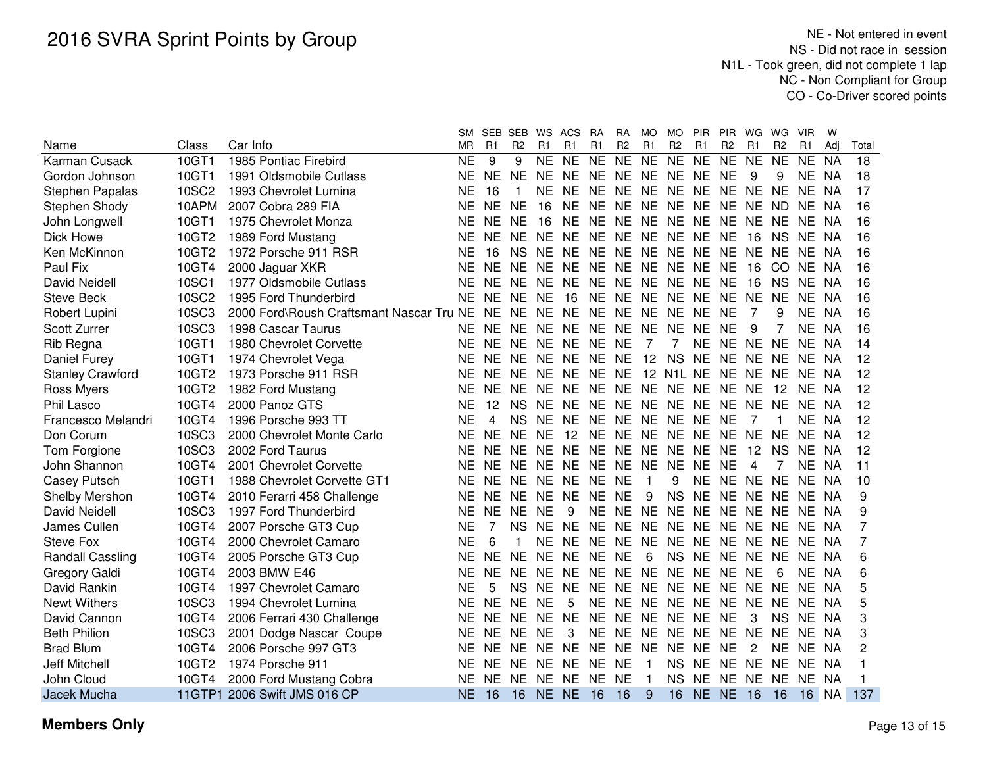|                         |              |                                          | SM.       | SEB SEB   |                | WS ACS         |                         | <b>RA</b>      | <b>RA</b>      | <b>MO</b>      | <b>MO</b>      | <b>PIR</b>           | <b>PIR</b>     | WG             | WG.            | <b>VIR</b>     | W         |       |
|-------------------------|--------------|------------------------------------------|-----------|-----------|----------------|----------------|-------------------------|----------------|----------------|----------------|----------------|----------------------|----------------|----------------|----------------|----------------|-----------|-------|
| Name                    | Class        | Car Info                                 | <b>MR</b> | R1        | R <sub>2</sub> | R <sub>1</sub> | R <sub>1</sub>          | R <sub>1</sub> | R <sub>2</sub> | R1             | R <sub>2</sub> | R1                   | R <sub>2</sub> | R <sub>1</sub> | R <sub>2</sub> | R <sub>1</sub> | Adi       | Total |
| Karman Cusack           | 10GT1        | 1985 Pontiac Firebird                    | <b>NE</b> | 9         | 9              | <b>NE</b>      | <b>NE</b>               | <b>NE</b>      | N <sub>E</sub> | <b>NE</b>      | <b>NE</b>      | $N_{E}$              | <b>NE</b>      | <b>NE</b>      | <b>NE</b>      | NE.            | <b>NA</b> | 18    |
| Gordon Johnson          | 10GT1        | 1991 Oldsmobile Cutlass                  | NE        | <b>NE</b> | <b>NE</b>      | <b>NE</b>      | NE NE NE NE NE NE NE    |                |                |                |                |                      |                | 9              | 9              | NE NA          |           | 18    |
| Stephen Papalas         | <b>10SC2</b> | 1993 Chevrolet Lumina                    | NE        | 16        | 1              | <b>NE</b>      | NE NE                   |                |                |                |                | NE NE NE NE NE NE NE |                |                |                | NE NA          |           | 17    |
| Stephen Shody           | 10APM        | 2007 Cobra 289 FIA                       | ΝE        | <b>NE</b> | <b>NE</b>      | 16             | NE NE                   |                | <b>NE</b>      |                |                | NE NE NE NE          |                | NE ND          |                | NE.            | NA        | 16    |
| John Longwell           | 10GT1        | 1975 Chevrolet Monza                     | ΝE        | NE.       | NE.            | 16             | NE NE                   |                | <b>NE</b>      |                | NE NE NE       |                      | <b>NE</b>      | NE NE          |                | NE.            | NA        | 16    |
| Dick Howe               | 10GT2        | 1989 Ford Mustang                        | ΝE        | NE NE     |                | <b>NE</b>      | NE NE                   |                | <b>NE</b>      |                | NE NE NE       |                      | <b>NE</b>      | 16             | <b>NS</b>      | NE.            | NA        | 16    |
| Ken McKinnon            | 10GT2        | 1972 Porsche 911 RSR                     | NE        | 16        | <b>NS</b>      | NE.            | NE NE NE                |                |                |                | NE NE NE       |                      | NE NE          |                | NE.            | NE.            | - NA      | 16    |
| Paul Fix                | 10GT4        | 2000 Jaguar XKR                          | NE        | NE NE     |                | NE.            | NE NE NE                |                |                |                | NE NE NE       |                      | <b>NE</b>      | 16             | CO NE          |                | - NA      | 16    |
| David Neidell           | 10SC1        | 1977 Oldsmobile Cutlass                  | NE        | NE NE     |                | NE.            | NE NE NE                |                |                |                | NE NE NE       |                      | <b>NE</b>      | 16             | <b>NS</b>      | NE.            | NA        | 16    |
| <b>Steve Beck</b>       | <b>10SC2</b> | 1995 Ford Thunderbird                    | NE        |           | NE NE NE       |                | 16                      |                |                |                |                | NE NE NE NE NE NE    |                | <b>NE</b>      | NE.            | NE.            | NA        | 16    |
| Robert Lupini           | 10SC3        | 2000 Ford\Roush Craftsmant Nascar Tru NE |           | NE NE     |                |                | NE NE NE NE NE NE NE NE |                |                |                |                |                      |                | 7              | 9              | NE.            | NA        | 16    |
| Scott Zurrer            | 10SC3        | 1998 Cascar Taurus                       | NE.       | NE NE     |                | NE.            | NE NE NE                |                |                |                | NE NE NE       |                      | <b>NE</b>      | 9              |                | NE NA          |           | 16    |
| Rib Regna               | 10GT1        | 1980 Chevrolet Corvette                  | NE.       | NE NE     |                |                | NE NE NE NE             |                |                | $\overline{7}$ | 7              | NE NE NE             |                |                | <b>NE</b>      | NE NA          |           | 14    |
| Daniel Furey            | 10GT1        | 1974 Chevrolet Vega                      | NE.       | NE NE     |                |                | NE NE NE NE 12          |                |                |                | NS NE          |                      | NE NE          |                | <b>NE</b>      | NE NA          |           | 12    |
| <b>Stanley Crawford</b> | 10GT2        | 1973 Porsche 911 RSR                     | ΝE        | NE NE     |                | NE.            | NE NE                   |                |                |                |                | NE 12 N1L NE NE NE   |                |                | <b>NE</b>      | NE NA          |           | 12    |
| Ross Myers              | 10GT2        | 1982 Ford Mustang                        | ΝE        | NE NE     |                |                | NE NE NE                |                |                |                |                | NE NE NE NE NE NE    |                |                | 12             | NE NA          |           | 12    |
| Phil Lasco              | 10GT4        | 2000 Panoz GTS                           | ΝE        | 12        | <b>NS</b>      | <b>NE</b>      | NE NE                   |                |                |                |                | NE NE NE NE NE NE    |                |                | <b>NE</b>      | NE NA          |           | 12    |
| Francesco Melandri      | 10GT4        | 1996 Porsche 993 TT                      | <b>NE</b> | 4         | <b>NS</b>      | <b>NE</b>      | NE NE                   |                | <b>NE</b>      |                | NE NE NE       |                      | <b>NE</b>      |                |                | NE.            | <b>NA</b> | 12    |
| Don Corum               | 10SC3        | 2000 Chevrolet Monte Carlo               | <b>NE</b> | NE.       | <b>NE</b>      | <b>NE</b>      | 12                      | <b>NE</b>      | <b>NE</b>      |                | NE NE NE       |                      | NE NE          |                | <b>NE</b>      | <b>NE</b>      | <b>NA</b> | 12    |
| Tom Forgione            | 10SC3        | 2002 Ford Taurus                         | <b>NE</b> | <b>NE</b> | <b>NE</b>      | <b>NE</b>      | NE NE                   |                | <b>NE</b>      |                | NE NE NE       |                      | <b>NE</b>      | 12             | <b>NS</b>      | <b>NE</b>      | <b>NA</b> | 12    |
| John Shannon            | 10GT4        | 2001 Chevrolet Corvette                  | <b>NE</b> | NE NE     |                | <b>NE</b>      | NE NE                   |                | <b>NE</b>      | <b>NE</b>      | NE NE          |                      | <b>NE</b>      | 4              |                | <b>NE</b>      | <b>NA</b> | 11    |
| Casey Putsch            | 10GT1        | 1988 Chevrolet Corvette GT1              | <b>NE</b> | NE NE     |                | <b>NE</b>      | NE NE                   |                | <b>NE</b>      | $\mathbf 1$    | 9              | <b>NE</b>            | NE NE          |                | <b>NE</b>      | <b>NE</b>      | <b>NA</b> | 10    |
| <b>Shelby Mershon</b>   | 10GT4        | 2010 Ferarri 458 Challenge               | <b>NE</b> | NE.       | <b>NE</b>      | <b>NE</b>      | <b>NE</b>               | <b>NE</b>      | <b>NE</b>      | 9              | <b>NS</b>      | <b>NE</b>            | <b>NE</b>      | <b>NE</b>      | <b>NE</b>      | NE.            | NA        | 9     |
| <b>David Neidell</b>    | 10SC3        | 1997 Ford Thunderbird                    | <b>NE</b> | <b>NE</b> | NE.            | <b>NE</b>      | 9                       | NE.            | <b>NE</b>      | <b>NE</b>      | <b>NE</b>      | <b>NE</b>            | <b>NE</b>      | NE.            | <b>NE</b>      | <b>NE</b>      | NA        | 9     |
| James Cullen            | 10GT4        | 2007 Porsche GT3 Cup                     | <b>NE</b> | 7         | <b>NS</b>      | NE.            | <b>NE</b>               | <b>NE</b>      | <b>NE</b>      | <b>NE</b>      | NE NE          |                      | <b>NE</b>      | NE.            | <b>NE</b>      | <b>NE</b>      | -NA       | 7     |
| <b>Steve Fox</b>        | 10GT4        | 2000 Chevrolet Camaro                    | <b>NE</b> | 6         |                | <b>NE</b>      | <b>NE</b>               | <b>NE</b>      | <b>NE</b>      | <b>NE</b>      | NE NE          |                      | <b>NE</b>      | <b>NE</b>      | <b>NE</b>      | <b>NE</b>      | - NA      | 7     |
| <b>Randall Cassling</b> | 10GT4        | 2005 Porsche GT3 Cup                     | <b>NE</b> | <b>NE</b> | <b>NE</b>      | <b>NE</b>      | <b>NE</b>               | <b>NE</b>      | <b>NE</b>      | 6              | <b>NS</b>      | <b>NE</b>            | <b>NE</b>      | NE.            | <b>NE</b>      | <b>NE</b>      | NA        | 6     |
| Gregory Galdi           | 10GT4        | 2003 BMW E46                             | <b>NE</b> | <b>NE</b> | <b>NE</b>      | <b>NE</b>      | <b>NE</b>               | <b>NE</b>      | <b>NE</b>      | <b>NE</b>      | <b>NE</b>      | <b>NE</b>            | <b>NE</b>      | <b>NE</b>      | 6              | <b>NE</b>      | NA        | 6     |
| David Rankin            | 10GT4        | 1997 Chevrolet Camaro                    | <b>NE</b> | 5         | <b>NS</b>      | <b>NE</b>      | <b>NE</b>               | <b>NE</b>      | <b>NE</b>      |                | NE NE NE       |                      | NE NE          |                | <b>NE</b>      | NE.            | NA        | 5     |
| <b>Newt Withers</b>     | 10SC3        | 1994 Chevrolet Lumina                    | <b>NE</b> | <b>NE</b> | <b>NE</b>      | <b>NE</b>      | 5                       | <b>NE</b>      | <b>NE</b>      | <b>NE</b>      | NE NE          |                      | <b>NE</b>      | <b>NE</b>      | <b>NE</b>      | <b>NE</b>      | NA        | 5     |
| David Cannon            | 10GT4        | 2006 Ferrari 430 Challenge               | <b>NE</b> | <b>NE</b> | <b>NE</b>      | <b>NE</b>      | <b>NE</b>               | <b>NE</b>      | <b>NE</b>      | <b>NE</b>      | NE NE          |                      | <b>NE</b>      | 3              | <b>NS</b>      | <b>NE</b>      | NA        | 3     |
| <b>Beth Philion</b>     | 10SC3        | 2001 Dodge Nascar Coupe                  | <b>NE</b> | NE NE     |                | <b>NE</b>      | 3                       | <b>NE</b>      | <b>NE</b>      |                | NE NE NE       |                      | <b>NE</b>      | <b>NE</b>      | <b>NE</b>      | NE.            | NA        | 3     |
| <b>Brad Blum</b>        | 10GT4        | 2006 Porsche 997 GT3                     | <b>NE</b> | NE NE     |                | <b>NE</b>      | NE NE                   |                | <b>NE</b>      | <b>NE</b>      | NE NE          |                      | <b>NE</b>      | 2              | <b>NE</b>      | <b>NE</b>      | NA        | 2     |
| Jeff Mitchell           | 10GT2        | 1974 Porsche 911                         | <b>NE</b> | NE NE     |                | NE.            | NE NE                   |                | <b>NE</b>      | $\mathbf{1}$   | <b>NS</b>      | <b>NE</b>            | NE.            | NE NE          |                | NE.            | NA        |       |
| John Cloud              | 10GT4        | 2000 Ford Mustang Cobra                  | <b>NE</b> | <b>NE</b> | NE.            | <b>NE</b>      | NE NE                   |                | <b>NE</b>      | -1             | <b>NS</b>      | <b>NE</b>            | <b>NE</b>      | <b>NE</b>      | <b>NE</b>      | <b>NE</b>      | NA        |       |
| Jacek Mucha             |              | 11GTP1 2006 Swift JMS 016 CP             | <b>NE</b> | 16        | 16             | <b>NE</b>      | <b>NE</b>               | 16             | 16             | 9              | 16             | <b>NE</b>            | <b>NE</b>      | 16             | 16             | 16             | <b>NA</b> | 137   |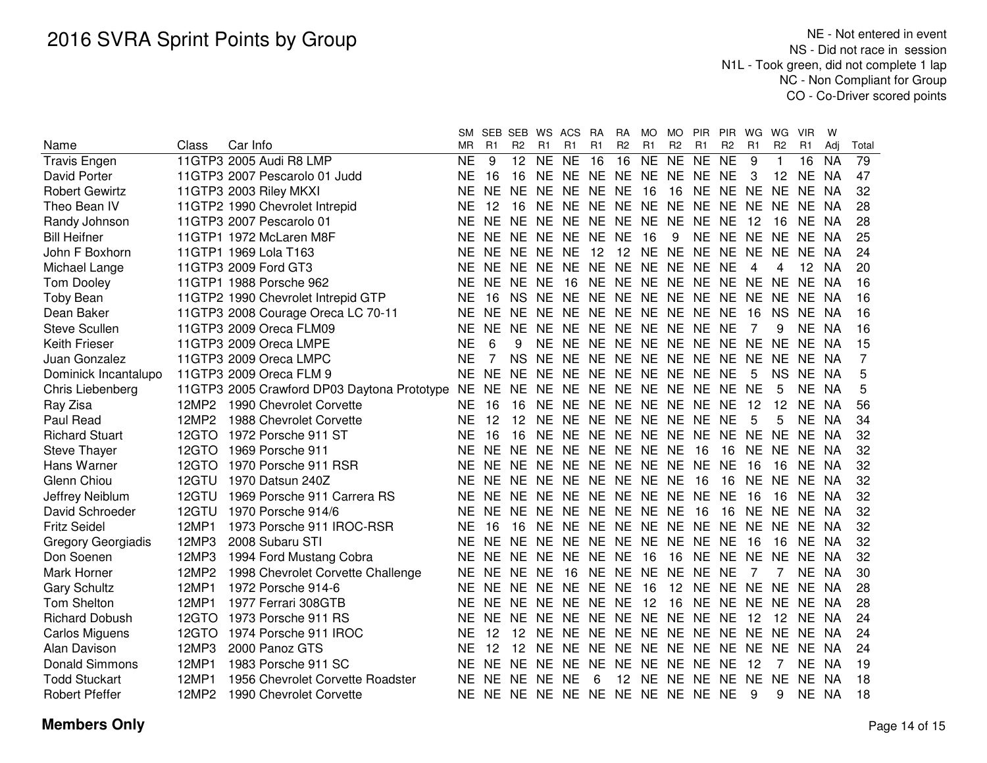|                           |       |                                                | SМ        |           | SEB SEB WS ACS |           |                                  | <b>RA</b>                  | <b>RA</b>      | <b>MO</b> | <b>MO</b>      | <b>PIR</b>     | <b>PIR</b>     | WG        | WG.            | <b>VIR</b> | W         |       |
|---------------------------|-------|------------------------------------------------|-----------|-----------|----------------|-----------|----------------------------------|----------------------------|----------------|-----------|----------------|----------------|----------------|-----------|----------------|------------|-----------|-------|
| Name                      | Class | Car Info                                       | MR        | R1        | R <sub>2</sub> | R1        | R <sub>1</sub>                   | R1                         | R <sub>2</sub> | R1        | R <sub>2</sub> | R1             | R <sub>2</sub> | R1        | R <sub>2</sub> | R1         | Adi       | Total |
| <b>Travis Engen</b>       |       | 11GTP3 2005 Audi R8 LMP                        | <b>NE</b> | 9         | 12             | NE NE     |                                  | 16                         | 16             | <b>NE</b> | <b>NE</b>      | NE NE          |                | 9         | 1              | 16         | <b>NA</b> | 79    |
| David Porter              |       | 11GTP3 2007 Pescarolo 01 Judd                  | NE        | -16       | 16             |           | NE NE NE NE NE NE NE NE          |                            |                |           |                |                |                | 3         | 12             | NE.        | - NA      | 47    |
| <b>Robert Gewirtz</b>     |       | 11GTP3 2003 Riley MKXI                         | <b>NE</b> | <b>NE</b> | NE.            |           | NE NE NE NE                      |                            |                | - 16      | 16             | NE NE NE       |                |           | NE NE          |            | - NA      | 32    |
| Theo Bean IV              |       | 11GTP2 1990 Chevrolet Intrepid                 | <b>NE</b> | -12       | 16             |           | NE NE NE NE NE NE NE NE          |                            |                |           |                |                |                | NE NE NE  |                |            | - NA      | 28    |
| Randy Johnson             |       | 11GTP3 2007 Pescarolo 01                       | <b>NE</b> | NE.       | NE.            | NE.       | NE NE NE                         |                            |                |           |                | NE NE NE NE    |                | -12       | 16             | NE.        | - NA      | 28    |
| <b>Bill Heifner</b>       |       | 11GTP1 1972 McLaren M8F                        | <b>NE</b> | <b>NE</b> | NE.            | NE.       | NE NE NE                         |                            |                | -16       | 9              | NE NE          |                | NE NE     |                | NE.        | - NA      | 25    |
| John F Boxhorn            |       | 11GTP1 1969 Lola T163                          | <b>NE</b> | NE.       | NE NE          |           | <b>NE</b>                        | 12                         |                |           |                | 12 NE NE NE NE |                | <b>NE</b> | NE.            | NE.        | - NA      | 24    |
| Michael Lange             |       | 11GTP3 2009 Ford GT3                           | <b>NE</b> | <b>NE</b> | NF.            | NE.       | NE NE NE                         |                            |                |           |                | NE NE NE NE    |                | 4         | 4              | 12         | - NA      | 20    |
| <b>Tom Dooley</b>         |       | 11GTP1 1988 Porsche 962                        | <b>NE</b> | <b>NE</b> | NE.            | NE.       | - 16                             | NE NE NE NE NE NE NE       |                |           |                |                |                |           | NE NE          |            | - NA      | 16    |
| <b>Toby Bean</b>          |       | 11GTP2 1990 Chevrolet Intrepid GTP             | <b>NE</b> | 16        |                |           | NS NE NE NE NE NE NE NE NE NE    |                            |                |           |                |                |                |           |                | NE NE NA   |           | 16    |
| Dean Baker                |       | 11GTP3 2008 Courage Oreca LC 70-11             | <b>NE</b> | NE.       | NE.            |           | NE NE NE NE NE NE NE NE          |                            |                |           |                |                |                | 16        | NS.            | NE.        | - NA      | 16    |
| <b>Steve Scullen</b>      |       | 11GTP3 2009 Oreca FLM09                        | <b>NE</b> | NF.       | <b>NE</b>      |           | NE NE NE NE NE NE NE NE          |                            |                |           |                |                |                | 7         | 9              | NE NA      |           | 16    |
| <b>Keith Frieser</b>      |       | 11GTP3 2009 Oreca LMPE                         | <b>NE</b> | 6         | 9              |           | NE NE NE NE NE NE NE NE NE NE    |                            |                |           |                |                |                |           |                | NE.        | NA        | 15    |
| Juan Gonzalez             |       | 11GTP3 2009 Oreca LMPC                         | <b>NE</b> | 7         | <b>NS</b>      | NE.       | NE NE NE NE NE NE NE NE          |                            |                |           |                |                |                |           | NE.            | NE.        | NA        | 7     |
| Dominick Incantalupo      |       | 11GTP3 2009 Oreca FLM 9                        | <b>NE</b> | <b>NE</b> | <b>NE</b>      | NE.       | NE NE NE NE NE NE NE             |                            |                |           |                |                |                | 5         | NS.            | NE.        | <b>NA</b> | 5     |
| Chris Liebenberg          |       | 11GTP3 2005 Crawford DP03 Daytona Prototype NE |           | <b>NE</b> | NE.            | NE.       | NE NE NE NE NE NE NE             |                            |                |           |                |                |                | <b>NE</b> | 5              | NE.        | <b>NA</b> | 5     |
| Ray Zisa                  | 12MP2 | 1990 Chevrolet Corvette                        | <b>NE</b> | 16        | 16             | NE        | <b>NE</b>                        | NE NE                      |                |           |                | NE NE NE NE    |                | 12        | 12             | NE         | <b>NA</b> | 56    |
| Paul Read                 | 12MP2 | 1988 Chevrolet Corvette                        | <b>NE</b> | -12       | 12             | NE        | <b>NE</b>                        | NE NE                      |                |           |                | NE NE NE NE    |                | 5         | 5              | NE.        | NA        | 34    |
| <b>Richard Stuart</b>     | 12GTO | 1972 Porsche 911 ST                            | <b>NE</b> | 16        | 16             | NE.       | <b>NE</b>                        | NE NE                      |                |           |                | NE NE NE NE    |                | <b>NE</b> | NE.            | NE.        | -NA       | 32    |
| <b>Steve Thayer</b>       | 12GTO | 1969 Porsche 911                               | <b>NE</b> | <b>NE</b> | <b>NE</b>      | NE.       | <b>NE</b>                        | NE NE                      |                | <b>NE</b> | NE             | 16             | 16             | <b>NE</b> | NE.            | NE.        | - NA      | 32    |
| Hans Warner               | 12GTO | 1970 Porsche 911 RSR                           | <b>NE</b> | <b>NE</b> | NE.            | <b>NE</b> | NE.                              | NE NE                      |                | NE NE NE  |                |                | NE.            | 16        | 16             | NE.        | - NA      | 32    |
| Glenn Chiou               | 12GTU | 1970 Datsun 240Z                               | <b>NE</b> | NE.       | NE NE          |           | NE.                              | NE NE                      |                | NE NE     |                | 16             | 16             | <b>NE</b> | NE.            | NE.        | - NA      | 32    |
| Jeffrey Neiblum           | 12GTU | 1969 Porsche 911 Carrera RS                    | <b>NE</b> | <b>NE</b> | NE.            | <b>NE</b> | NE.                              | NE NE                      |                | NE NE NE  |                |                | - NE           | 16        | 16             | NE.        | - NA      | 32    |
| David Schroeder           |       | 12GTU 1970 Porsche 914/6                       | <b>NE</b> | <b>NE</b> | NE.            | NE.       | - NE                             | NE NE                      |                | NE NE     |                | 16             | 16             | NE.       | NE.            | NE.        | - NA      | 32    |
| <b>Fritz Seidel</b>       | 12MP1 | 1973 Porsche 911 IROC-RSR                      | <b>NE</b> | 16        | 16             | NE.       | - NE                             | NE NE                      |                | NE NE NE  |                |                | NE.            | NE.       | NE NE          |            | - NA      | 32    |
| <b>Gregory Georgiadis</b> | 12MP3 | 2008 Subaru STI                                | <b>NE</b> | <b>NE</b> | NE.            | NE.       | NE.                              | NE NE                      |                |           |                | NE NE NE NE    |                | -16       | 16             | NE.        | - NA      | 32    |
| Don Soenen                | 12MP3 | 1994 Ford Mustang Cobra                        | <b>NE</b> | <b>NE</b> | NE.            | <b>NE</b> | <b>NE</b>                        | NE NE                      |                | -16       | 16             | NE.            | NE.            | NE.       | NE.            | NE.        | - NA      | 32    |
| Mark Horner               | 12MP2 | 1998 Chevrolet Corvette Challenge              | <b>NE</b> | <b>NE</b> | NE.            | <b>NE</b> | -16                              | NE NE                      |                | <b>NE</b> | NE NE          |                | <b>NE</b>      | 7         | 7              | NE.        | - NA      | 30    |
| <b>Gary Schultz</b>       | 12MP1 | 1972 Porsche 914-6                             | <b>NE</b> | <b>NE</b> | NE.            | NE.       | <b>NE</b>                        | NE.                        | <b>NE</b>      | -16       | 12             | NE.            | NE.            | <b>NE</b> | NE.            | NE.        | - NA      | 28    |
| <b>Tom Shelton</b>        | 12MP1 | 1977 Ferrari 308GTB                            | <b>NE</b> | <b>NE</b> | NE.            | <b>NE</b> | NE.                              | NE NE                      |                | 12        | 16             | NE NE          |                | NE.       | NE             | NE.        | - NA      | 28    |
| <b>Richard Dobush</b>     | 12GTO | 1973 Porsche 911 RS                            | <b>NE</b> | <b>NE</b> | <b>NE</b>      | <b>NE</b> | NE.                              | NE NE                      |                |           |                | NE NE NE NE    |                | 12        | 12             | NE.        | - NA      | 24    |
| <b>Carlos Miguens</b>     | 12GTO | 1974 Porsche 911 IROC                          | <b>NE</b> | 12        | 12             | NE.       | NE NE NE NE NE NE NE NE NE NE NA |                            |                |           |                |                |                |           |                |            |           | 24    |
| Alan Davison              | 12MP3 | 2000 Panoz GTS                                 | <b>NE</b> | 12        | 12             | NE.       |                                  | NE NE NE NE NE NE NE NE NE |                |           |                |                |                |           |                | NE.        | - NA      | 24    |
| <b>Donald Simmons</b>     | 12MP1 | 1983 Porsche 911 SC                            | <b>NE</b> |           | NE NE          | <b>NE</b> | NE NE                            |                            | NE.            |           |                | NE NE NE       | NE.            | -12       | 7              | NE.        | - NA      | 19    |
| <b>Todd Stuckart</b>      | 12MP1 | 1956 Chevrolet Corvette Roadster               | <b>NE</b> | NE.       | <b>NE</b>      | <b>NE</b> | <b>NE</b>                        | 6                          | 12             |           |                | NE NE NE       | NE.            | <b>NE</b> | <b>NE</b>      | NE.        | - NA      | 18    |
| <b>Robert Pfeffer</b>     | 12MP2 | 1990 Chevrolet Corvette                        | NE.       |           |                |           | NE NE NE NE NE NE NE NE NE NE    |                            |                |           |                |                |                | 9         | 9              | NE.        | NA        | 18    |